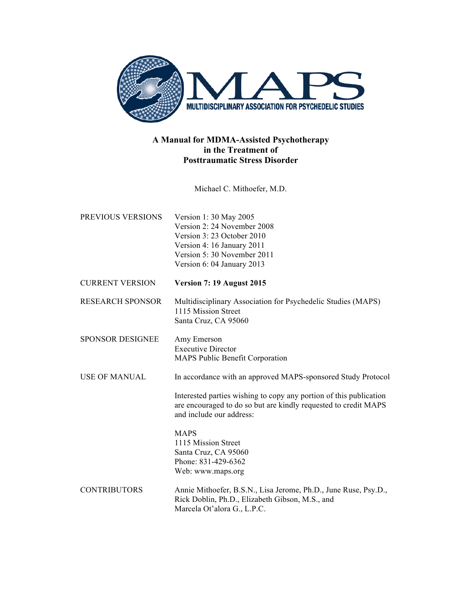

## **A Manual for MDMA-Assisted Psychotherapy in the Treatment of Posttraumatic Stress Disorder**

Michael C. Mithoefer, M.D.

| PREVIOUS VERSIONS       | Version 1:30 May 2005<br>Version 2: 24 November 2008<br>Version 3:23 October 2010<br>Version 4: 16 January 2011<br>Version 5:30 November 2011<br>Version 6: 04 January 2013 |
|-------------------------|-----------------------------------------------------------------------------------------------------------------------------------------------------------------------------|
| <b>CURRENT VERSION</b>  | <b>Version 7: 19 August 2015</b>                                                                                                                                            |
| <b>RESEARCH SPONSOR</b> | Multidisciplinary Association for Psychedelic Studies (MAPS)<br>1115 Mission Street<br>Santa Cruz, CA 95060                                                                 |
| <b>SPONSOR DESIGNEE</b> | Amy Emerson<br><b>Executive Director</b><br><b>MAPS Public Benefit Corporation</b>                                                                                          |
| <b>USE OF MANUAL</b>    | In accordance with an approved MAPS-sponsored Study Protocol                                                                                                                |
|                         | Interested parties wishing to copy any portion of this publication<br>are encouraged to do so but are kindly requested to credit MAPS<br>and include our address:           |
|                         | <b>MAPS</b><br>1115 Mission Street<br>Santa Cruz, CA 95060<br>Phone: 831-429-6362<br>Web: www.maps.org                                                                      |
| <b>CONTRIBUTORS</b>     | Annie Mithoefer, B.S.N., Lisa Jerome, Ph.D., June Ruse, Psy.D.,<br>Rick Doblin, Ph.D., Elizabeth Gibson, M.S., and<br>Marcela Ot'alora G., L.P.C.                           |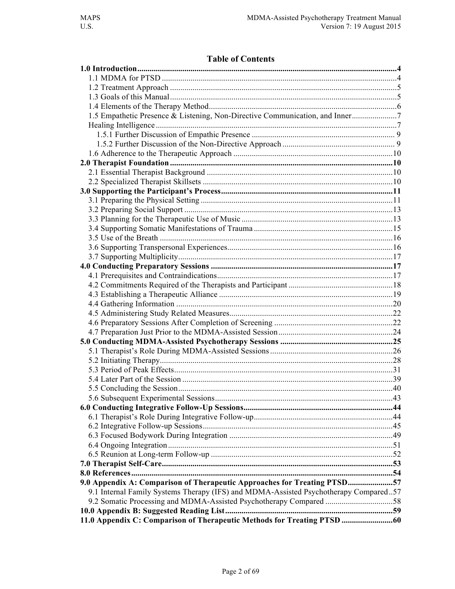# **Table of Contents**

| 1.5 Empathetic Presence & Listening, Non-Directive Communication, and Inner7         |  |
|--------------------------------------------------------------------------------------|--|
|                                                                                      |  |
|                                                                                      |  |
|                                                                                      |  |
|                                                                                      |  |
|                                                                                      |  |
|                                                                                      |  |
|                                                                                      |  |
|                                                                                      |  |
|                                                                                      |  |
|                                                                                      |  |
|                                                                                      |  |
|                                                                                      |  |
|                                                                                      |  |
|                                                                                      |  |
|                                                                                      |  |
|                                                                                      |  |
|                                                                                      |  |
|                                                                                      |  |
|                                                                                      |  |
|                                                                                      |  |
|                                                                                      |  |
|                                                                                      |  |
|                                                                                      |  |
|                                                                                      |  |
|                                                                                      |  |
|                                                                                      |  |
|                                                                                      |  |
|                                                                                      |  |
|                                                                                      |  |
| . 43                                                                                 |  |
|                                                                                      |  |
|                                                                                      |  |
|                                                                                      |  |
|                                                                                      |  |
|                                                                                      |  |
|                                                                                      |  |
|                                                                                      |  |
|                                                                                      |  |
| 9.0 Appendix A: Comparison of Therapeutic Approaches for Treating PTSD57             |  |
| 9.1 Internal Family Systems Therapy (IFS) and MDMA-Assisted Psychotherapy Compared57 |  |
|                                                                                      |  |
|                                                                                      |  |
| 11.0 Appendix C: Comparison of Therapeutic Methods for Treating PTSD  60             |  |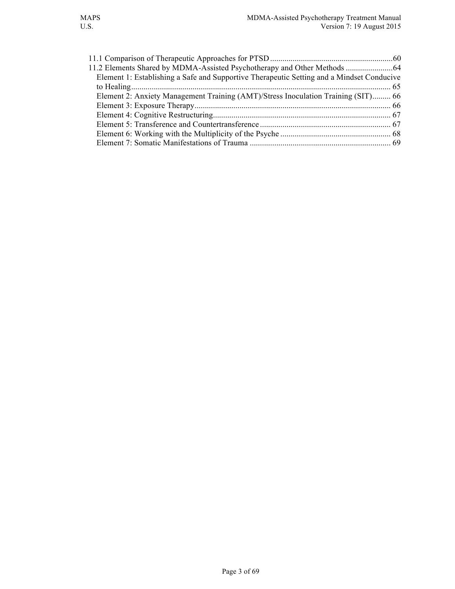| Element 1: Establishing a Safe and Supportive Therapeutic Setting and a Mindset Conducive |  |
|-------------------------------------------------------------------------------------------|--|
|                                                                                           |  |
| Element 2: Anxiety Management Training (AMT)/Stress Inoculation Training (SIT) 66         |  |
|                                                                                           |  |
|                                                                                           |  |
|                                                                                           |  |
|                                                                                           |  |
|                                                                                           |  |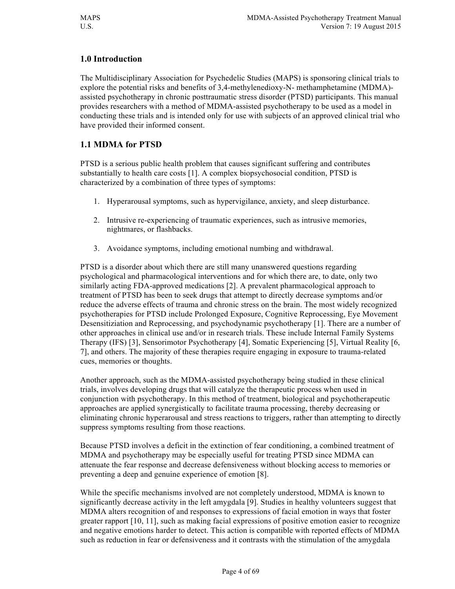# **1.0 Introduction**

The Multidisciplinary Association for Psychedelic Studies (MAPS) is sponsoring clinical trials to explore the potential risks and benefits of 3,4-methylenedioxy-N- methamphetamine (MDMA) assisted psychotherapy in chronic posttraumatic stress disorder (PTSD) participants. This manual provides researchers with a method of MDMA-assisted psychotherapy to be used as a model in conducting these trials and is intended only for use with subjects of an approved clinical trial who have provided their informed consent.

## **1.1 MDMA for PTSD**

PTSD is a serious public health problem that causes significant suffering and contributes substantially to health care costs [1]. A complex biopsychosocial condition, PTSD is characterized by a combination of three types of symptoms:

- 1. Hyperarousal symptoms, such as hypervigilance, anxiety, and sleep disturbance.
- 2. Intrusive re-experiencing of traumatic experiences, such as intrusive memories, nightmares, or flashbacks.
- 3. Avoidance symptoms, including emotional numbing and withdrawal.

PTSD is a disorder about which there are still many unanswered questions regarding psychological and pharmacological interventions and for which there are, to date, only two similarly acting FDA-approved medications [2]. A prevalent pharmacological approach to treatment of PTSD has been to seek drugs that attempt to directly decrease symptoms and/or reduce the adverse effects of trauma and chronic stress on the brain. The most widely recognized psychotherapies for PTSD include Prolonged Exposure, Cognitive Reprocessing, Eye Movement Desensitiziation and Reprocessing, and psychodynamic psychotherapy [1]. There are a number of other approaches in clinical use and/or in research trials. These include Internal Family Systems Therapy (IFS) [3], Sensorimotor Psychotherapy [4], Somatic Experiencing [5], Virtual Reality [6, 7], and others. The majority of these therapies require engaging in exposure to trauma-related cues, memories or thoughts.

Another approach, such as the MDMA-assisted psychotherapy being studied in these clinical trials, involves developing drugs that will catalyze the therapeutic process when used in conjunction with psychotherapy. In this method of treatment, biological and psychotherapeutic approaches are applied synergistically to facilitate trauma processing, thereby decreasing or eliminating chronic hyperarousal and stress reactions to triggers, rather than attempting to directly suppress symptoms resulting from those reactions.

Because PTSD involves a deficit in the extinction of fear conditioning, a combined treatment of MDMA and psychotherapy may be especially useful for treating PTSD since MDMA can attenuate the fear response and decrease defensiveness without blocking access to memories or preventing a deep and genuine experience of emotion [8].

While the specific mechanisms involved are not completely understood, MDMA is known to significantly decrease activity in the left amygdala [9]. Studies in healthy volunteers suggest that MDMA alters recognition of and responses to expressions of facial emotion in ways that foster greater rapport [10, 11], such as making facial expressions of positive emotion easier to recognize and negative emotions harder to detect. This action is compatible with reported effects of MDMA such as reduction in fear or defensiveness and it contrasts with the stimulation of the amygdala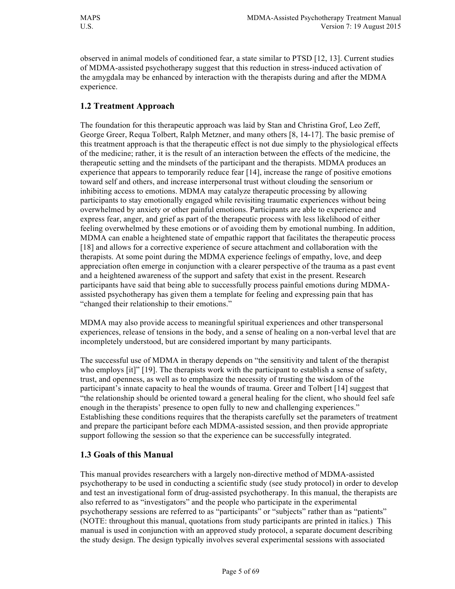observed in animal models of conditioned fear, a state similar to PTSD [12, 13]. Current studies of MDMA-assisted psychotherapy suggest that this reduction in stress-induced activation of the amygdala may be enhanced by interaction with the therapists during and after the MDMA experience.

# **1.2 Treatment Approach**

The foundation for this therapeutic approach was laid by Stan and Christina Grof, Leo Zeff, George Greer, Requa Tolbert, Ralph Metzner, and many others [8, 14-17]. The basic premise of this treatment approach is that the therapeutic effect is not due simply to the physiological effects of the medicine; rather, it is the result of an interaction between the effects of the medicine, the therapeutic setting and the mindsets of the participant and the therapists. MDMA produces an experience that appears to temporarily reduce fear [14], increase the range of positive emotions toward self and others, and increase interpersonal trust without clouding the sensorium or inhibiting access to emotions. MDMA may catalyze therapeutic processing by allowing participants to stay emotionally engaged while revisiting traumatic experiences without being overwhelmed by anxiety or other painful emotions. Participants are able to experience and express fear, anger, and grief as part of the therapeutic process with less likelihood of either feeling overwhelmed by these emotions or of avoiding them by emotional numbing. In addition, MDMA can enable a heightened state of empathic rapport that facilitates the therapeutic process [18] and allows for a corrective experience of secure attachment and collaboration with the therapists. At some point during the MDMA experience feelings of empathy, love, and deep appreciation often emerge in conjunction with a clearer perspective of the trauma as a past event and a heightened awareness of the support and safety that exist in the present. Research participants have said that being able to successfully process painful emotions during MDMAassisted psychotherapy has given them a template for feeling and expressing pain that has "changed their relationship to their emotions."

MDMA may also provide access to meaningful spiritual experiences and other transpersonal experiences, release of tensions in the body, and a sense of healing on a non-verbal level that are incompletely understood, but are considered important by many participants.

The successful use of MDMA in therapy depends on "the sensitivity and talent of the therapist who employs [it]" [19]. The therapists work with the participant to establish a sense of safety, trust, and openness, as well as to emphasize the necessity of trusting the wisdom of the participant's innate capacity to heal the wounds of trauma. Greer and Tolbert [14] suggest that "the relationship should be oriented toward a general healing for the client, who should feel safe enough in the therapists' presence to open fully to new and challenging experiences." Establishing these conditions requires that the therapists carefully set the parameters of treatment and prepare the participant before each MDMA-assisted session, and then provide appropriate support following the session so that the experience can be successfully integrated.

## **1.3 Goals of this Manual**

This manual provides researchers with a largely non-directive method of MDMA-assisted psychotherapy to be used in conducting a scientific study (see study protocol) in order to develop and test an investigational form of drug-assisted psychotherapy. In this manual, the therapists are also referred to as "investigators" and the people who participate in the experimental psychotherapy sessions are referred to as "participants" or "subjects" rather than as "patients" (NOTE: throughout this manual, quotations from study participants are printed in italics.) This manual is used in conjunction with an approved study protocol, a separate document describing the study design. The design typically involves several experimental sessions with associated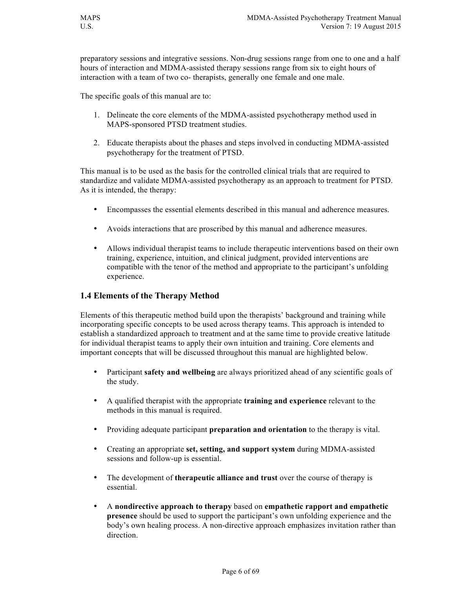preparatory sessions and integrative sessions. Non-drug sessions range from one to one and a half hours of interaction and MDMA-assisted therapy sessions range from six to eight hours of interaction with a team of two co- therapists, generally one female and one male.

The specific goals of this manual are to:

- 1. Delineate the core elements of the MDMA-assisted psychotherapy method used in MAPS-sponsored PTSD treatment studies.
- 2. Educate therapists about the phases and steps involved in conducting MDMA-assisted psychotherapy for the treatment of PTSD.

This manual is to be used as the basis for the controlled clinical trials that are required to standardize and validate MDMA-assisted psychotherapy as an approach to treatment for PTSD. As it is intended, the therapy:

- Encompasses the essential elements described in this manual and adherence measures.
- Avoids interactions that are proscribed by this manual and adherence measures.
- Allows individual therapist teams to include therapeutic interventions based on their own training, experience, intuition, and clinical judgment, provided interventions are compatible with the tenor of the method and appropriate to the participant's unfolding experience.

#### **1.4 Elements of the Therapy Method**

Elements of this therapeutic method build upon the therapists' background and training while incorporating specific concepts to be used across therapy teams. This approach is intended to establish a standardized approach to treatment and at the same time to provide creative latitude for individual therapist teams to apply their own intuition and training. Core elements and important concepts that will be discussed throughout this manual are highlighted below.

- Participant **safety and wellbeing** are always prioritized ahead of any scientific goals of the study.
- A qualified therapist with the appropriate **training and experience** relevant to the methods in this manual is required.
- Providing adequate participant **preparation and orientation** to the therapy is vital.
- Creating an appropriate **set, setting, and support system** during MDMA-assisted sessions and follow-up is essential.
- The development of **therapeutic alliance and trust** over the course of therapy is essential.
- A **nondirective approach to therapy** based on **empathetic rapport and empathetic presence** should be used to support the participant's own unfolding experience and the body's own healing process. A non-directive approach emphasizes invitation rather than direction.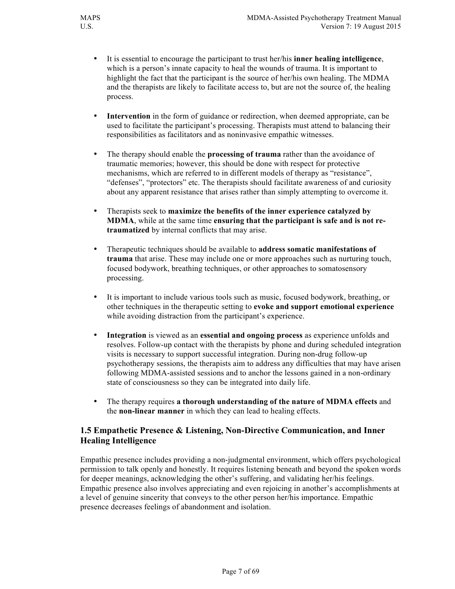- It is essential to encourage the participant to trust her/his **inner healing intelligence**, which is a person's innate capacity to heal the wounds of trauma. It is important to highlight the fact that the participant is the source of her/his own healing. The MDMA and the therapists are likely to facilitate access to, but are not the source of, the healing process.
- **Intervention** in the form of guidance or redirection, when deemed appropriate, can be used to facilitate the participant's processing. Therapists must attend to balancing their responsibilities as facilitators and as noninvasive empathic witnesses.
- The therapy should enable the **processing of trauma** rather than the avoidance of traumatic memories; however, this should be done with respect for protective mechanisms, which are referred to in different models of therapy as "resistance", "defenses", "protectors" etc. The therapists should facilitate awareness of and curiosity about any apparent resistance that arises rather than simply attempting to overcome it.
- Therapists seek to **maximize the benefits of the inner experience catalyzed by MDMA**, while at the same time **ensuring that the participant is safe and is not retraumatized** by internal conflicts that may arise.
- Therapeutic techniques should be available to **address somatic manifestations of trauma** that arise. These may include one or more approaches such as nurturing touch, focused bodywork, breathing techniques, or other approaches to somatosensory processing.
- It is important to include various tools such as music, focused bodywork, breathing, or other techniques in the therapeutic setting to **evoke and support emotional experience** while avoiding distraction from the participant's experience.
- **Integration** is viewed as an **essential and ongoing process** as experience unfolds and resolves. Follow-up contact with the therapists by phone and during scheduled integration visits is necessary to support successful integration. During non-drug follow-up psychotherapy sessions, the therapists aim to address any difficulties that may have arisen following MDMA-assisted sessions and to anchor the lessons gained in a non-ordinary state of consciousness so they can be integrated into daily life.
- The therapy requires **a thorough understanding of the nature of MDMA effects** and the **non-linear manner** in which they can lead to healing effects.

## **1.5 Empathetic Presence & Listening, Non-Directive Communication, and Inner Healing Intelligence**

Empathic presence includes providing a non-judgmental environment, which offers psychological permission to talk openly and honestly. It requires listening beneath and beyond the spoken words for deeper meanings, acknowledging the other's suffering, and validating her/his feelings. Empathic presence also involves appreciating and even rejoicing in another's accomplishments at a level of genuine sincerity that conveys to the other person her/his importance. Empathic presence decreases feelings of abandonment and isolation.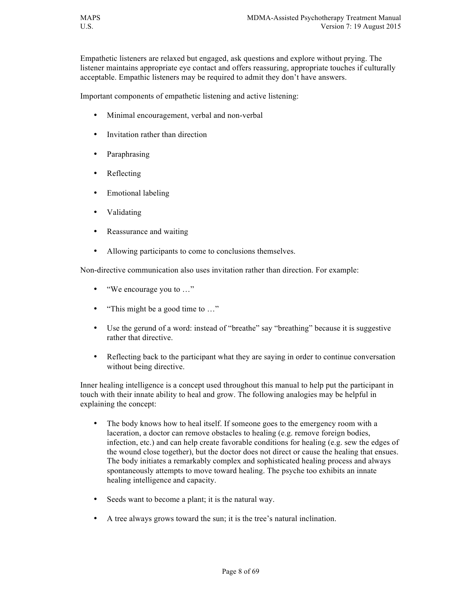Empathetic listeners are relaxed but engaged, ask questions and explore without prying. The

listener maintains appropriate eye contact and offers reassuring, appropriate touches if culturally acceptable. Empathic listeners may be required to admit they don't have answers.

Important components of empathetic listening and active listening:

- Minimal encouragement, verbal and non-verbal
- Invitation rather than direction
- Paraphrasing
- Reflecting
- Emotional labeling
- Validating
- Reassurance and waiting
- Allowing participants to come to conclusions themselves.

Non-directive communication also uses invitation rather than direction. For example:

- "We encourage you to ..."
- "This might be a good time to ..."
- Use the gerund of a word: instead of "breathe" say "breathing" because it is suggestive rather that directive.
- Reflecting back to the participant what they are saying in order to continue conversation without being directive.

Inner healing intelligence is a concept used throughout this manual to help put the participant in touch with their innate ability to heal and grow. The following analogies may be helpful in explaining the concept:

- The body knows how to heal itself. If someone goes to the emergency room with a laceration, a doctor can remove obstacles to healing (e.g. remove foreign bodies, infection, etc.) and can help create favorable conditions for healing (e.g. sew the edges of the wound close together), but the doctor does not direct or cause the healing that ensues. The body initiates a remarkably complex and sophisticated healing process and always spontaneously attempts to move toward healing. The psyche too exhibits an innate healing intelligence and capacity.
- Seeds want to become a plant; it is the natural way.
- A tree always grows toward the sun; it is the tree's natural inclination.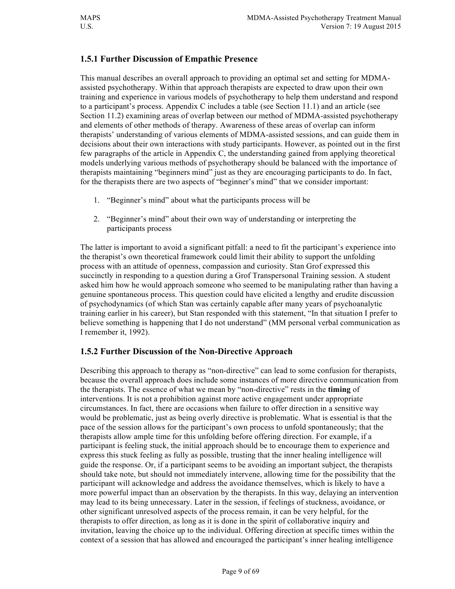## **1.5.1 Further Discussion of Empathic Presence**

This manual describes an overall approach to providing an optimal set and setting for MDMAassisted psychotherapy. Within that approach therapists are expected to draw upon their own training and experience in various models of psychotherapy to help them understand and respond to a participant's process. Appendix C includes a table (see Section 11.1) and an article (see Section 11.2) examining areas of overlap between our method of MDMA-assisted psychotherapy and elements of other methods of therapy. Awareness of these areas of overlap can inform therapists' understanding of various elements of MDMA-assisted sessions, and can guide them in decisions about their own interactions with study participants. However, as pointed out in the first few paragraphs of the article in Appendix C, the understanding gained from applying theoretical models underlying various methods of psychotherapy should be balanced with the importance of therapists maintaining "beginners mind" just as they are encouraging participants to do. In fact, for the therapists there are two aspects of "beginner's mind" that we consider important:

- 1. "Beginner's mind" about what the participants process will be
- 2. "Beginner's mind" about their own way of understanding or interpreting the participants process

The latter is important to avoid a significant pitfall: a need to fit the participant's experience into the therapist's own theoretical framework could limit their ability to support the unfolding process with an attitude of openness, compassion and curiosity. Stan Grof expressed this succinctly in responding to a question during a Grof Transpersonal Training session. A student asked him how he would approach someone who seemed to be manipulating rather than having a genuine spontaneous process. This question could have elicited a lengthy and erudite discussion of psychodynamics (of which Stan was certainly capable after many years of psychoanalytic training earlier in his career), but Stan responded with this statement, "In that situation I prefer to believe something is happening that I do not understand" (MM personal verbal communication as I remember it, 1992).

## **1.5.2 Further Discussion of the Non-Directive Approach**

Describing this approach to therapy as "non-directive" can lead to some confusion for therapists, because the overall approach does include some instances of more directive communication from the therapists. The essence of what we mean by "non-directive" rests in the **timing** of interventions. It is not a prohibition against more active engagement under appropriate circumstances. In fact, there are occasions when failure to offer direction in a sensitive way would be problematic, just as being overly directive is problematic. What is essential is that the pace of the session allows for the participant's own process to unfold spontaneously; that the therapists allow ample time for this unfolding before offering direction. For example, if a participant is feeling stuck, the initial approach should be to encourage them to experience and express this stuck feeling as fully as possible, trusting that the inner healing intelligence will guide the response. Or, if a participant seems to be avoiding an important subject, the therapists should take note, but should not immediately intervene, allowing time for the possibility that the participant will acknowledge and address the avoidance themselves, which is likely to have a more powerful impact than an observation by the therapists. In this way, delaying an intervention may lead to its being unnecessary. Later in the session, if feelings of stuckness, avoidance, or other significant unresolved aspects of the process remain, it can be very helpful, for the therapists to offer direction, as long as it is done in the spirit of collaborative inquiry and invitation, leaving the choice up to the individual. Offering direction at specific times within the context of a session that has allowed and encouraged the participant's inner healing intelligence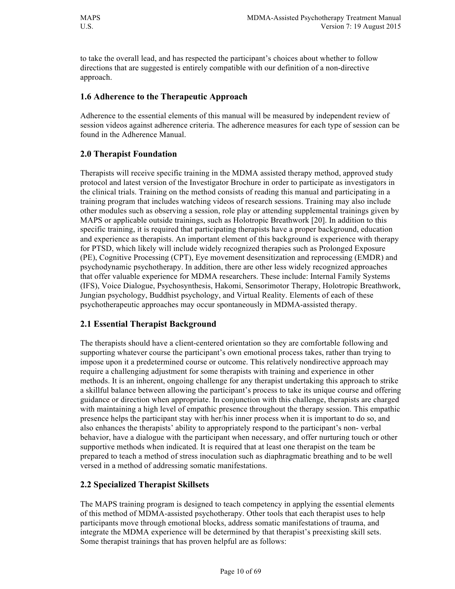to take the overall lead, and has respected the participant's choices about whether to follow directions that are suggested is entirely compatible with our definition of a non-directive approach.

## **1.6 Adherence to the Therapeutic Approach**

Adherence to the essential elements of this manual will be measured by independent review of session videos against adherence criteria. The adherence measures for each type of session can be found in the Adherence Manual.

## **2.0 Therapist Foundation**

Therapists will receive specific training in the MDMA assisted therapy method, approved study protocol and latest version of the Investigator Brochure in order to participate as investigators in the clinical trials. Training on the method consists of reading this manual and participating in a training program that includes watching videos of research sessions. Training may also include other modules such as observing a session, role play or attending supplemental trainings given by MAPS or applicable outside trainings, such as Holotropic Breathwork [20]. In addition to this specific training, it is required that participating therapists have a proper background, education and experience as therapists. An important element of this background is experience with therapy for PTSD, which likely will include widely recognized therapies such as Prolonged Exposure (PE), Cognitive Processing (CPT), Eye movement desensitization and reprocessing (EMDR) and psychodynamic psychotherapy. In addition, there are other less widely recognized approaches that offer valuable experience for MDMA researchers. These include: Internal Family Systems (IFS), Voice Dialogue, Psychosynthesis, Hakomi, Sensorimotor Therapy, Holotropic Breathwork, Jungian psychology, Buddhist psychology, and Virtual Reality. Elements of each of these psychotherapeutic approaches may occur spontaneously in MDMA-assisted therapy.

## **2.1 Essential Therapist Background**

The therapists should have a client-centered orientation so they are comfortable following and supporting whatever course the participant's own emotional process takes, rather than trying to impose upon it a predetermined course or outcome. This relatively nondirective approach may require a challenging adjustment for some therapists with training and experience in other methods. It is an inherent, ongoing challenge for any therapist undertaking this approach to strike a skillful balance between allowing the participant's process to take its unique course and offering guidance or direction when appropriate. In conjunction with this challenge, therapists are charged with maintaining a high level of empathic presence throughout the therapy session. This empathic presence helps the participant stay with her/his inner process when it is important to do so, and also enhances the therapists' ability to appropriately respond to the participant's non- verbal behavior, have a dialogue with the participant when necessary, and offer nurturing touch or other supportive methods when indicated. It is required that at least one therapist on the team be prepared to teach a method of stress inoculation such as diaphragmatic breathing and to be well versed in a method of addressing somatic manifestations.

## **2.2 Specialized Therapist Skillsets**

The MAPS training program is designed to teach competency in applying the essential elements of this method of MDMA-assisted psychotherapy. Other tools that each therapist uses to help participants move through emotional blocks, address somatic manifestations of trauma, and integrate the MDMA experience will be determined by that therapist's preexisting skill sets. Some therapist trainings that has proven helpful are as follows: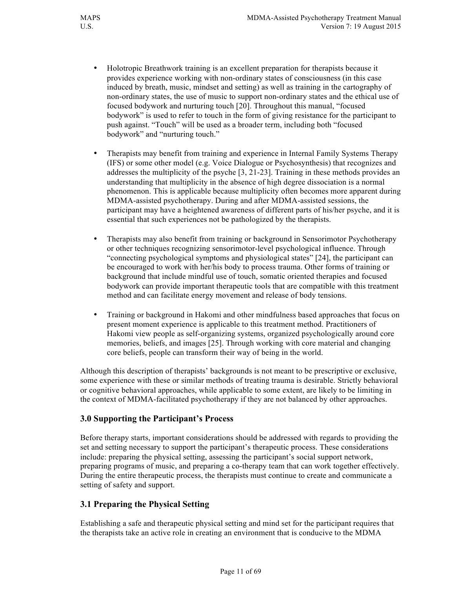- Holotropic Breathwork training is an excellent preparation for therapists because it provides experience working with non-ordinary states of consciousness (in this case induced by breath, music, mindset and setting) as well as training in the cartography of non-ordinary states, the use of music to support non-ordinary states and the ethical use of focused bodywork and nurturing touch [20]. Throughout this manual, "focused bodywork" is used to refer to touch in the form of giving resistance for the participant to push against. "Touch" will be used as a broader term, including both "focused bodywork" and "nurturing touch."
- Therapists may benefit from training and experience in Internal Family Systems Therapy (IFS) or some other model (e.g. Voice Dialogue or Psychosynthesis) that recognizes and addresses the multiplicity of the psyche [3, 21-23]. Training in these methods provides an understanding that multiplicity in the absence of high degree dissociation is a normal phenomenon. This is applicable because multiplicity often becomes more apparent during MDMA-assisted psychotherapy. During and after MDMA-assisted sessions, the participant may have a heightened awareness of different parts of his/her psyche, and it is essential that such experiences not be pathologized by the therapists.
- Therapists may also benefit from training or background in Sensorimotor Psychotherapy or other techniques recognizing sensorimotor-level psychological influence. Through "connecting psychological symptoms and physiological states" [24], the participant can be encouraged to work with her/his body to process trauma. Other forms of training or background that include mindful use of touch, somatic oriented therapies and focused bodywork can provide important therapeutic tools that are compatible with this treatment method and can facilitate energy movement and release of body tensions.
- Training or background in Hakomi and other mindfulness based approaches that focus on present moment experience is applicable to this treatment method. Practitioners of Hakomi view people as self-organizing systems, organized psychologically around core memories, beliefs, and images [25]. Through working with core material and changing core beliefs, people can transform their way of being in the world.

Although this description of therapists' backgrounds is not meant to be prescriptive or exclusive, some experience with these or similar methods of treating trauma is desirable. Strictly behavioral or cognitive behavioral approaches, while applicable to some extent, are likely to be limiting in the context of MDMA-facilitated psychotherapy if they are not balanced by other approaches.

## **3.0 Supporting the Participant's Process**

Before therapy starts, important considerations should be addressed with regards to providing the set and setting necessary to support the participant's therapeutic process. These considerations include: preparing the physical setting, assessing the participant's social support network, preparing programs of music, and preparing a co-therapy team that can work together effectively. During the entire therapeutic process, the therapists must continue to create and communicate a setting of safety and support.

## **3.1 Preparing the Physical Setting**

Establishing a safe and therapeutic physical setting and mind set for the participant requires that the therapists take an active role in creating an environment that is conducive to the MDMA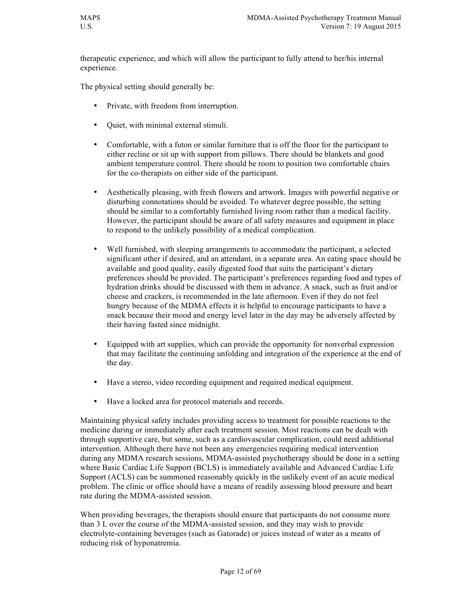therapeutic experience, and which will allow the participant to fully attend to her/his internal experience.

The physical setting should generally be:

- Private, with freedom from interruption.
- Quiet, with minimal external stimuli.
- Comfortable, with a futon or similar furniture that is off the floor for the participant to either recline or sit up with support from pillows. There should be blankets and good ambient temperature control. There should be room to position two comfortable chairs for the co-therapists on either side of the participant.
- Aesthetically pleasing, with fresh flowers and artwork. Images with powerful negative or disturbing connotations should be avoided. To whatever degree possible, the setting should be similar to a comfortably furnished living room rather than a medical facility. However, the participant should be aware of all safety measures and equipment in place to respond to the unlikely possibility of a medical complication.
- Well furnished, with sleeping arrangements to accommodate the participant, a selected significant other if desired, and an attendant, in a separate area. An eating space should be available and good quality, easily digested food that suits the participant's dietary preferences should be provided. The participant's preferences regarding food and types of hydration drinks should be discussed with them in advance. A snack, such as fruit and/or cheese and crackers, is recommended in the late afternoon. Even if they do not feel hungry because of the MDMA effects it is helpful to encourage participants to have a snack because their mood and energy level later in the day may be adversely affected by their having fasted since midnight.
- Equipped with art supplies, which can provide the opportunity for nonverbal expression that may facilitate the continuing unfolding and integration of the experience at the end of the day.
- Have a stereo, video recording equipment and required medical equipment.
- Have a locked area for protocol materials and records.

Maintaining physical safety includes providing access to treatment for possible reactions to the medicine during or immediately after each treatment session. Most reactions can be dealt with through supportive care, but some, such as a cardiovascular complication, could need additional intervention. Although there have not been any emergencies requiring medical intervention during any MDMA research sessions, MDMA-assisted psychotherapy should be done in a setting where Basic Cardiac Life Support (BCLS) is immediately available and Advanced Cardiac Life Support (ACLS) can be summoned reasonably quickly in the unlikely event of an acute medical problem. The clinic or office should have a means of readily assessing blood pressure and heart rate during the MDMA-assisted session.

When providing beverages, the therapists should ensure that participants do not consume more than 3 L over the course of the MDMA-assisted session, and they may wish to provide electrolyte-containing beverages (such as Gatorade) or juices instead of water as a means of reducing risk of hyponatremia.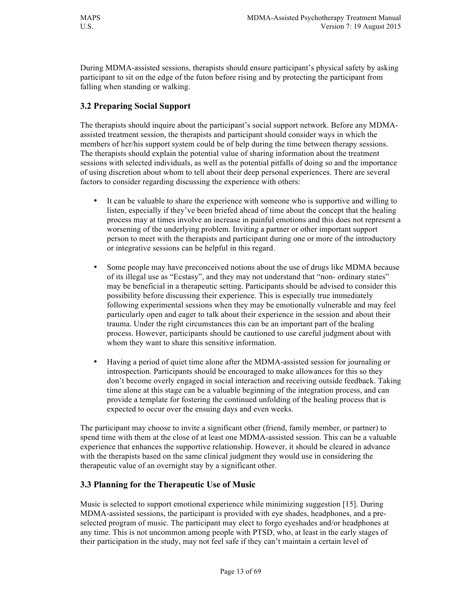During MDMA-assisted sessions, therapists should ensure participant's physical safety by asking participant to sit on the edge of the futon before rising and by protecting the participant from falling when standing or walking.

# **3.2 Preparing Social Support**

The therapists should inquire about the participant's social support network. Before any MDMAassisted treatment session, the therapists and participant should consider ways in which the members of her/his support system could be of help during the time between therapy sessions. The therapists should explain the potential value of sharing information about the treatment sessions with selected individuals, as well as the potential pitfalls of doing so and the importance of using discretion about whom to tell about their deep personal experiences. There are several factors to consider regarding discussing the experience with others:

- It can be valuable to share the experience with someone who is supportive and willing to listen, especially if they've been briefed ahead of time about the concept that the healing process may at times involve an increase in painful emotions and this does not represent a worsening of the underlying problem. Inviting a partner or other important support person to meet with the therapists and participant during one or more of the introductory or integrative sessions can be helpful in this regard.
- Some people may have preconceived notions about the use of drugs like MDMA because of its illegal use as "Ecstasy", and they may not understand that "non- ordinary states" may be beneficial in a therapeutic setting. Participants should be advised to consider this possibility before discussing their experience. This is especially true immediately following experimental sessions when they may be emotionally vulnerable and may feel particularly open and eager to talk about their experience in the session and about their trauma. Under the right circumstances this can be an important part of the healing process. However, participants should be cautioned to use careful judgment about with whom they want to share this sensitive information.
- Having a period of quiet time alone after the MDMA-assisted session for journaling or introspection. Participants should be encouraged to make allowances for this so they don't become overly engaged in social interaction and receiving outside feedback. Taking time alone at this stage can be a valuable beginning of the integration process, and can provide a template for fostering the continued unfolding of the healing process that is expected to occur over the ensuing days and even weeks.

The participant may choose to invite a significant other (friend, family member, or partner) to spend time with them at the close of at least one MDMA-assisted session. This can be a valuable experience that enhances the supportive relationship. However, it should be cleared in advance with the therapists based on the same clinical judgment they would use in considering the therapeutic value of an overnight stay by a significant other.

## **3.3 Planning for the Therapeutic Use of Music**

Music is selected to support emotional experience while minimizing suggestion [15]. During MDMA-assisted sessions, the participant is provided with eye shades, headphones, and a preselected program of music. The participant may elect to forgo eyeshades and/or headphones at any time. This is not uncommon among people with PTSD, who, at least in the early stages of their participation in the study, may not feel safe if they can't maintain a certain level of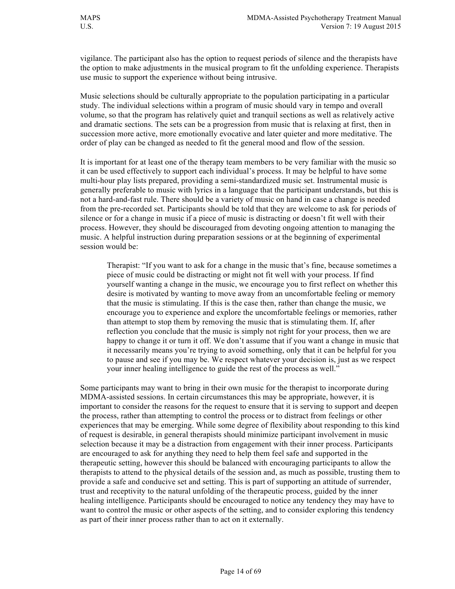vigilance. The participant also has the option to request periods of silence and the therapists have the option to make adjustments in the musical program to fit the unfolding experience. Therapists use music to support the experience without being intrusive.

Music selections should be culturally appropriate to the population participating in a particular study. The individual selections within a program of music should vary in tempo and overall volume, so that the program has relatively quiet and tranquil sections as well as relatively active and dramatic sections. The sets can be a progression from music that is relaxing at first, then in succession more active, more emotionally evocative and later quieter and more meditative. The order of play can be changed as needed to fit the general mood and flow of the session.

It is important for at least one of the therapy team members to be very familiar with the music so it can be used effectively to support each individual's process. It may be helpful to have some multi-hour play lists prepared, providing a semi-standardized music set. Instrumental music is generally preferable to music with lyrics in a language that the participant understands, but this is not a hard-and-fast rule. There should be a variety of music on hand in case a change is needed from the pre-recorded set. Participants should be told that they are welcome to ask for periods of silence or for a change in music if a piece of music is distracting or doesn't fit well with their process. However, they should be discouraged from devoting ongoing attention to managing the music. A helpful instruction during preparation sessions or at the beginning of experimental session would be:

Therapist: "If you want to ask for a change in the music that's fine, because sometimes a piece of music could be distracting or might not fit well with your process. If find yourself wanting a change in the music, we encourage you to first reflect on whether this desire is motivated by wanting to move away from an uncomfortable feeling or memory that the music is stimulating. If this is the case then, rather than change the music, we encourage you to experience and explore the uncomfortable feelings or memories, rather than attempt to stop them by removing the music that is stimulating them. If, after reflection you conclude that the music is simply not right for your process, then we are happy to change it or turn it off. We don't assume that if you want a change in music that it necessarily means you're trying to avoid something, only that it can be helpful for you to pause and see if you may be. We respect whatever your decision is, just as we respect your inner healing intelligence to guide the rest of the process as well."

Some participants may want to bring in their own music for the therapist to incorporate during MDMA-assisted sessions. In certain circumstances this may be appropriate, however, it is important to consider the reasons for the request to ensure that it is serving to support and deepen the process, rather than attempting to control the process or to distract from feelings or other experiences that may be emerging. While some degree of flexibility about responding to this kind of request is desirable, in general therapists should minimize participant involvement in music selection because it may be a distraction from engagement with their inner process. Participants are encouraged to ask for anything they need to help them feel safe and supported in the therapeutic setting, however this should be balanced with encouraging participants to allow the therapists to attend to the physical details of the session and, as much as possible, trusting them to provide a safe and conducive set and setting. This is part of supporting an attitude of surrender, trust and receptivity to the natural unfolding of the therapeutic process, guided by the inner healing intelligence. Participants should be encouraged to notice any tendency they may have to want to control the music or other aspects of the setting, and to consider exploring this tendency as part of their inner process rather than to act on it externally.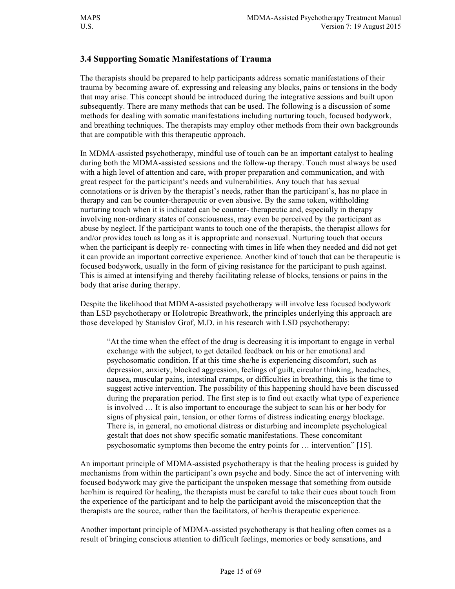## **3.4 Supporting Somatic Manifestations of Trauma**

The therapists should be prepared to help participants address somatic manifestations of their trauma by becoming aware of, expressing and releasing any blocks, pains or tensions in the body that may arise. This concept should be introduced during the integrative sessions and built upon subsequently. There are many methods that can be used. The following is a discussion of some methods for dealing with somatic manifestations including nurturing touch, focused bodywork, and breathing techniques. The therapists may employ other methods from their own backgrounds that are compatible with this therapeutic approach.

In MDMA-assisted psychotherapy, mindful use of touch can be an important catalyst to healing during both the MDMA-assisted sessions and the follow-up therapy. Touch must always be used with a high level of attention and care, with proper preparation and communication, and with great respect for the participant's needs and vulnerabilities. Any touch that has sexual connotations or is driven by the therapist's needs, rather than the participant's, has no place in therapy and can be counter-therapeutic or even abusive. By the same token, withholding nurturing touch when it is indicated can be counter- therapeutic and, especially in therapy involving non-ordinary states of consciousness, may even be perceived by the participant as abuse by neglect. If the participant wants to touch one of the therapists, the therapist allows for and/or provides touch as long as it is appropriate and nonsexual. Nurturing touch that occurs when the participant is deeply re- connecting with times in life when they needed and did not get it can provide an important corrective experience. Another kind of touch that can be therapeutic is focused bodywork, usually in the form of giving resistance for the participant to push against. This is aimed at intensifying and thereby facilitating release of blocks, tensions or pains in the body that arise during therapy.

Despite the likelihood that MDMA-assisted psychotherapy will involve less focused bodywork than LSD psychotherapy or Holotropic Breathwork, the principles underlying this approach are those developed by Stanislov Grof, M.D. in his research with LSD psychotherapy:

"At the time when the effect of the drug is decreasing it is important to engage in verbal exchange with the subject, to get detailed feedback on his or her emotional and psychosomatic condition. If at this time she/he is experiencing discomfort, such as depression, anxiety, blocked aggression, feelings of guilt, circular thinking, headaches, nausea, muscular pains, intestinal cramps, or difficulties in breathing, this is the time to suggest active intervention. The possibility of this happening should have been discussed during the preparation period. The first step is to find out exactly what type of experience is involved … It is also important to encourage the subject to scan his or her body for signs of physical pain, tension, or other forms of distress indicating energy blockage. There is, in general, no emotional distress or disturbing and incomplete psychological gestalt that does not show specific somatic manifestations. These concomitant psychosomatic symptoms then become the entry points for … intervention" [15].

An important principle of MDMA-assisted psychotherapy is that the healing process is guided by mechanisms from within the participant's own psyche and body. Since the act of intervening with focused bodywork may give the participant the unspoken message that something from outside her/him is required for healing, the therapists must be careful to take their cues about touch from the experience of the participant and to help the participant avoid the misconception that the therapists are the source, rather than the facilitators, of her/his therapeutic experience.

Another important principle of MDMA-assisted psychotherapy is that healing often comes as a result of bringing conscious attention to difficult feelings, memories or body sensations, and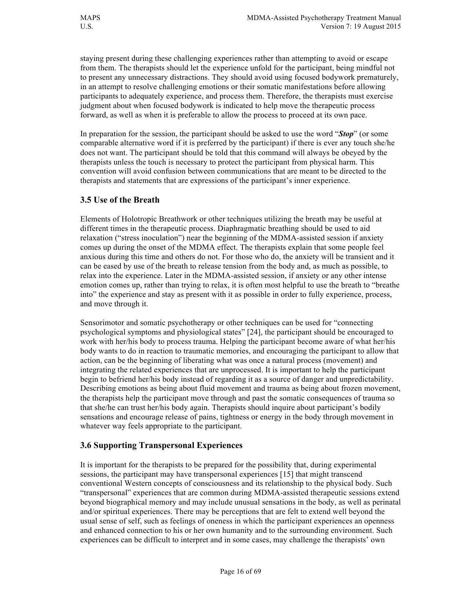staying present during these challenging experiences rather than attempting to avoid or escape from them. The therapists should let the experience unfold for the participant, being mindful not to present any unnecessary distractions. They should avoid using focused bodywork prematurely, in an attempt to resolve challenging emotions or their somatic manifestations before allowing participants to adequately experience, and process them. Therefore, the therapists must exercise judgment about when focused bodywork is indicated to help move the therapeutic process forward, as well as when it is preferable to allow the process to proceed at its own pace.

In preparation for the session, the participant should be asked to use the word "*Stop*" (or some comparable alternative word if it is preferred by the participant) if there is ever any touch she/he does not want. The participant should be told that this command will always be obeyed by the therapists unless the touch is necessary to protect the participant from physical harm. This convention will avoid confusion between communications that are meant to be directed to the therapists and statements that are expressions of the participant's inner experience.

## **3.5 Use of the Breath**

Elements of Holotropic Breathwork or other techniques utilizing the breath may be useful at different times in the therapeutic process. Diaphragmatic breathing should be used to aid relaxation ("stress inoculation") near the beginning of the MDMA-assisted session if anxiety comes up during the onset of the MDMA effect. The therapists explain that some people feel anxious during this time and others do not. For those who do, the anxiety will be transient and it can be eased by use of the breath to release tension from the body and, as much as possible, to relax into the experience. Later in the MDMA-assisted session, if anxiety or any other intense emotion comes up, rather than trying to relax, it is often most helpful to use the breath to "breathe into" the experience and stay as present with it as possible in order to fully experience, process, and move through it.

Sensorimotor and somatic psychotherapy or other techniques can be used for "connecting psychological symptoms and physiological states" [24], the participant should be encouraged to work with her/his body to process trauma. Helping the participant become aware of what her/his body wants to do in reaction to traumatic memories, and encouraging the participant to allow that action, can be the beginning of liberating what was once a natural process (movement) and integrating the related experiences that are unprocessed. It is important to help the participant begin to befriend her/his body instead of regarding it as a source of danger and unpredictability. Describing emotions as being about fluid movement and trauma as being about frozen movement, the therapists help the participant move through and past the somatic consequences of trauma so that she/he can trust her/his body again. Therapists should inquire about participant's bodily sensations and encourage release of pains, tightness or energy in the body through movement in whatever way feels appropriate to the participant.

## **3.6 Supporting Transpersonal Experiences**

It is important for the therapists to be prepared for the possibility that, during experimental sessions, the participant may have transpersonal experiences [15] that might transcend conventional Western concepts of consciousness and its relationship to the physical body. Such "transpersonal" experiences that are common during MDMA-assisted therapeutic sessions extend beyond biographical memory and may include unusual sensations in the body, as well as perinatal and/or spiritual experiences. There may be perceptions that are felt to extend well beyond the usual sense of self, such as feelings of oneness in which the participant experiences an openness and enhanced connection to his or her own humanity and to the surrounding environment. Such experiences can be difficult to interpret and in some cases, may challenge the therapists' own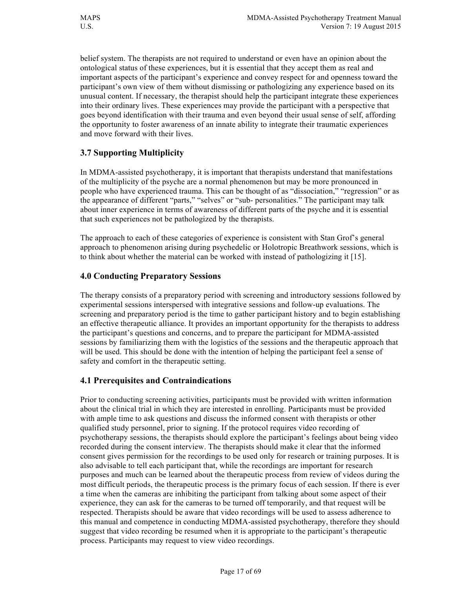belief system. The therapists are not required to understand or even have an opinion about the ontological status of these experiences, but it is essential that they accept them as real and important aspects of the participant's experience and convey respect for and openness toward the participant's own view of them without dismissing or pathologizing any experience based on its unusual content. If necessary, the therapist should help the participant integrate these experiences into their ordinary lives. These experiences may provide the participant with a perspective that goes beyond identification with their trauma and even beyond their usual sense of self, affording the opportunity to foster awareness of an innate ability to integrate their traumatic experiences and move forward with their lives.

## **3.7 Supporting Multiplicity**

In MDMA-assisted psychotherapy, it is important that therapists understand that manifestations of the multiplicity of the psyche are a normal phenomenon but may be more pronounced in people who have experienced trauma. This can be thought of as "dissociation," "regression" or as the appearance of different "parts," "selves" or "sub- personalities." The participant may talk about inner experience in terms of awareness of different parts of the psyche and it is essential that such experiences not be pathologized by the therapists.

The approach to each of these categories of experience is consistent with Stan Grof's general approach to phenomenon arising during psychedelic or Holotropic Breathwork sessions, which is to think about whether the material can be worked with instead of pathologizing it [15].

## **4.0 Conducting Preparatory Sessions**

The therapy consists of a preparatory period with screening and introductory sessions followed by experimental sessions interspersed with integrative sessions and follow-up evaluations. The screening and preparatory period is the time to gather participant history and to begin establishing an effective therapeutic alliance. It provides an important opportunity for the therapists to address the participant's questions and concerns, and to prepare the participant for MDMA-assisted sessions by familiarizing them with the logistics of the sessions and the therapeutic approach that will be used. This should be done with the intention of helping the participant feel a sense of safety and comfort in the therapeutic setting.

## **4.1 Prerequisites and Contraindications**

Prior to conducting screening activities, participants must be provided with written information about the clinical trial in which they are interested in enrolling. Participants must be provided with ample time to ask questions and discuss the informed consent with therapists or other qualified study personnel, prior to signing. If the protocol requires video recording of psychotherapy sessions, the therapists should explore the participant's feelings about being video recorded during the consent interview. The therapists should make it clear that the informed consent gives permission for the recordings to be used only for research or training purposes. It is also advisable to tell each participant that, while the recordings are important for research purposes and much can be learned about the therapeutic process from review of videos during the most difficult periods, the therapeutic process is the primary focus of each session. If there is ever a time when the cameras are inhibiting the participant from talking about some aspect of their experience, they can ask for the cameras to be turned off temporarily, and that request will be respected. Therapists should be aware that video recordings will be used to assess adherence to this manual and competence in conducting MDMA-assisted psychotherapy, therefore they should suggest that video recording be resumed when it is appropriate to the participant's therapeutic process. Participants may request to view video recordings.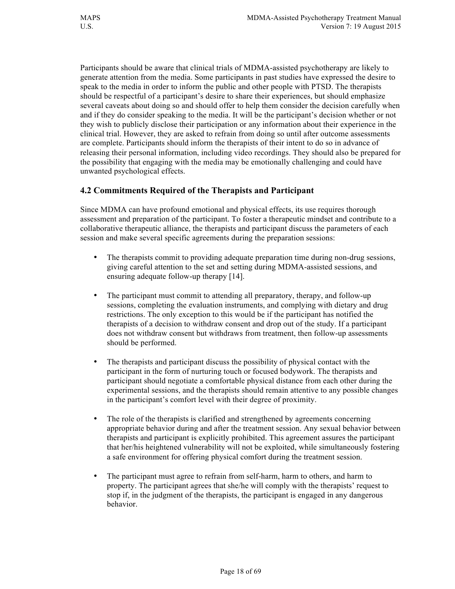Participants should be aware that clinical trials of MDMA-assisted psychotherapy are likely to

generate attention from the media. Some participants in past studies have expressed the desire to speak to the media in order to inform the public and other people with PTSD. The therapists should be respectful of a participant's desire to share their experiences, but should emphasize several caveats about doing so and should offer to help them consider the decision carefully when and if they do consider speaking to the media. It will be the participant's decision whether or not they wish to publicly disclose their participation or any information about their experience in the clinical trial. However, they are asked to refrain from doing so until after outcome assessments are complete. Participants should inform the therapists of their intent to do so in advance of releasing their personal information, including video recordings. They should also be prepared for the possibility that engaging with the media may be emotionally challenging and could have unwanted psychological effects.

## **4.2 Commitments Required of the Therapists and Participant**

Since MDMA can have profound emotional and physical effects, its use requires thorough assessment and preparation of the participant. To foster a therapeutic mindset and contribute to a collaborative therapeutic alliance, the therapists and participant discuss the parameters of each session and make several specific agreements during the preparation sessions:

- The therapists commit to providing adequate preparation time during non-drug sessions, giving careful attention to the set and setting during MDMA-assisted sessions, and ensuring adequate follow-up therapy [14].
- The participant must commit to attending all preparatory, therapy, and follow-up sessions, completing the evaluation instruments, and complying with dietary and drug restrictions. The only exception to this would be if the participant has notified the therapists of a decision to withdraw consent and drop out of the study. If a participant does not withdraw consent but withdraws from treatment, then follow-up assessments should be performed.
- The therapists and participant discuss the possibility of physical contact with the participant in the form of nurturing touch or focused bodywork. The therapists and participant should negotiate a comfortable physical distance from each other during the experimental sessions, and the therapists should remain attentive to any possible changes in the participant's comfort level with their degree of proximity.
- The role of the therapists is clarified and strengthened by agreements concerning appropriate behavior during and after the treatment session. Any sexual behavior between therapists and participant is explicitly prohibited. This agreement assures the participant that her/his heightened vulnerability will not be exploited, while simultaneously fostering a safe environment for offering physical comfort during the treatment session.
- The participant must agree to refrain from self-harm, harm to others, and harm to property. The participant agrees that she/he will comply with the therapists' request to stop if, in the judgment of the therapists, the participant is engaged in any dangerous behavior.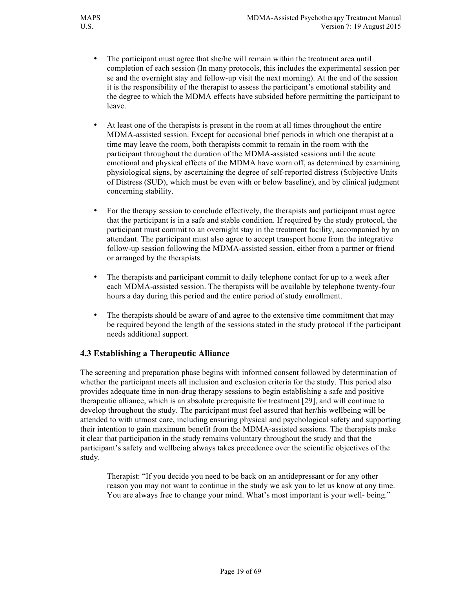- The participant must agree that she/he will remain within the treatment area until completion of each session (In many protocols, this includes the experimental session per se and the overnight stay and follow-up visit the next morning). At the end of the session it is the responsibility of the therapist to assess the participant's emotional stability and the degree to which the MDMA effects have subsided before permitting the participant to leave.
- At least one of the therapists is present in the room at all times throughout the entire MDMA-assisted session. Except for occasional brief periods in which one therapist at a time may leave the room, both therapists commit to remain in the room with the participant throughout the duration of the MDMA-assisted sessions until the acute emotional and physical effects of the MDMA have worn off, as determined by examining physiological signs, by ascertaining the degree of self-reported distress (Subjective Units of Distress (SUD), which must be even with or below baseline), and by clinical judgment concerning stability.
- For the therapy session to conclude effectively, the therapists and participant must agree that the participant is in a safe and stable condition. If required by the study protocol, the participant must commit to an overnight stay in the treatment facility, accompanied by an attendant. The participant must also agree to accept transport home from the integrative follow-up session following the MDMA-assisted session, either from a partner or friend or arranged by the therapists.
- The therapists and participant commit to daily telephone contact for up to a week after each MDMA-assisted session. The therapists will be available by telephone twenty-four hours a day during this period and the entire period of study enrollment.
- The therapists should be aware of and agree to the extensive time commitment that may be required beyond the length of the sessions stated in the study protocol if the participant needs additional support.

## **4.3 Establishing a Therapeutic Alliance**

The screening and preparation phase begins with informed consent followed by determination of whether the participant meets all inclusion and exclusion criteria for the study. This period also provides adequate time in non-drug therapy sessions to begin establishing a safe and positive therapeutic alliance, which is an absolute prerequisite for treatment [29], and will continue to develop throughout the study. The participant must feel assured that her/his wellbeing will be attended to with utmost care, including ensuring physical and psychological safety and supporting their intention to gain maximum benefit from the MDMA-assisted sessions. The therapists make it clear that participation in the study remains voluntary throughout the study and that the participant's safety and wellbeing always takes precedence over the scientific objectives of the study.

Therapist: "If you decide you need to be back on an antidepressant or for any other reason you may not want to continue in the study we ask you to let us know at any time. You are always free to change your mind. What's most important is your well- being."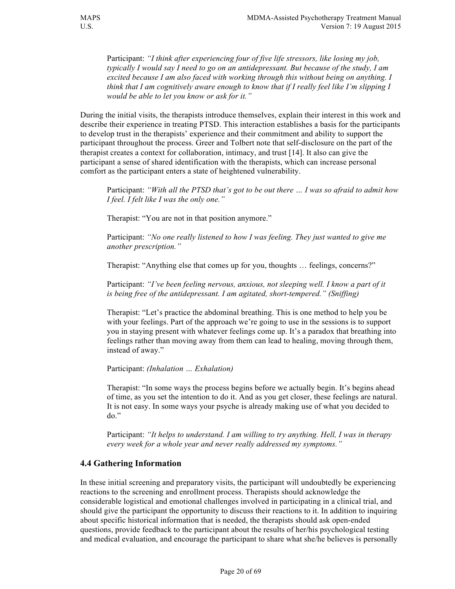Participant: *"I think after experiencing four of five life stressors, like losing my job, typically I would say I need to go on an antidepressant. But because of the study, I am excited because I am also faced with working through this without being on anything. I think that I am cognitively aware enough to know that if I really feel like I'm slipping I would be able to let you know or ask for it."*

During the initial visits, the therapists introduce themselves, explain their interest in this work and describe their experience in treating PTSD. This interaction establishes a basis for the participants to develop trust in the therapists' experience and their commitment and ability to support the participant throughout the process. Greer and Tolbert note that self-disclosure on the part of the therapist creates a context for collaboration, intimacy, and trust [14]. It also can give the participant a sense of shared identification with the therapists, which can increase personal comfort as the participant enters a state of heightened vulnerability.

Participant: *"With all the PTSD that's got to be out there … I was so afraid to admit how I feel. I felt like I was the only one."*

Therapist: "You are not in that position anymore."

Participant: *"No one really listened to how I was feeling. They just wanted to give me another prescription."*

Therapist: "Anything else that comes up for you, thoughts … feelings, concerns?"

Participant: *"I've been feeling nervous, anxious, not sleeping well. I know a part of it is being free of the antidepressant. I am agitated, short-tempered." (Sniffing)*

Therapist: "Let's practice the abdominal breathing. This is one method to help you be with your feelings. Part of the approach we're going to use in the sessions is to support you in staying present with whatever feelings come up. It's a paradox that breathing into feelings rather than moving away from them can lead to healing, moving through them, instead of away."

Participant: *(Inhalation … Exhalation)*

Therapist: "In some ways the process begins before we actually begin. It's begins ahead of time, as you set the intention to do it. And as you get closer, these feelings are natural. It is not easy. In some ways your psyche is already making use of what you decided to do."

Participant: *"It helps to understand. I am willing to try anything. Hell, I was in therapy every week for a whole year and never really addressed my symptoms."*

#### **4.4 Gathering Information**

In these initial screening and preparatory visits, the participant will undoubtedly be experiencing reactions to the screening and enrollment process. Therapists should acknowledge the considerable logistical and emotional challenges involved in participating in a clinical trial, and should give the participant the opportunity to discuss their reactions to it. In addition to inquiring about specific historical information that is needed, the therapists should ask open-ended questions, provide feedback to the participant about the results of her/his psychological testing and medical evaluation, and encourage the participant to share what she/he believes is personally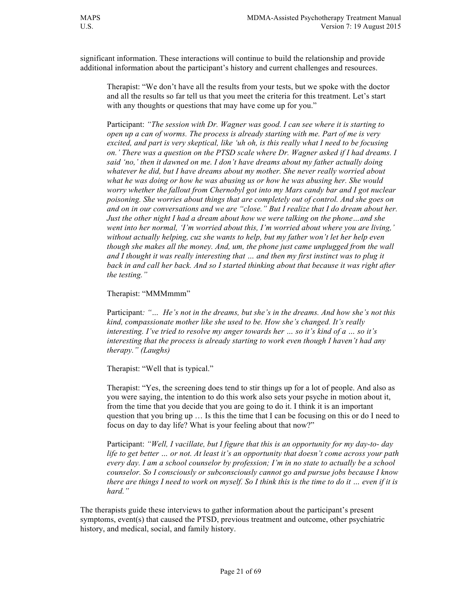significant information. These interactions will continue to build the relationship and provide additional information about the participant's history and current challenges and resources.

Therapist: "We don't have all the results from your tests, but we spoke with the doctor and all the results so far tell us that you meet the criteria for this treatment. Let's start with any thoughts or questions that may have come up for you."

Participant: *"The session with Dr. Wagner was good. I can see where it is starting to open up a can of worms. The process is already starting with me. Part of me is very excited, and part is very skeptical, like 'uh oh, is this really what I need to be focusing on.' There was a question on the PTSD scale where Dr. Wagner asked if I had dreams. I said 'no,' then it dawned on me. I don't have dreams about my father actually doing whatever he did, but I have dreams about my mother. She never really worried about what he was doing or how he was abusing us or how he was abusing her. She would worry whether the fallout from Chernobyl got into my Mars candy bar and I got nuclear poisoning. She worries about things that are completely out of control. And she goes on and on in our conversations and we are "close." But I realize that I do dream about her. Just the other night I had a dream about how we were talking on the phone…and she went into her normal, 'I'm worried about this, I'm worried about where you are living,' without actually helping, cuz she wants to help, but my father won't let her help even though she makes all the money. And, um, the phone just came unplugged from the wall and I thought it was really interesting that … and then my first instinct was to plug it back in and call her back. And so I started thinking about that because it was right after the testing."*

#### Therapist: "MMMmmm"

Participant*: "… He's not in the dreams, but she's in the dreams. And how she's not this kind, compassionate mother like she used to be. How she's changed. It's really interesting. I've tried to resolve my anger towards her … so it's kind of a … so it's interesting that the process is already starting to work even though I haven't had any therapy." (Laughs)*

Therapist: "Well that is typical."

Therapist: "Yes, the screening does tend to stir things up for a lot of people. And also as you were saying, the intention to do this work also sets your psyche in motion about it, from the time that you decide that you are going to do it. I think it is an important question that you bring up … Is this the time that I can be focusing on this or do I need to focus on day to day life? What is your feeling about that now?"

Participant: *"Well, I vacillate, but I figure that this is an opportunity for my day-to- day life to get better … or not. At least it's an opportunity that doesn't come across your path every day. I am a school counselor by profession; I'm in no state to actually be a school counselor. So I consciously or subconsciously cannot go and pursue jobs because I know there are things I need to work on myself. So I think this is the time to do it … even if it is hard."*

The therapists guide these interviews to gather information about the participant's present symptoms, event(s) that caused the PTSD, previous treatment and outcome, other psychiatric history, and medical, social, and family history.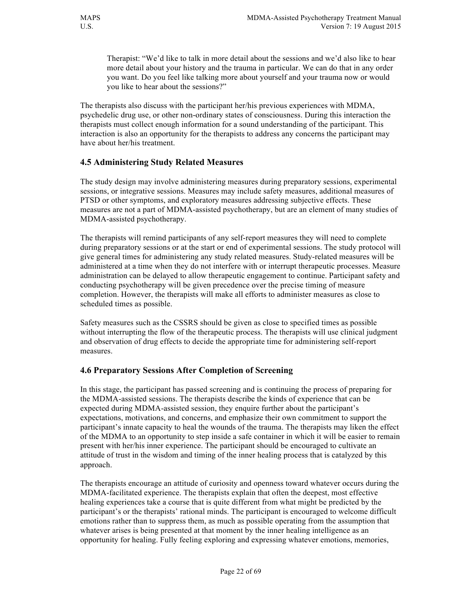Therapist: "We'd like to talk in more detail about the sessions and we'd also like to hear more detail about your history and the trauma in particular. We can do that in any order you want. Do you feel like talking more about yourself and your trauma now or would you like to hear about the sessions?"

The therapists also discuss with the participant her/his previous experiences with MDMA, psychedelic drug use, or other non-ordinary states of consciousness. During this interaction the therapists must collect enough information for a sound understanding of the participant. This interaction is also an opportunity for the therapists to address any concerns the participant may have about her/his treatment.

#### **4.5 Administering Study Related Measures**

The study design may involve administering measures during preparatory sessions, experimental sessions, or integrative sessions. Measures may include safety measures, additional measures of PTSD or other symptoms, and exploratory measures addressing subjective effects. These measures are not a part of MDMA-assisted psychotherapy, but are an element of many studies of MDMA-assisted psychotherapy.

The therapists will remind participants of any self-report measures they will need to complete during preparatory sessions or at the start or end of experimental sessions. The study protocol will give general times for administering any study related measures. Study-related measures will be administered at a time when they do not interfere with or interrupt therapeutic processes. Measure administration can be delayed to allow therapeutic engagement to continue. Participant safety and conducting psychotherapy will be given precedence over the precise timing of measure completion. However, the therapists will make all efforts to administer measures as close to scheduled times as possible.

Safety measures such as the CSSRS should be given as close to specified times as possible without interrupting the flow of the therapeutic process. The therapists will use clinical judgment and observation of drug effects to decide the appropriate time for administering self-report measures.

#### **4.6 Preparatory Sessions After Completion of Screening**

In this stage, the participant has passed screening and is continuing the process of preparing for the MDMA-assisted sessions. The therapists describe the kinds of experience that can be expected during MDMA-assisted session, they enquire further about the participant's expectations, motivations, and concerns, and emphasize their own commitment to support the participant's innate capacity to heal the wounds of the trauma. The therapists may liken the effect of the MDMA to an opportunity to step inside a safe container in which it will be easier to remain present with her/his inner experience. The participant should be encouraged to cultivate an attitude of trust in the wisdom and timing of the inner healing process that is catalyzed by this approach.

The therapists encourage an attitude of curiosity and openness toward whatever occurs during the MDMA-facilitated experience. The therapists explain that often the deepest, most effective healing experiences take a course that is quite different from what might be predicted by the participant's or the therapists' rational minds. The participant is encouraged to welcome difficult emotions rather than to suppress them, as much as possible operating from the assumption that whatever arises is being presented at that moment by the inner healing intelligence as an opportunity for healing. Fully feeling exploring and expressing whatever emotions, memories,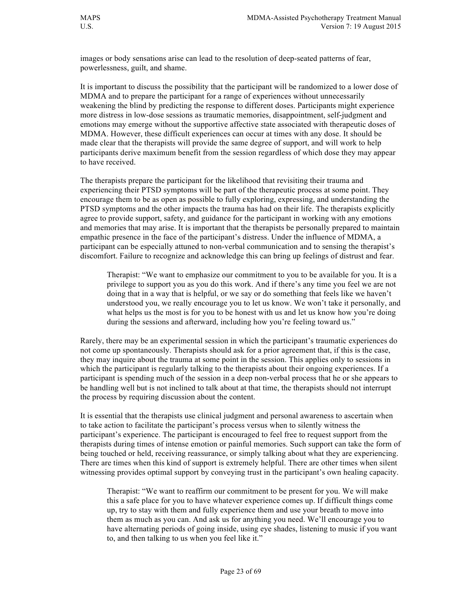images or body sensations arise can lead to the resolution of deep-seated patterns of fear, powerlessness, guilt, and shame.

It is important to discuss the possibility that the participant will be randomized to a lower dose of MDMA and to prepare the participant for a range of experiences without unnecessarily weakening the blind by predicting the response to different doses. Participants might experience more distress in low-dose sessions as traumatic memories, disappointment, self-judgment and emotions may emerge without the supportive affective state associated with therapeutic doses of MDMA. However, these difficult experiences can occur at times with any dose. It should be made clear that the therapists will provide the same degree of support, and will work to help participants derive maximum benefit from the session regardless of which dose they may appear to have received.

The therapists prepare the participant for the likelihood that revisiting their trauma and experiencing their PTSD symptoms will be part of the therapeutic process at some point. They encourage them to be as open as possible to fully exploring, expressing, and understanding the PTSD symptoms and the other impacts the trauma has had on their life. The therapists explicitly agree to provide support, safety, and guidance for the participant in working with any emotions and memories that may arise. It is important that the therapists be personally prepared to maintain empathic presence in the face of the participant's distress. Under the influence of MDMA, a participant can be especially attuned to non-verbal communication and to sensing the therapist's discomfort. Failure to recognize and acknowledge this can bring up feelings of distrust and fear.

Therapist: "We want to emphasize our commitment to you to be available for you. It is a privilege to support you as you do this work. And if there's any time you feel we are not doing that in a way that is helpful, or we say or do something that feels like we haven't understood you, we really encourage you to let us know. We won't take it personally, and what helps us the most is for you to be honest with us and let us know how you're doing during the sessions and afterward, including how you're feeling toward us."

Rarely, there may be an experimental session in which the participant's traumatic experiences do not come up spontaneously. Therapists should ask for a prior agreement that, if this is the case, they may inquire about the trauma at some point in the session. This applies only to sessions in which the participant is regularly talking to the therapists about their ongoing experiences. If a participant is spending much of the session in a deep non-verbal process that he or she appears to be handling well but is not inclined to talk about at that time, the therapists should not interrupt the process by requiring discussion about the content.

It is essential that the therapists use clinical judgment and personal awareness to ascertain when to take action to facilitate the participant's process versus when to silently witness the participant's experience. The participant is encouraged to feel free to request support from the therapists during times of intense emotion or painful memories. Such support can take the form of being touched or held, receiving reassurance, or simply talking about what they are experiencing. There are times when this kind of support is extremely helpful. There are other times when silent witnessing provides optimal support by conveying trust in the participant's own healing capacity.

Therapist: "We want to reaffirm our commitment to be present for you. We will make this a safe place for you to have whatever experience comes up. If difficult things come up, try to stay with them and fully experience them and use your breath to move into them as much as you can. And ask us for anything you need. We'll encourage you to have alternating periods of going inside, using eye shades, listening to music if you want to, and then talking to us when you feel like it."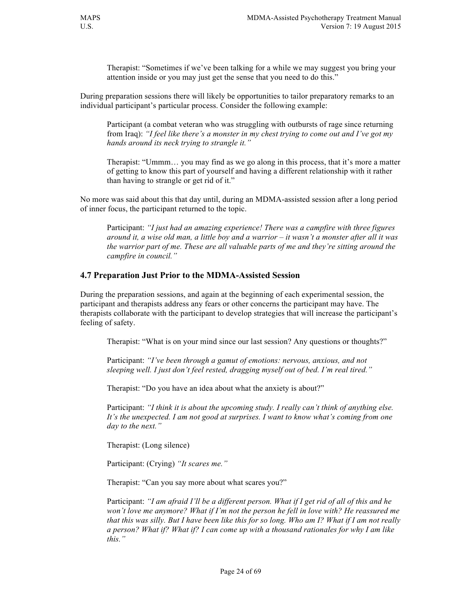Therapist: "Sometimes if we've been talking for a while we may suggest you bring your attention inside or you may just get the sense that you need to do this."

During preparation sessions there will likely be opportunities to tailor preparatory remarks to an individual participant's particular process. Consider the following example:

Participant (a combat veteran who was struggling with outbursts of rage since returning from Iraq): *"I feel like there's a monster in my chest trying to come out and I've got my hands around its neck trying to strangle it."*

Therapist: "Ummm… you may find as we go along in this process, that it's more a matter of getting to know this part of yourself and having a different relationship with it rather than having to strangle or get rid of it."

No more was said about this that day until, during an MDMA-assisted session after a long period of inner focus, the participant returned to the topic.

Participant: *"I just had an amazing experience! There was a campfire with three figures around it, a wise old man, a little boy and a warrior – it wasn't a monster after all it was the warrior part of me. These are all valuable parts of me and they're sitting around the campfire in council."*

#### **4.7 Preparation Just Prior to the MDMA-Assisted Session**

During the preparation sessions, and again at the beginning of each experimental session, the participant and therapists address any fears or other concerns the participant may have. The therapists collaborate with the participant to develop strategies that will increase the participant's feeling of safety.

Therapist: "What is on your mind since our last session? Any questions or thoughts?"

Participant: *"I've been through a gamut of emotions: nervous, anxious, and not sleeping well. I just don't feel rested, dragging myself out of bed. I'm real tired."*

Therapist: "Do you have an idea about what the anxiety is about?"

Participant: *"I think it is about the upcoming study. I really can't think of anything else. It's the unexpected. I am not good at surprises. I want to know what's coming from one day to the next."*

Therapist: (Long silence)

Participant: (Crying) *"It scares me."*

Therapist: "Can you say more about what scares you?"

Participant: *"I am afraid I'll be a different person. What if I get rid of all of this and he won't love me anymore? What if I'm not the person he fell in love with? He reassured me that this was silly. But I have been like this for so long. Who am I? What if I am not really a person? What if? What if? I can come up with a thousand rationales for why I am like this."*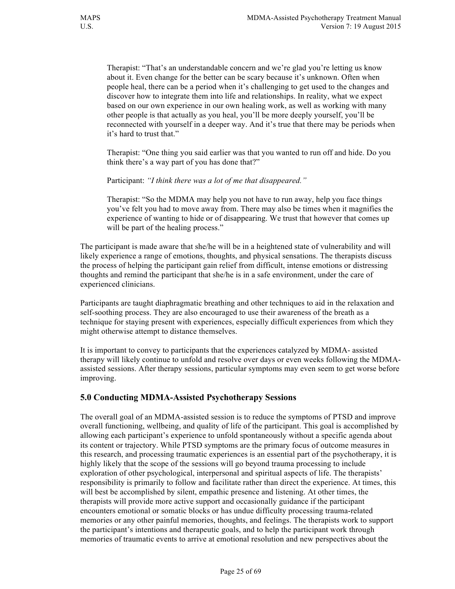Therapist: "That's an understandable concern and we're glad you're letting us know about it. Even change for the better can be scary because it's unknown. Often when people heal, there can be a period when it's challenging to get used to the changes and discover how to integrate them into life and relationships. In reality, what we expect based on our own experience in our own healing work, as well as working with many other people is that actually as you heal, you'll be more deeply yourself, you'll be reconnected with yourself in a deeper way. And it's true that there may be periods when it's hard to trust that."

Therapist: "One thing you said earlier was that you wanted to run off and hide. Do you think there's a way part of you has done that?"

Participant: *"I think there was a lot of me that disappeared."*

Therapist: "So the MDMA may help you not have to run away, help you face things you've felt you had to move away from. There may also be times when it magnifies the experience of wanting to hide or of disappearing. We trust that however that comes up will be part of the healing process."

The participant is made aware that she/he will be in a heightened state of vulnerability and will likely experience a range of emotions, thoughts, and physical sensations. The therapists discuss the process of helping the participant gain relief from difficult, intense emotions or distressing thoughts and remind the participant that she/he is in a safe environment, under the care of experienced clinicians.

Participants are taught diaphragmatic breathing and other techniques to aid in the relaxation and self-soothing process. They are also encouraged to use their awareness of the breath as a technique for staying present with experiences, especially difficult experiences from which they might otherwise attempt to distance themselves.

It is important to convey to participants that the experiences catalyzed by MDMA- assisted therapy will likely continue to unfold and resolve over days or even weeks following the MDMAassisted sessions. After therapy sessions, particular symptoms may even seem to get worse before improving.

#### **5.0 Conducting MDMA-Assisted Psychotherapy Sessions**

The overall goal of an MDMA-assisted session is to reduce the symptoms of PTSD and improve overall functioning, wellbeing, and quality of life of the participant. This goal is accomplished by allowing each participant's experience to unfold spontaneously without a specific agenda about its content or trajectory. While PTSD symptoms are the primary focus of outcome measures in this research, and processing traumatic experiences is an essential part of the psychotherapy, it is highly likely that the scope of the sessions will go beyond trauma processing to include exploration of other psychological, interpersonal and spiritual aspects of life. The therapists' responsibility is primarily to follow and facilitate rather than direct the experience. At times, this will best be accomplished by silent, empathic presence and listening. At other times, the therapists will provide more active support and occasionally guidance if the participant encounters emotional or somatic blocks or has undue difficulty processing trauma-related memories or any other painful memories, thoughts, and feelings. The therapists work to support the participant's intentions and therapeutic goals, and to help the participant work through memories of traumatic events to arrive at emotional resolution and new perspectives about the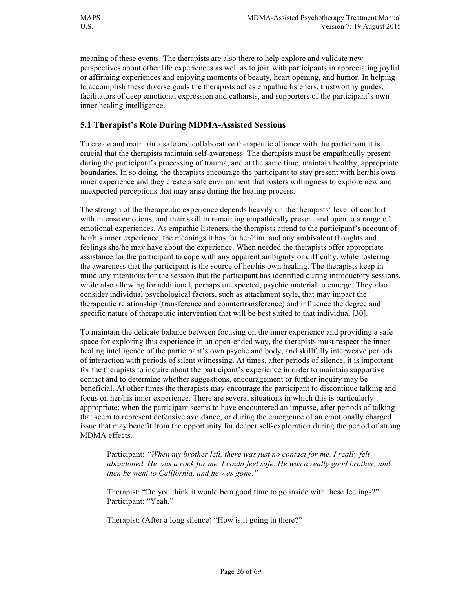meaning of these events. The therapists are also there to help explore and validate new perspectives about other life experiences as well as to join with participants in appreciating joyful or affirming experiences and enjoying moments of beauty, heart opening, and humor. In helping to accomplish these diverse goals the therapists act as empathic listeners, trustworthy guides, facilitators of deep emotional expression and catharsis, and supporters of the participant's own inner healing intelligence.

## **5.1 Therapist's Role During MDMA-Assisted Sessions**

To create and maintain a safe and collaborative therapeutic alliance with the participant it is crucial that the therapists maintain self-awareness. The therapists must be empathically present during the participant's processing of trauma, and at the same time, maintain healthy, appropriate boundaries. In so doing, the therapists encourage the participant to stay present with her/his own inner experience and they create a safe environment that fosters willingness to explore new and unexpected perceptions that may arise during the healing process.

The strength of the therapeutic experience depends heavily on the therapists' level of comfort with intense emotions, and their skill in remaining empathically present and open to a range of emotional experiences. As empathic listeners, the therapists attend to the participant's account of her/his inner experience, the meanings it has for her/him, and any ambivalent thoughts and feelings she/he may have about the experience. When needed the therapists offer appropriate assistance for the participant to cope with any apparent ambiguity or difficulty, while fostering the awareness that the participant is the source of her/his own healing. The therapists keep in mind any intentions for the session that the participant has identified during introductory sessions, while also allowing for additional, perhaps unexpected, psychic material to emerge. They also consider individual psychological factors, such as attachment style, that may impact the therapeutic relationship (transference and countertransference) and influence the degree and specific nature of therapeutic intervention that will be best suited to that individual [30].

To maintain the delicate balance between focusing on the inner experience and providing a safe space for exploring this experience in an open-ended way, the therapists must respect the inner healing intelligence of the participant's own psyche and body, and skillfully interweave periods of interaction with periods of silent witnessing. At times, after periods of silence, it is important for the therapists to inquire about the participant's experience in order to maintain supportive contact and to determine whether suggestions, encouragement or further inquiry may be beneficial. At other times the therapists may encourage the participant to discontinue talking and focus on her/his inner experience. There are several situations in which this is particularly appropriate: when the participant seems to have encountered an impasse, after periods of talking that seem to represent defensive avoidance, or during the emergence of an emotionally charged issue that may benefit from the opportunity for deeper self-exploration during the period of strong MDMA effects.

Participant: *"When my brother left, there was just no contact for me. I really felt abandoned. He was a rock for me. I could feel safe. He was a really good brother, and then he went to California, and he was gone."*

Therapist: "Do you think it would be a good time to go inside with these feelings?" Participant: "Yeah."

Therapist: (After a long silence) "How is it going in there?"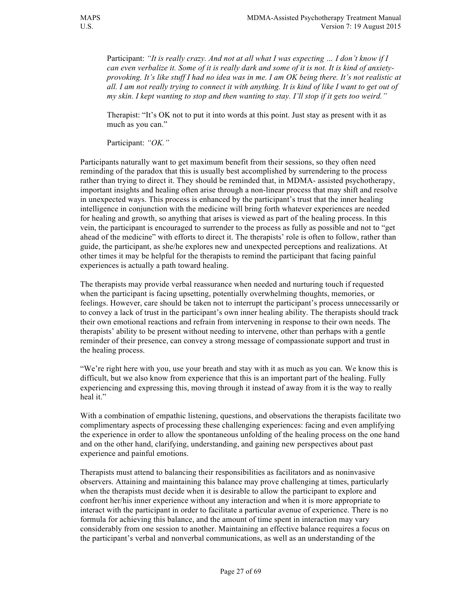Participant: *"It is really crazy. And not at all what I was expecting … I don't know if I can even verbalize it. Some of it is really dark and some of it is not. It is kind of anxietyprovoking. It's like stuff I had no idea was in me. I am OK being there. It's not realistic at all. I am not really trying to connect it with anything. It is kind of like I want to get out of my skin. I kept wanting to stop and then wanting to stay. I'll stop if it gets too weird."*

Therapist: "It's OK not to put it into words at this point. Just stay as present with it as much as you can."

Participant: *"OK."*

Participants naturally want to get maximum benefit from their sessions, so they often need reminding of the paradox that this is usually best accomplished by surrendering to the process rather than trying to direct it. They should be reminded that, in MDMA- assisted psychotherapy, important insights and healing often arise through a non-linear process that may shift and resolve in unexpected ways. This process is enhanced by the participant's trust that the inner healing intelligence in conjunction with the medicine will bring forth whatever experiences are needed for healing and growth, so anything that arises is viewed as part of the healing process. In this vein, the participant is encouraged to surrender to the process as fully as possible and not to "get ahead of the medicine" with efforts to direct it. The therapists' role is often to follow, rather than guide, the participant, as she/he explores new and unexpected perceptions and realizations. At other times it may be helpful for the therapists to remind the participant that facing painful experiences is actually a path toward healing.

The therapists may provide verbal reassurance when needed and nurturing touch if requested when the participant is facing upsetting, potentially overwhelming thoughts, memories, or feelings. However, care should be taken not to interrupt the participant's process unnecessarily or to convey a lack of trust in the participant's own inner healing ability. The therapists should track their own emotional reactions and refrain from intervening in response to their own needs. The therapists' ability to be present without needing to intervene, other than perhaps with a gentle reminder of their presence, can convey a strong message of compassionate support and trust in the healing process.

"We're right here with you, use your breath and stay with it as much as you can. We know this is difficult, but we also know from experience that this is an important part of the healing. Fully experiencing and expressing this, moving through it instead of away from it is the way to really heal it."

With a combination of empathic listening, questions, and observations the therapists facilitate two complimentary aspects of processing these challenging experiences: facing and even amplifying the experience in order to allow the spontaneous unfolding of the healing process on the one hand and on the other hand, clarifying, understanding, and gaining new perspectives about past experience and painful emotions.

Therapists must attend to balancing their responsibilities as facilitators and as noninvasive observers. Attaining and maintaining this balance may prove challenging at times, particularly when the therapists must decide when it is desirable to allow the participant to explore and confront her/his inner experience without any interaction and when it is more appropriate to interact with the participant in order to facilitate a particular avenue of experience. There is no formula for achieving this balance, and the amount of time spent in interaction may vary considerably from one session to another. Maintaining an effective balance requires a focus on the participant's verbal and nonverbal communications, as well as an understanding of the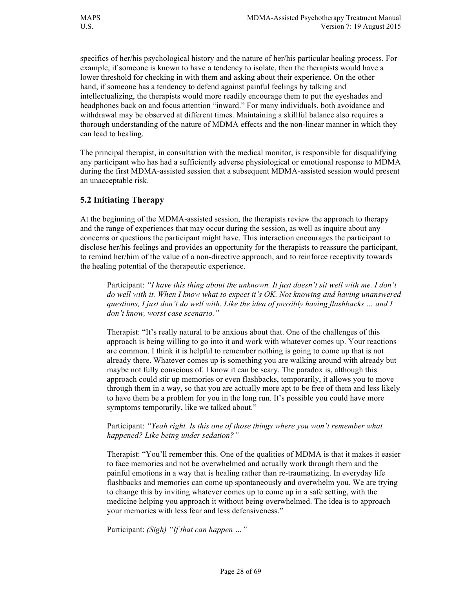specifics of her/his psychological history and the nature of her/his particular healing process. For example, if someone is known to have a tendency to isolate, then the therapists would have a lower threshold for checking in with them and asking about their experience. On the other hand, if someone has a tendency to defend against painful feelings by talking and intellectualizing, the therapists would more readily encourage them to put the eyeshades and headphones back on and focus attention "inward." For many individuals, both avoidance and withdrawal may be observed at different times. Maintaining a skillful balance also requires a thorough understanding of the nature of MDMA effects and the non-linear manner in which they can lead to healing.

The principal therapist, in consultation with the medical monitor, is responsible for disqualifying any participant who has had a sufficiently adverse physiological or emotional response to MDMA during the first MDMA-assisted session that a subsequent MDMA-assisted session would present an unacceptable risk.

## **5.2 Initiating Therapy**

At the beginning of the MDMA-assisted session, the therapists review the approach to therapy and the range of experiences that may occur during the session, as well as inquire about any concerns or questions the participant might have. This interaction encourages the participant to disclose her/his feelings and provides an opportunity for the therapists to reassure the participant, to remind her/him of the value of a non-directive approach, and to reinforce receptivity towards the healing potential of the therapeutic experience.

Participant: *"I have this thing about the unknown. It just doesn't sit well with me. I don't do well with it. When I know what to expect it's OK. Not knowing and having unanswered questions, I just don't do well with. Like the idea of possibly having flashbacks … and I don't know, worst case scenario."*

Therapist: "It's really natural to be anxious about that. One of the challenges of this approach is being willing to go into it and work with whatever comes up. Your reactions are common. I think it is helpful to remember nothing is going to come up that is not already there. Whatever comes up is something you are walking around with already but maybe not fully conscious of. I know it can be scary. The paradox is, although this approach could stir up memories or even flashbacks, temporarily, it allows you to move through them in a way, so that you are actually more apt to be free of them and less likely to have them be a problem for you in the long run. It's possible you could have more symptoms temporarily, like we talked about."

#### Participant: *"Yeah right. Is this one of those things where you won't remember what happened? Like being under sedation?"*

Therapist: "You'll remember this. One of the qualities of MDMA is that it makes it easier to face memories and not be overwhelmed and actually work through them and the painful emotions in a way that is healing rather than re-traumatizing. In everyday life flashbacks and memories can come up spontaneously and overwhelm you. We are trying to change this by inviting whatever comes up to come up in a safe setting, with the medicine helping you approach it without being overwhelmed. The idea is to approach your memories with less fear and less defensiveness."

Participant: *(Sigh) "If that can happen …"*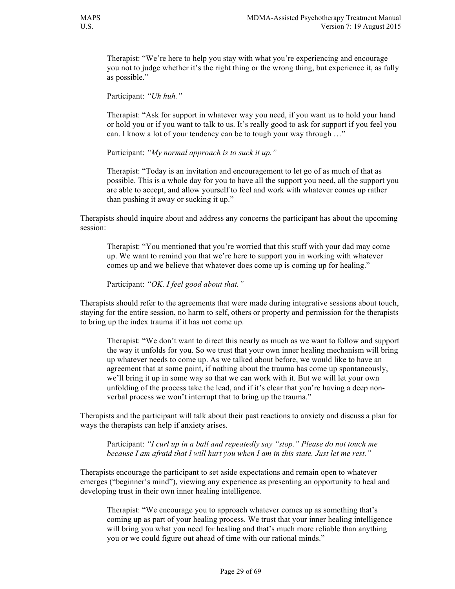Therapist: "We're here to help you stay with what you're experiencing and encourage you not to judge whether it's the right thing or the wrong thing, but experience it, as fully as possible."

Participant: *"Uh huh."*

Therapist: "Ask for support in whatever way you need, if you want us to hold your hand or hold you or if you want to talk to us. It's really good to ask for support if you feel you can. I know a lot of your tendency can be to tough your way through …"

Participant: *"My normal approach is to suck it up."*

Therapist: "Today is an invitation and encouragement to let go of as much of that as possible. This is a whole day for you to have all the support you need, all the support you are able to accept, and allow yourself to feel and work with whatever comes up rather than pushing it away or sucking it up."

Therapists should inquire about and address any concerns the participant has about the upcoming session:

Therapist: "You mentioned that you're worried that this stuff with your dad may come up. We want to remind you that we're here to support you in working with whatever comes up and we believe that whatever does come up is coming up for healing."

Participant: *"OK. I feel good about that."*

Therapists should refer to the agreements that were made during integrative sessions about touch, staying for the entire session, no harm to self, others or property and permission for the therapists to bring up the index trauma if it has not come up.

Therapist: "We don't want to direct this nearly as much as we want to follow and support the way it unfolds for you. So we trust that your own inner healing mechanism will bring up whatever needs to come up. As we talked about before, we would like to have an agreement that at some point, if nothing about the trauma has come up spontaneously, we'll bring it up in some way so that we can work with it. But we will let your own unfolding of the process take the lead, and if it's clear that you're having a deep nonverbal process we won't interrupt that to bring up the trauma."

Therapists and the participant will talk about their past reactions to anxiety and discuss a plan for ways the therapists can help if anxiety arises.

Participant: *"I curl up in a ball and repeatedly say "stop." Please do not touch me because I am afraid that I will hurt you when I am in this state. Just let me rest."*

Therapists encourage the participant to set aside expectations and remain open to whatever emerges ("beginner's mind"), viewing any experience as presenting an opportunity to heal and developing trust in their own inner healing intelligence.

Therapist: "We encourage you to approach whatever comes up as something that's coming up as part of your healing process. We trust that your inner healing intelligence will bring you what you need for healing and that's much more reliable than anything you or we could figure out ahead of time with our rational minds."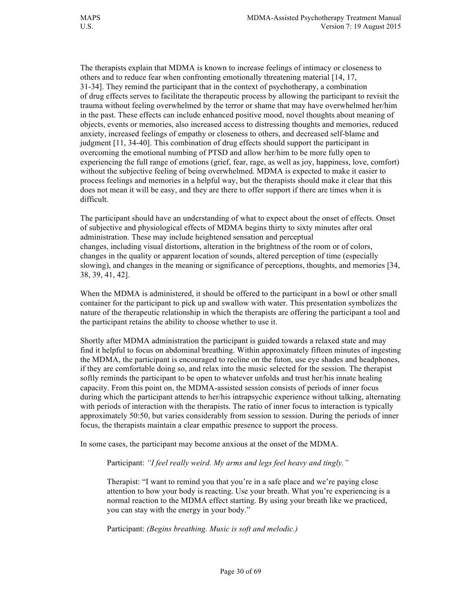The therapists explain that MDMA is known to increase feelings of intimacy or closeness to others and to reduce fear when confronting emotionally threatening material [14, 17, 31-34]. They remind the participant that in the context of psychotherapy, a combination of drug effects serves to facilitate the therapeutic process by allowing the participant to revisit the trauma without feeling overwhelmed by the terror or shame that may have overwhelmed her/him in the past. These effects can include enhanced positive mood, novel thoughts about meaning of objects, events or memories, also increased access to distressing thoughts and memories, reduced anxiety, increased feelings of empathy or closeness to others, and decreased self-blame and judgment [11, 34-40]. This combination of drug effects should support the participant in overcoming the emotional numbing of PTSD and allow her/him to be more fully open to experiencing the full range of emotions (grief, fear, rage, as well as joy, happiness, love, comfort) without the subjective feeling of being overwhelmed. MDMA is expected to make it easier to process feelings and memories in a helpful way, but the therapists should make it clear that this does not mean it will be easy, and they are there to offer support if there are times when it is difficult.

The participant should have an understanding of what to expect about the onset of effects. Onset of subjective and physiological effects of MDMA begins thirty to sixty minutes after oral administration. These may include heightened sensation and perceptual changes, including visual distortions, alteration in the brightness of the room or of colors, changes in the quality or apparent location of sounds, altered perception of time (especially slowing), and changes in the meaning or significance of perceptions, thoughts, and memories [34, 38, 39, 41, 42].

When the MDMA is administered, it should be offered to the participant in a bowl or other small container for the participant to pick up and swallow with water. This presentation symbolizes the nature of the therapeutic relationship in which the therapists are offering the participant a tool and the participant retains the ability to choose whether to use it.

Shortly after MDMA administration the participant is guided towards a relaxed state and may find it helpful to focus on abdominal breathing. Within approximately fifteen minutes of ingesting the MDMA, the participant is encouraged to recline on the futon, use eye shades and headphones, if they are comfortable doing so, and relax into the music selected for the session. The therapist softly reminds the participant to be open to whatever unfolds and trust her/his innate healing capacity. From this point on, the MDMA-assisted session consists of periods of inner focus during which the participant attends to her/his intrapsychic experience without talking, alternating with periods of interaction with the therapists. The ratio of inner focus to interaction is typically approximately 50:50, but varies considerably from session to session. During the periods of inner focus, the therapists maintain a clear empathic presence to support the process.

In some cases, the participant may become anxious at the onset of the MDMA.

Participant: *"I feel really weird. My arms and legs feel heavy and tingly."*

Therapist: "I want to remind you that you're in a safe place and we're paying close attention to how your body is reacting. Use your breath. What you're experiencing is a normal reaction to the MDMA effect starting. By using your breath like we practiced, you can stay with the energy in your body."

Participant: *(Begins breathing. Music is soft and melodic.)*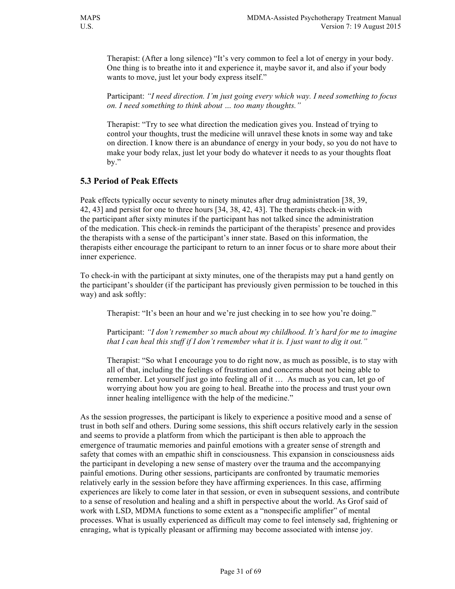Therapist: (After a long silence) "It's very common to feel a lot of energy in your body. One thing is to breathe into it and experience it, maybe savor it, and also if your body wants to move, just let your body express itself."

Participant: *"I need direction. I'm just going every which way. I need something to focus on. I need something to think about … too many thoughts."*

Therapist: "Try to see what direction the medication gives you. Instead of trying to control your thoughts, trust the medicine will unravel these knots in some way and take on direction. I know there is an abundance of energy in your body, so you do not have to make your body relax, just let your body do whatever it needs to as your thoughts float by."

## **5.3 Period of Peak Effects**

Peak effects typically occur seventy to ninety minutes after drug administration [38, 39, 42, 43] and persist for one to three hours [34, 38, 42, 43]. The therapists check-in with the participant after sixty minutes if the participant has not talked since the administration of the medication. This check-in reminds the participant of the therapists' presence and provides the therapists with a sense of the participant's inner state. Based on this information, the therapists either encourage the participant to return to an inner focus or to share more about their inner experience.

To check-in with the participant at sixty minutes, one of the therapists may put a hand gently on the participant's shoulder (if the participant has previously given permission to be touched in this way) and ask softly:

Therapist: "It's been an hour and we're just checking in to see how you're doing."

Participant: *"I don't remember so much about my childhood. It's hard for me to imagine that I can heal this stuff if I don't remember what it is. I just want to dig it out."*

Therapist: "So what I encourage you to do right now, as much as possible, is to stay with all of that, including the feelings of frustration and concerns about not being able to remember. Let yourself just go into feeling all of it … As much as you can, let go of worrying about how you are going to heal. Breathe into the process and trust your own inner healing intelligence with the help of the medicine."

As the session progresses, the participant is likely to experience a positive mood and a sense of trust in both self and others. During some sessions, this shift occurs relatively early in the session and seems to provide a platform from which the participant is then able to approach the emergence of traumatic memories and painful emotions with a greater sense of strength and safety that comes with an empathic shift in consciousness. This expansion in consciousness aids the participant in developing a new sense of mastery over the trauma and the accompanying painful emotions. During other sessions, participants are confronted by traumatic memories relatively early in the session before they have affirming experiences. In this case, affirming experiences are likely to come later in that session, or even in subsequent sessions, and contribute to a sense of resolution and healing and a shift in perspective about the world. As Grof said of work with LSD, MDMA functions to some extent as a "nonspecific amplifier" of mental processes. What is usually experienced as difficult may come to feel intensely sad, frightening or enraging, what is typically pleasant or affirming may become associated with intense joy.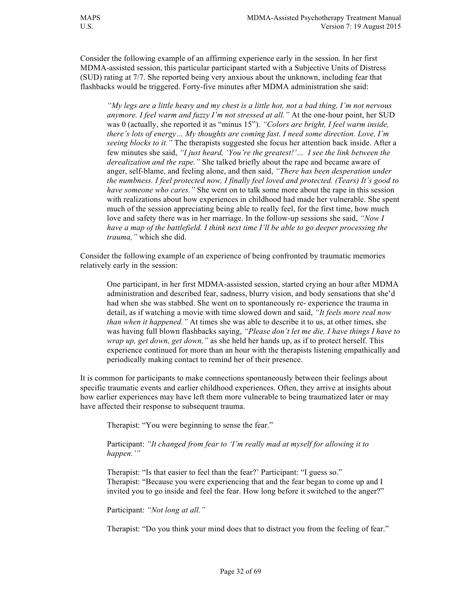Consider the following example of an affirming experience early in the session. In her first MDMA-assisted session, this particular participant started with a Subjective Units of Distress (SUD) rating at 7/7. She reported being very anxious about the unknown, including fear that flashbacks would be triggered. Forty-five minutes after MDMA administration she said:

*"My legs are a little heavy and my chest is a little hot, not a bad thing, I'm not nervous anymore. I feel warm and fuzzy I'm not stressed at all."* At the one-hour point, her SUD was 0 (actually, she reported it as "minus 15"). *"Colors are bright, I feel warm inside, there's lots of energy… My thoughts are coming fast. I need some direction. Love, I'm seeing blocks to it."* The therapists suggested she focus her attention back inside. After a few minutes she said, *"I just heard, 'You're the greatest!'… I see the link between the derealization and the rape."* She talked briefly about the rape and became aware of anger, self-blame, and feeling alone, and then said, *"There has been desperation under the numbness. I feel protected now, I finally feel loved and protected. (Tears) It's good to have someone who cares."* She went on to talk some more about the rape in this session with realizations about how experiences in childhood had made her vulnerable. She spent much of the session appreciating being able to really feel, for the first time, how much love and safety there was in her marriage. In the follow-up sessions she said, *"Now I have a map of the battlefield. I think next time I'll be able to go deeper processing the trauma,"* which she did.

Consider the following example of an experience of being confronted by traumatic memories relatively early in the session:

One participant, in her first MDMA-assisted session, started crying an hour after MDMA administration and described fear, sadness, blurry vision, and body sensations that she'd had when she was stabbed. She went on to spontaneously re- experience the trauma in detail, as if watching a movie with time slowed down and said, *"It feels more real now than when it happened."* At times she was able to describe it to us, at other times, she was having full blown flashbacks saying, *"Please don't let me die, I have things I have to wrap up, get down, get down,"* as she held her hands up, as if to protect herself. This experience continued for more than an hour with the therapists listening empathically and periodically making contact to remind her of their presence.

It is common for participants to make connections spontaneously between their feelings about specific traumatic events and earlier childhood experiences. Often, they arrive at insights about how earlier experiences may have left them more vulnerable to being traumatized later or may have affected their response to subsequent trauma.

Therapist: "You were beginning to sense the fear."

Participant: *"It changed from fear to 'I'm really mad at myself for allowing it to happen.'"*

Therapist: "Is that easier to feel than the fear?' Participant: "I guess so." Therapist: "Because you were experiencing that and the fear began to come up and I invited you to go inside and feel the fear. How long before it switched to the anger?"

Participant: *"Not long at all."*

Therapist: "Do you think your mind does that to distract you from the feeling of fear."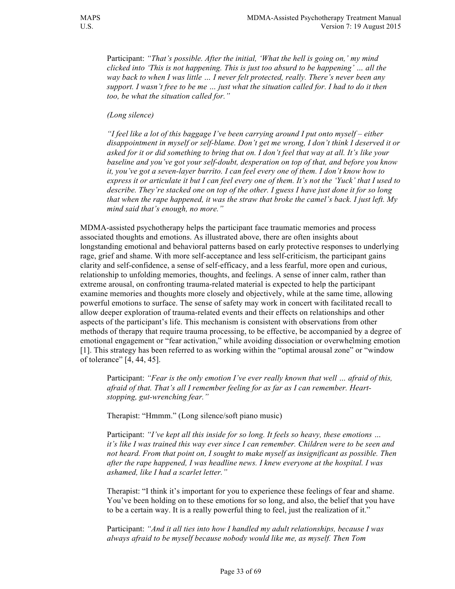Participant: *"That's possible. After the initial, 'What the hell is going on,' my mind clicked into 'This is not happening. This is just too absurd to be happening' … all the way back to when I was little … I never felt protected, really. There's never been any support. I wasn't free to be me ... just what the situation called for. I had to do it then too, be what the situation called for."*

*(Long silence)*

*"I feel like a lot of this baggage I've been carrying around I put onto myself – either disappointment in myself or self-blame. Don't get me wrong, I don't think I deserved it or asked for it or did something to bring that on. I don't feel that way at all. It's like your baseline and you've got your self-doubt, desperation on top of that, and before you know it, you've got a seven-layer burrito. I can feel every one of them. I don't know how to express it or articulate it but I can feel every one of them. It's not the 'Yuck' that I used to describe. They're stacked one on top of the other. I guess I have just done it for so long that when the rape happened, it was the straw that broke the camel's back. I just left. My mind said that's enough, no more."*

MDMA-assisted psychotherapy helps the participant face traumatic memories and process associated thoughts and emotions. As illustrated above, there are often insights about longstanding emotional and behavioral patterns based on early protective responses to underlying rage, grief and shame. With more self-acceptance and less self-criticism, the participant gains clarity and self-confidence, a sense of self-efficacy, and a less fearful, more open and curious, relationship to unfolding memories, thoughts, and feelings. A sense of inner calm, rather than extreme arousal, on confronting trauma-related material is expected to help the participant examine memories and thoughts more closely and objectively, while at the same time, allowing powerful emotions to surface. The sense of safety may work in concert with facilitated recall to allow deeper exploration of trauma-related events and their effects on relationships and other aspects of the participant's life. This mechanism is consistent with observations from other methods of therapy that require trauma processing, to be effective, be accompanied by a degree of emotional engagement or "fear activation," while avoiding dissociation or overwhelming emotion [1]. This strategy has been referred to as working within the "optimal arousal zone" or "window of tolerance" [4, 44, 45].

Participant: *"Fear is the only emotion I've ever really known that well … afraid of this, afraid of that. That's all I remember feeling for as far as I can remember. Heartstopping, gut-wrenching fear."*

Therapist: "Hmmm." (Long silence/soft piano music)

Participant: *"I've kept all this inside for so long. It feels so heavy, these emotions … it's like I was trained this way ever since I can remember. Children were to be seen and not heard. From that point on, I sought to make myself as insignificant as possible. Then after the rape happened, I was headline news. I knew everyone at the hospital. I was ashamed, like I had a scarlet letter."*

Therapist: "I think it's important for you to experience these feelings of fear and shame. You've been holding on to these emotions for so long, and also, the belief that you have to be a certain way. It is a really powerful thing to feel, just the realization of it."

Participant: *"And it all ties into how I handled my adult relationships, because I was always afraid to be myself because nobody would like me, as myself. Then Tom*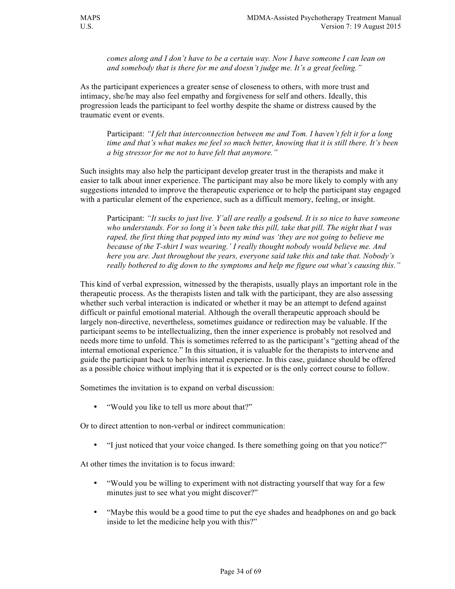*comes along and I don't have to be a certain way. Now I have someone I can lean on and somebody that is there for me and doesn't judge me. It's a great feeling."*

As the participant experiences a greater sense of closeness to others, with more trust and intimacy, she/he may also feel empathy and forgiveness for self and others. Ideally, this progression leads the participant to feel worthy despite the shame or distress caused by the traumatic event or events.

Participant: *"I felt that interconnection between me and Tom. I haven't felt it for a long time and that's what makes me feel so much better, knowing that it is still there. It's been a big stressor for me not to have felt that anymore."*

Such insights may also help the participant develop greater trust in the therapists and make it easier to talk about inner experience. The participant may also be more likely to comply with any suggestions intended to improve the therapeutic experience or to help the participant stay engaged with a particular element of the experience, such as a difficult memory, feeling, or insight.

Participant: *"It sucks to just live. Y'all are really a godsend. It is so nice to have someone who understands. For so long it's been take this pill, take that pill. The night that I was raped, the first thing that popped into my mind was 'they are not going to believe me because of the T-shirt I was wearing.' I really thought nobody would believe me. And here you are. Just throughout the years, everyone said take this and take that. Nobody's really bothered to dig down to the symptoms and help me figure out what's causing this."*

This kind of verbal expression, witnessed by the therapists, usually plays an important role in the therapeutic process. As the therapists listen and talk with the participant, they are also assessing whether such verbal interaction is indicated or whether it may be an attempt to defend against difficult or painful emotional material. Although the overall therapeutic approach should be largely non-directive, nevertheless, sometimes guidance or redirection may be valuable. If the participant seems to be intellectualizing, then the inner experience is probably not resolved and needs more time to unfold. This is sometimes referred to as the participant's "getting ahead of the internal emotional experience." In this situation, it is valuable for the therapists to intervene and guide the participant back to her/his internal experience. In this case, guidance should be offered as a possible choice without implying that it is expected or is the only correct course to follow.

Sometimes the invitation is to expand on verbal discussion:

• "Would you like to tell us more about that?"

Or to direct attention to non-verbal or indirect communication:

• "I just noticed that your voice changed. Is there something going on that you notice?"

At other times the invitation is to focus inward:

- "Would you be willing to experiment with not distracting yourself that way for a few minutes just to see what you might discover?"
- "Maybe this would be a good time to put the eye shades and headphones on and go back inside to let the medicine help you with this?"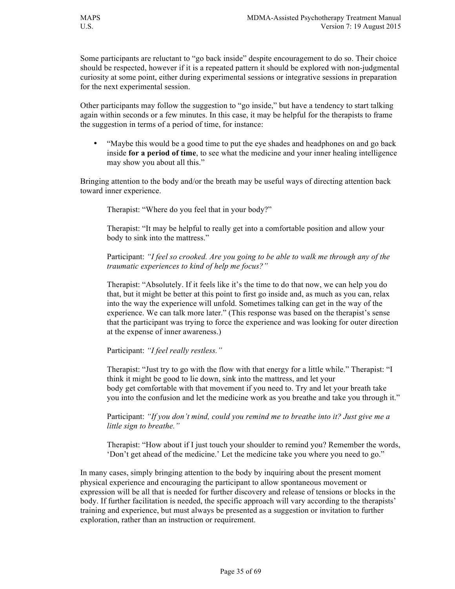Some participants are reluctant to "go back inside" despite encouragement to do so. Their choice should be respected, however if it is a repeated pattern it should be explored with non-judgmental curiosity at some point, either during experimental sessions or integrative sessions in preparation for the next experimental session.

Other participants may follow the suggestion to "go inside," but have a tendency to start talking again within seconds or a few minutes. In this case, it may be helpful for the therapists to frame the suggestion in terms of a period of time, for instance:

• "Maybe this would be a good time to put the eye shades and headphones on and go back inside **for a period of time**, to see what the medicine and your inner healing intelligence may show you about all this."

Bringing attention to the body and/or the breath may be useful ways of directing attention back toward inner experience.

Therapist: "Where do you feel that in your body?"

Therapist: "It may be helpful to really get into a comfortable position and allow your body to sink into the mattress."

Participant: *"I feel so crooked. Are you going to be able to walk me through any of the traumatic experiences to kind of help me focus?"*

Therapist: "Absolutely. If it feels like it's the time to do that now, we can help you do that, but it might be better at this point to first go inside and, as much as you can, relax into the way the experience will unfold. Sometimes talking can get in the way of the experience. We can talk more later." (This response was based on the therapist's sense that the participant was trying to force the experience and was looking for outer direction at the expense of inner awareness.)

Participant: *"I feel really restless."*

Therapist: "Just try to go with the flow with that energy for a little while." Therapist: "I think it might be good to lie down, sink into the mattress, and let your body get comfortable with that movement if you need to. Try and let your breath take you into the confusion and let the medicine work as you breathe and take you through it."

Participant: *"If you don't mind, could you remind me to breathe into it? Just give me a little sign to breathe."*

Therapist: "How about if I just touch your shoulder to remind you? Remember the words, 'Don't get ahead of the medicine.' Let the medicine take you where you need to go."

In many cases, simply bringing attention to the body by inquiring about the present moment physical experience and encouraging the participant to allow spontaneous movement or expression will be all that is needed for further discovery and release of tensions or blocks in the body. If further facilitation is needed, the specific approach will vary according to the therapists' training and experience, but must always be presented as a suggestion or invitation to further exploration, rather than an instruction or requirement.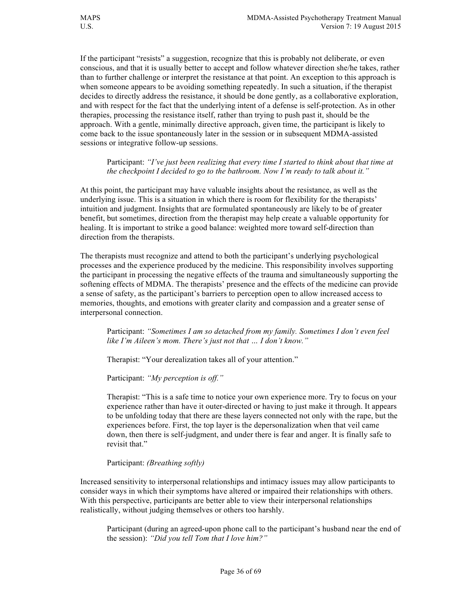If the participant "resists" a suggestion, recognize that this is probably not deliberate, or even conscious, and that it is usually better to accept and follow whatever direction she/he takes, rather than to further challenge or interpret the resistance at that point. An exception to this approach is when someone appears to be avoiding something repeatedly. In such a situation, if the therapist decides to directly address the resistance, it should be done gently, as a collaborative exploration, and with respect for the fact that the underlying intent of a defense is self-protection. As in other therapies, processing the resistance itself, rather than trying to push past it, should be the approach. With a gentle, minimally directive approach, given time, the participant is likely to come back to the issue spontaneously later in the session or in subsequent MDMA-assisted sessions or integrative follow-up sessions.

Participant: *"I've just been realizing that every time I started to think about that time at the checkpoint I decided to go to the bathroom. Now I'm ready to talk about it."*

At this point, the participant may have valuable insights about the resistance, as well as the underlying issue. This is a situation in which there is room for flexibility for the therapists' intuition and judgment. Insights that are formulated spontaneously are likely to be of greater benefit, but sometimes, direction from the therapist may help create a valuable opportunity for healing. It is important to strike a good balance: weighted more toward self-direction than direction from the therapists.

The therapists must recognize and attend to both the participant's underlying psychological processes and the experience produced by the medicine. This responsibility involves supporting the participant in processing the negative effects of the trauma and simultaneously supporting the softening effects of MDMA. The therapists' presence and the effects of the medicine can provide a sense of safety, as the participant's barriers to perception open to allow increased access to memories, thoughts, and emotions with greater clarity and compassion and a greater sense of interpersonal connection.

Participant: *"Sometimes I am so detached from my family. Sometimes I don't even feel like I'm Aileen's mom. There's just not that … I don't know."*

Therapist: "Your derealization takes all of your attention."

Participant: *"My perception is off."*

Therapist: "This is a safe time to notice your own experience more. Try to focus on your experience rather than have it outer-directed or having to just make it through. It appears to be unfolding today that there are these layers connected not only with the rape, but the experiences before. First, the top layer is the depersonalization when that veil came down, then there is self-judgment, and under there is fear and anger. It is finally safe to revisit that."

Participant: *(Breathing softly)*

Increased sensitivity to interpersonal relationships and intimacy issues may allow participants to consider ways in which their symptoms have altered or impaired their relationships with others. With this perspective, participants are better able to view their interpersonal relationships realistically, without judging themselves or others too harshly.

Participant (during an agreed-upon phone call to the participant's husband near the end of the session): *"Did you tell Tom that I love him?"*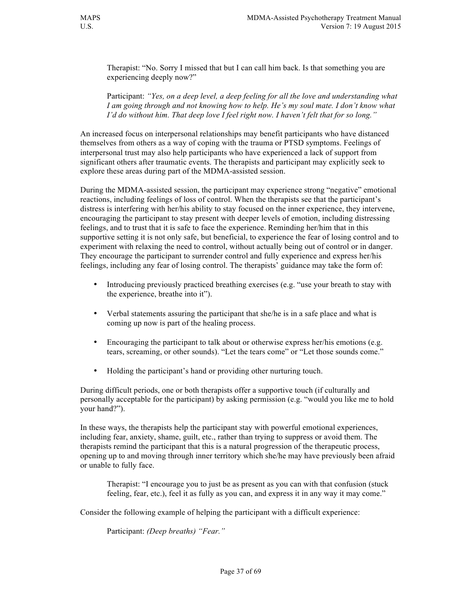Therapist: "No. Sorry I missed that but I can call him back. Is that something you are experiencing deeply now?"

Participant: *"Yes, on a deep level, a deep feeling for all the love and understanding what I am going through and not knowing how to help. He's my soul mate. I don't know what I'd do without him. That deep love I feel right now. I haven't felt that for so long."*

An increased focus on interpersonal relationships may benefit participants who have distanced themselves from others as a way of coping with the trauma or PTSD symptoms. Feelings of interpersonal trust may also help participants who have experienced a lack of support from significant others after traumatic events. The therapists and participant may explicitly seek to explore these areas during part of the MDMA-assisted session.

During the MDMA-assisted session, the participant may experience strong "negative" emotional reactions, including feelings of loss of control. When the therapists see that the participant's distress is interfering with her/his ability to stay focused on the inner experience, they intervene, encouraging the participant to stay present with deeper levels of emotion, including distressing feelings, and to trust that it is safe to face the experience. Reminding her/him that in this supportive setting it is not only safe, but beneficial, to experience the fear of losing control and to experiment with relaxing the need to control, without actually being out of control or in danger. They encourage the participant to surrender control and fully experience and express her/his feelings, including any fear of losing control. The therapists' guidance may take the form of:

- Introducing previously practiced breathing exercises (e.g. "use your breath to stay with the experience, breathe into it").
- Verbal statements assuring the participant that she/he is in a safe place and what is coming up now is part of the healing process.
- Encouraging the participant to talk about or otherwise express her/his emotions (e.g. tears, screaming, or other sounds). "Let the tears come" or "Let those sounds come."
- Holding the participant's hand or providing other nurturing touch.

During difficult periods, one or both therapists offer a supportive touch (if culturally and personally acceptable for the participant) by asking permission (e.g. "would you like me to hold your hand?").

In these ways, the therapists help the participant stay with powerful emotional experiences, including fear, anxiety, shame, guilt, etc., rather than trying to suppress or avoid them. The therapists remind the participant that this is a natural progression of the therapeutic process, opening up to and moving through inner territory which she/he may have previously been afraid or unable to fully face.

Therapist: "I encourage you to just be as present as you can with that confusion (stuck feeling, fear, etc.), feel it as fully as you can, and express it in any way it may come."

Consider the following example of helping the participant with a difficult experience:

Participant: *(Deep breaths) "Fear."*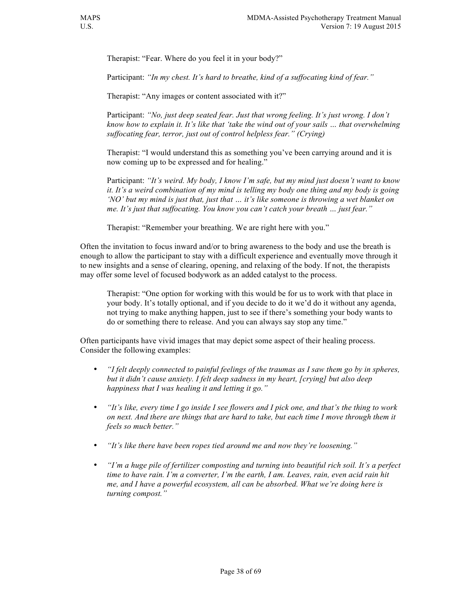Therapist: "Fear. Where do you feel it in your body?"

Participant: *"In my chest. It's hard to breathe, kind of a suffocating kind of fear."*

Therapist: "Any images or content associated with it?"

Participant: *"No, just deep seated fear. Just that wrong feeling. It's just wrong. I don't know how to explain it. It's like that 'take the wind out of your sails … that overwhelming suffocating fear, terror, just out of control helpless fear." (Crying)*

Therapist: "I would understand this as something you've been carrying around and it is now coming up to be expressed and for healing."

Participant: *"It's weird. My body, I know I'm safe, but my mind just doesn't want to know it. It's a weird combination of my mind is telling my body one thing and my body is going 'NO' but my mind is just that, just that … it's like someone is throwing a wet blanket on me. It's just that suffocating. You know you can't catch your breath … just fear."*

Therapist: "Remember your breathing. We are right here with you."

Often the invitation to focus inward and/or to bring awareness to the body and use the breath is enough to allow the participant to stay with a difficult experience and eventually move through it to new insights and a sense of clearing, opening, and relaxing of the body. If not, the therapists may offer some level of focused bodywork as an added catalyst to the process.

Therapist: "One option for working with this would be for us to work with that place in your body. It's totally optional, and if you decide to do it we'd do it without any agenda, not trying to make anything happen, just to see if there's something your body wants to do or something there to release. And you can always say stop any time."

Often participants have vivid images that may depict some aspect of their healing process. Consider the following examples:

- *"I felt deeply connected to painful feelings of the traumas as I saw them go by in spheres, but it didn't cause anxiety. I felt deep sadness in my heart, [crying] but also deep happiness that I was healing it and letting it go."*
- *"It's like, every time I go inside I see flowers and I pick one, and that's the thing to work on next. And there are things that are hard to take, but each time I move through them it feels so much better."*
- *"It's like there have been ropes tied around me and now they're loosening."*
- *"I'm a huge pile of fertilizer composting and turning into beautiful rich soil. It's a perfect time to have rain. I'm a converter, I'm the earth, I am. Leaves, rain, even acid rain hit me, and I have a powerful ecosystem, all can be absorbed. What we're doing here is turning compost."*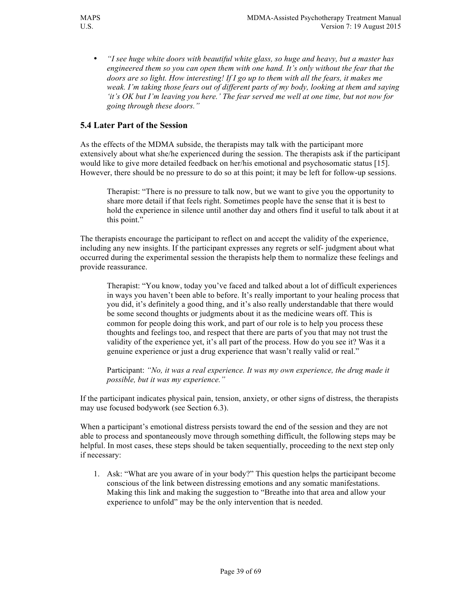• *"I see huge white doors with beautiful white glass, so huge and heavy, but a master has engineered them so you can open them with one hand. It's only without the fear that the doors are so light. How interesting! If I go up to them with all the fears, it makes me weak. I'm taking those fears out of different parts of my body, looking at them and saying 'it's OK but I'm leaving you here.' The fear served me well at one time, but not now for going through these doors."*

### **5.4 Later Part of the Session**

As the effects of the MDMA subside, the therapists may talk with the participant more extensively about what she/he experienced during the session. The therapists ask if the participant would like to give more detailed feedback on her/his emotional and psychosomatic status [15]. However, there should be no pressure to do so at this point; it may be left for follow-up sessions.

Therapist: "There is no pressure to talk now, but we want to give you the opportunity to share more detail if that feels right. Sometimes people have the sense that it is best to hold the experience in silence until another day and others find it useful to talk about it at this point."

The therapists encourage the participant to reflect on and accept the validity of the experience, including any new insights. If the participant expresses any regrets or self- judgment about what occurred during the experimental session the therapists help them to normalize these feelings and provide reassurance.

Therapist: "You know, today you've faced and talked about a lot of difficult experiences in ways you haven't been able to before. It's really important to your healing process that you did, it's definitely a good thing, and it's also really understandable that there would be some second thoughts or judgments about it as the medicine wears off. This is common for people doing this work, and part of our role is to help you process these thoughts and feelings too, and respect that there are parts of you that may not trust the validity of the experience yet, it's all part of the process. How do you see it? Was it a genuine experience or just a drug experience that wasn't really valid or real."

Participant: *"No, it was a real experience. It was my own experience, the drug made it possible, but it was my experience."*

If the participant indicates physical pain, tension, anxiety, or other signs of distress, the therapists may use focused bodywork (see Section 6.3).

When a participant's emotional distress persists toward the end of the session and they are not able to process and spontaneously move through something difficult, the following steps may be helpful. In most cases, these steps should be taken sequentially, proceeding to the next step only if necessary:

1. Ask: "What are you aware of in your body?" This question helps the participant become conscious of the link between distressing emotions and any somatic manifestations. Making this link and making the suggestion to "Breathe into that area and allow your experience to unfold" may be the only intervention that is needed.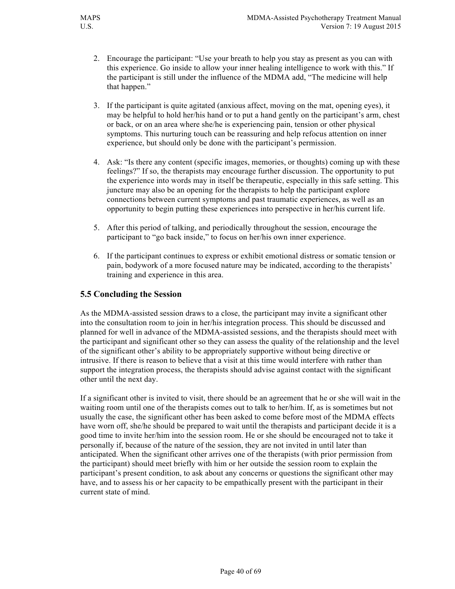- 2. Encourage the participant: "Use your breath to help you stay as present as you can with this experience. Go inside to allow your inner healing intelligence to work with this." If the participant is still under the influence of the MDMA add, "The medicine will help that happen."
- 3. If the participant is quite agitated (anxious affect, moving on the mat, opening eyes), it may be helpful to hold her/his hand or to put a hand gently on the participant's arm, chest or back, or on an area where she/he is experiencing pain, tension or other physical symptoms. This nurturing touch can be reassuring and help refocus attention on inner experience, but should only be done with the participant's permission.
- 4. Ask: "Is there any content (specific images, memories, or thoughts) coming up with these feelings?" If so, the therapists may encourage further discussion. The opportunity to put the experience into words may in itself be therapeutic, especially in this safe setting. This juncture may also be an opening for the therapists to help the participant explore connections between current symptoms and past traumatic experiences, as well as an opportunity to begin putting these experiences into perspective in her/his current life.
- 5. After this period of talking, and periodically throughout the session, encourage the participant to "go back inside," to focus on her/his own inner experience.
- 6. If the participant continues to express or exhibit emotional distress or somatic tension or pain, bodywork of a more focused nature may be indicated, according to the therapists' training and experience in this area.

## **5.5 Concluding the Session**

As the MDMA-assisted session draws to a close, the participant may invite a significant other into the consultation room to join in her/his integration process. This should be discussed and planned for well in advance of the MDMA-assisted sessions, and the therapists should meet with the participant and significant other so they can assess the quality of the relationship and the level of the significant other's ability to be appropriately supportive without being directive or intrusive. If there is reason to believe that a visit at this time would interfere with rather than support the integration process, the therapists should advise against contact with the significant other until the next day.

If a significant other is invited to visit, there should be an agreement that he or she will wait in the waiting room until one of the therapists comes out to talk to her/him. If, as is sometimes but not usually the case, the significant other has been asked to come before most of the MDMA effects have worn off, she/he should be prepared to wait until the therapists and participant decide it is a good time to invite her/him into the session room. He or she should be encouraged not to take it personally if, because of the nature of the session, they are not invited in until later than anticipated. When the significant other arrives one of the therapists (with prior permission from the participant) should meet briefly with him or her outside the session room to explain the participant's present condition, to ask about any concerns or questions the significant other may have, and to assess his or her capacity to be empathically present with the participant in their current state of mind.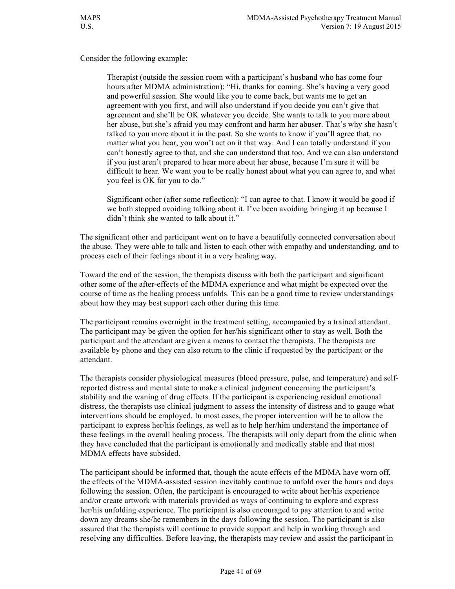Consider the following example:

Therapist (outside the session room with a participant's husband who has come four hours after MDMA administration): "Hi, thanks for coming. She's having a very good and powerful session. She would like you to come back, but wants me to get an agreement with you first, and will also understand if you decide you can't give that agreement and she'll be OK whatever you decide. She wants to talk to you more about her abuse, but she's afraid you may confront and harm her abuser. That's why she hasn't talked to you more about it in the past. So she wants to know if you'll agree that, no matter what you hear, you won't act on it that way. And I can totally understand if you can't honestly agree to that, and she can understand that too. And we can also understand if you just aren't prepared to hear more about her abuse, because I'm sure it will be difficult to hear. We want you to be really honest about what you can agree to, and what you feel is OK for you to do."

Significant other (after some reflection): "I can agree to that. I know it would be good if we both stopped avoiding talking about it. I've been avoiding bringing it up because I didn't think she wanted to talk about it."

The significant other and participant went on to have a beautifully connected conversation about the abuse. They were able to talk and listen to each other with empathy and understanding, and to process each of their feelings about it in a very healing way.

Toward the end of the session, the therapists discuss with both the participant and significant other some of the after-effects of the MDMA experience and what might be expected over the course of time as the healing process unfolds. This can be a good time to review understandings about how they may best support each other during this time.

The participant remains overnight in the treatment setting, accompanied by a trained attendant. The participant may be given the option for her/his significant other to stay as well. Both the participant and the attendant are given a means to contact the therapists. The therapists are available by phone and they can also return to the clinic if requested by the participant or the attendant.

The therapists consider physiological measures (blood pressure, pulse, and temperature) and selfreported distress and mental state to make a clinical judgment concerning the participant's stability and the waning of drug effects. If the participant is experiencing residual emotional distress, the therapists use clinical judgment to assess the intensity of distress and to gauge what interventions should be employed. In most cases, the proper intervention will be to allow the participant to express her/his feelings, as well as to help her/him understand the importance of these feelings in the overall healing process. The therapists will only depart from the clinic when they have concluded that the participant is emotionally and medically stable and that most MDMA effects have subsided.

The participant should be informed that, though the acute effects of the MDMA have worn off, the effects of the MDMA-assisted session inevitably continue to unfold over the hours and days following the session. Often, the participant is encouraged to write about her/his experience and/or create artwork with materials provided as ways of continuing to explore and express her/his unfolding experience. The participant is also encouraged to pay attention to and write down any dreams she/he remembers in the days following the session. The participant is also assured that the therapists will continue to provide support and help in working through and resolving any difficulties. Before leaving, the therapists may review and assist the participant in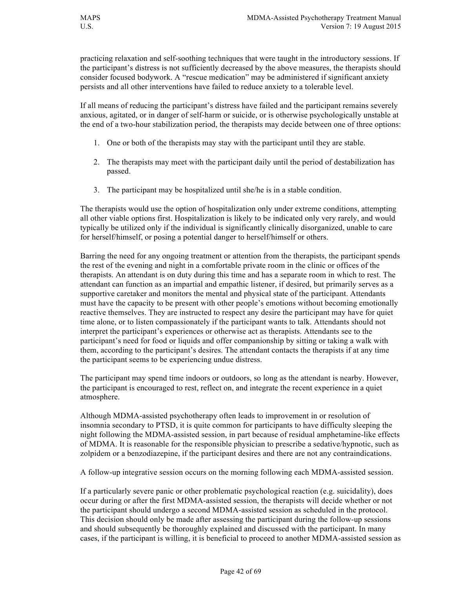practicing relaxation and self-soothing techniques that were taught in the introductory sessions. If the participant's distress is not sufficiently decreased by the above measures, the therapists should consider focused bodywork. A "rescue medication" may be administered if significant anxiety persists and all other interventions have failed to reduce anxiety to a tolerable level.

If all means of reducing the participant's distress have failed and the participant remains severely anxious, agitated, or in danger of self-harm or suicide, or is otherwise psychologically unstable at the end of a two-hour stabilization period, the therapists may decide between one of three options:

- 1. One or both of the therapists may stay with the participant until they are stable.
- 2. The therapists may meet with the participant daily until the period of destabilization has passed.
- 3. The participant may be hospitalized until she/he is in a stable condition.

The therapists would use the option of hospitalization only under extreme conditions, attempting all other viable options first. Hospitalization is likely to be indicated only very rarely, and would typically be utilized only if the individual is significantly clinically disorganized, unable to care for herself/himself, or posing a potential danger to herself/himself or others.

Barring the need for any ongoing treatment or attention from the therapists, the participant spends the rest of the evening and night in a comfortable private room in the clinic or offices of the therapists. An attendant is on duty during this time and has a separate room in which to rest. The attendant can function as an impartial and empathic listener, if desired, but primarily serves as a supportive caretaker and monitors the mental and physical state of the participant. Attendants must have the capacity to be present with other people's emotions without becoming emotionally reactive themselves. They are instructed to respect any desire the participant may have for quiet time alone, or to listen compassionately if the participant wants to talk. Attendants should not interpret the participant's experiences or otherwise act as therapists. Attendants see to the participant's need for food or liquids and offer companionship by sitting or taking a walk with them, according to the participant's desires. The attendant contacts the therapists if at any time the participant seems to be experiencing undue distress.

The participant may spend time indoors or outdoors, so long as the attendant is nearby. However, the participant is encouraged to rest, reflect on, and integrate the recent experience in a quiet atmosphere.

Although MDMA-assisted psychotherapy often leads to improvement in or resolution of insomnia secondary to PTSD, it is quite common for participants to have difficulty sleeping the night following the MDMA-assisted session, in part because of residual amphetamine-like effects of MDMA. It is reasonable for the responsible physician to prescribe a sedative/hypnotic, such as zolpidem or a benzodiazepine, if the participant desires and there are not any contraindications.

A follow-up integrative session occurs on the morning following each MDMA-assisted session.

If a particularly severe panic or other problematic psychological reaction (e.g. suicidality), does occur during or after the first MDMA-assisted session, the therapists will decide whether or not the participant should undergo a second MDMA-assisted session as scheduled in the protocol. This decision should only be made after assessing the participant during the follow-up sessions and should subsequently be thoroughly explained and discussed with the participant. In many cases, if the participant is willing, it is beneficial to proceed to another MDMA-assisted session as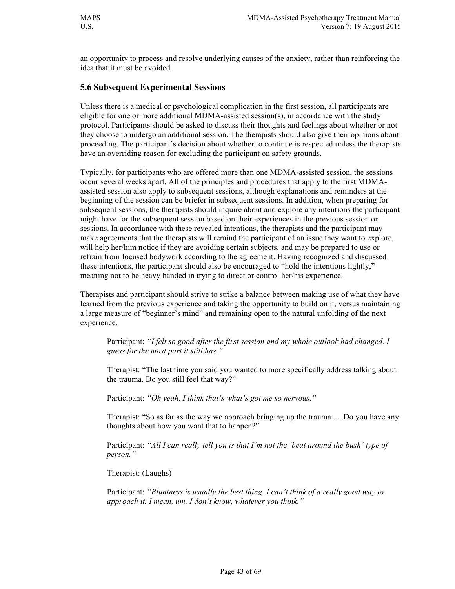an opportunity to process and resolve underlying causes of the anxiety, rather than reinforcing the idea that it must be avoided.

#### **5.6 Subsequent Experimental Sessions**

Unless there is a medical or psychological complication in the first session, all participants are eligible for one or more additional MDMA-assisted session(s), in accordance with the study protocol. Participants should be asked to discuss their thoughts and feelings about whether or not they choose to undergo an additional session. The therapists should also give their opinions about proceeding. The participant's decision about whether to continue is respected unless the therapists have an overriding reason for excluding the participant on safety grounds.

Typically, for participants who are offered more than one MDMA-assisted session, the sessions occur several weeks apart. All of the principles and procedures that apply to the first MDMAassisted session also apply to subsequent sessions, although explanations and reminders at the beginning of the session can be briefer in subsequent sessions. In addition, when preparing for subsequent sessions, the therapists should inquire about and explore any intentions the participant might have for the subsequent session based on their experiences in the previous session or sessions. In accordance with these revealed intentions, the therapists and the participant may make agreements that the therapists will remind the participant of an issue they want to explore, will help her/him notice if they are avoiding certain subjects, and may be prepared to use or refrain from focused bodywork according to the agreement. Having recognized and discussed these intentions, the participant should also be encouraged to "hold the intentions lightly," meaning not to be heavy handed in trying to direct or control her/his experience.

Therapists and participant should strive to strike a balance between making use of what they have learned from the previous experience and taking the opportunity to build on it, versus maintaining a large measure of "beginner's mind" and remaining open to the natural unfolding of the next experience.

Participant: *"I felt so good after the first session and my whole outlook had changed. I guess for the most part it still has."*

Therapist: "The last time you said you wanted to more specifically address talking about the trauma. Do you still feel that way?"

Participant: *"Oh yeah. I think that's what's got me so nervous."*

Therapist: "So as far as the way we approach bringing up the trauma … Do you have any thoughts about how you want that to happen?"

Participant: *"All I can really tell you is that I'm not the 'beat around the bush' type of person."*

Therapist: (Laughs)

Participant: *"Bluntness is usually the best thing. I can't think of a really good way to approach it. I mean, um, I don't know, whatever you think."*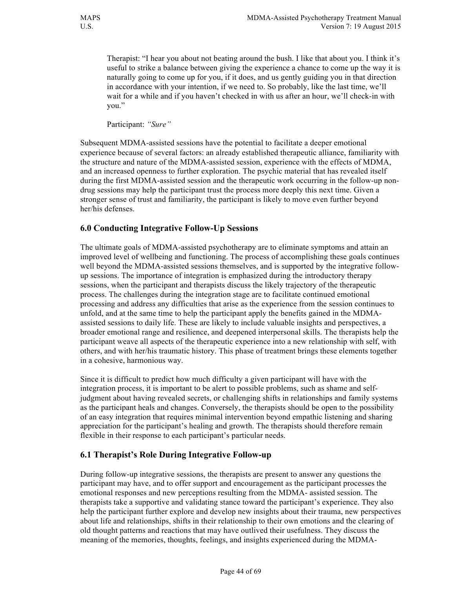Therapist: "I hear you about not beating around the bush. I like that about you. I think it's useful to strike a balance between giving the experience a chance to come up the way it is naturally going to come up for you, if it does, and us gently guiding you in that direction in accordance with your intention, if we need to. So probably, like the last time, we'll wait for a while and if you haven't checked in with us after an hour, we'll check-in with you."

Participant: *"Sure"*

Subsequent MDMA-assisted sessions have the potential to facilitate a deeper emotional experience because of several factors: an already established therapeutic alliance, familiarity with the structure and nature of the MDMA-assisted session, experience with the effects of MDMA, and an increased openness to further exploration. The psychic material that has revealed itself during the first MDMA-assisted session and the therapeutic work occurring in the follow-up nondrug sessions may help the participant trust the process more deeply this next time. Given a stronger sense of trust and familiarity, the participant is likely to move even further beyond her/his defenses.

## **6.0 Conducting Integrative Follow-Up Sessions**

The ultimate goals of MDMA-assisted psychotherapy are to eliminate symptoms and attain an improved level of wellbeing and functioning. The process of accomplishing these goals continues well beyond the MDMA-assisted sessions themselves, and is supported by the integrative followup sessions. The importance of integration is emphasized during the introductory therapy sessions, when the participant and therapists discuss the likely trajectory of the therapeutic process. The challenges during the integration stage are to facilitate continued emotional processing and address any difficulties that arise as the experience from the session continues to unfold, and at the same time to help the participant apply the benefits gained in the MDMAassisted sessions to daily life. These are likely to include valuable insights and perspectives, a broader emotional range and resilience, and deepened interpersonal skills. The therapists help the participant weave all aspects of the therapeutic experience into a new relationship with self, with others, and with her/his traumatic history. This phase of treatment brings these elements together in a cohesive, harmonious way.

Since it is difficult to predict how much difficulty a given participant will have with the integration process, it is important to be alert to possible problems, such as shame and selfjudgment about having revealed secrets, or challenging shifts in relationships and family systems as the participant heals and changes. Conversely, the therapists should be open to the possibility of an easy integration that requires minimal intervention beyond empathic listening and sharing appreciation for the participant's healing and growth. The therapists should therefore remain flexible in their response to each participant's particular needs.

## **6.1 Therapist's Role During Integrative Follow-up**

During follow-up integrative sessions, the therapists are present to answer any questions the participant may have, and to offer support and encouragement as the participant processes the emotional responses and new perceptions resulting from the MDMA- assisted session. The therapists take a supportive and validating stance toward the participant's experience. They also help the participant further explore and develop new insights about their trauma, new perspectives about life and relationships, shifts in their relationship to their own emotions and the clearing of old thought patterns and reactions that may have outlived their usefulness. They discuss the meaning of the memories, thoughts, feelings, and insights experienced during the MDMA-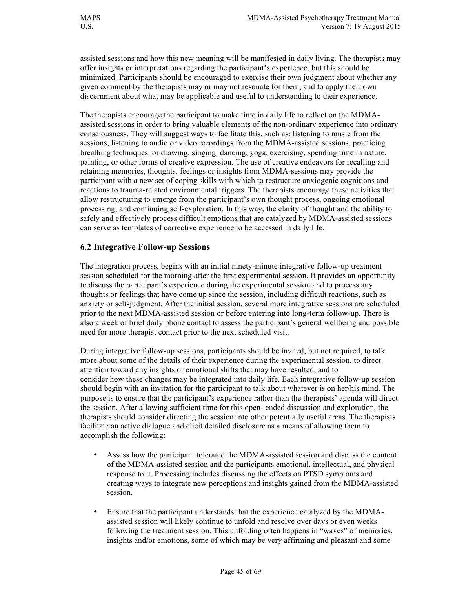assisted sessions and how this new meaning will be manifested in daily living. The therapists may offer insights or interpretations regarding the participant's experience, but this should be minimized. Participants should be encouraged to exercise their own judgment about whether any given comment by the therapists may or may not resonate for them, and to apply their own discernment about what may be applicable and useful to understanding to their experience.

The therapists encourage the participant to make time in daily life to reflect on the MDMAassisted sessions in order to bring valuable elements of the non-ordinary experience into ordinary consciousness. They will suggest ways to facilitate this, such as: listening to music from the sessions, listening to audio or video recordings from the MDMA-assisted sessions, practicing breathing techniques, or drawing, singing, dancing, yoga, exercising, spending time in nature, painting, or other forms of creative expression. The use of creative endeavors for recalling and retaining memories, thoughts, feelings or insights from MDMA-sessions may provide the participant with a new set of coping skills with which to restructure anxiogenic cognitions and reactions to trauma-related environmental triggers. The therapists encourage these activities that allow restructuring to emerge from the participant's own thought process, ongoing emotional processing, and continuing self-exploration. In this way, the clarity of thought and the ability to safely and effectively process difficult emotions that are catalyzed by MDMA-assisted sessions can serve as templates of corrective experience to be accessed in daily life.

#### **6.2 Integrative Follow-up Sessions**

The integration process, begins with an initial ninety-minute integrative follow-up treatment session scheduled for the morning after the first experimental session. It provides an opportunity to discuss the participant's experience during the experimental session and to process any thoughts or feelings that have come up since the session, including difficult reactions, such as anxiety or self-judgment. After the initial session, several more integrative sessions are scheduled prior to the next MDMA-assisted session or before entering into long-term follow-up. There is also a week of brief daily phone contact to assess the participant's general wellbeing and possible need for more therapist contact prior to the next scheduled visit.

During integrative follow-up sessions, participants should be invited, but not required, to talk more about some of the details of their experience during the experimental session, to direct attention toward any insights or emotional shifts that may have resulted, and to consider how these changes may be integrated into daily life. Each integrative follow-up session should begin with an invitation for the participant to talk about whatever is on her/his mind. The purpose is to ensure that the participant's experience rather than the therapists' agenda will direct the session. After allowing sufficient time for this open- ended discussion and exploration, the therapists should consider directing the session into other potentially useful areas. The therapists facilitate an active dialogue and elicit detailed disclosure as a means of allowing them to accomplish the following:

- Assess how the participant tolerated the MDMA-assisted session and discuss the content of the MDMA-assisted session and the participants emotional, intellectual, and physical response to it. Processing includes discussing the effects on PTSD symptoms and creating ways to integrate new perceptions and insights gained from the MDMA-assisted session.
- Ensure that the participant understands that the experience catalyzed by the MDMAassisted session will likely continue to unfold and resolve over days or even weeks following the treatment session. This unfolding often happens in "waves" of memories, insights and/or emotions, some of which may be very affirming and pleasant and some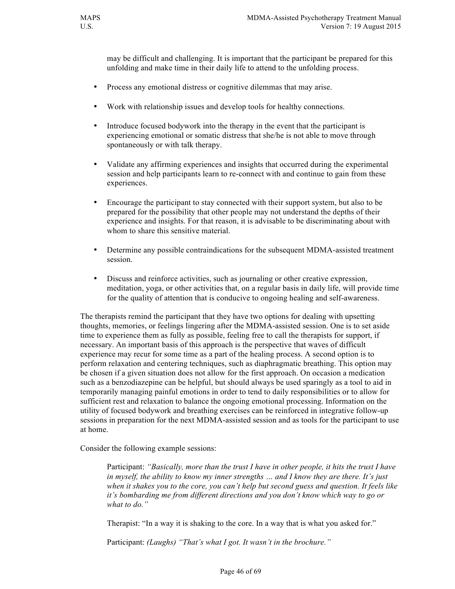may be difficult and challenging. It is important that the participant be prepared for this unfolding and make time in their daily life to attend to the unfolding process.

- Process any emotional distress or cognitive dilemmas that may arise.
- Work with relationship issues and develop tools for healthy connections.
- Introduce focused bodywork into the therapy in the event that the participant is experiencing emotional or somatic distress that she/he is not able to move through spontaneously or with talk therapy.
- Validate any affirming experiences and insights that occurred during the experimental session and help participants learn to re-connect with and continue to gain from these experiences.
- Encourage the participant to stay connected with their support system, but also to be prepared for the possibility that other people may not understand the depths of their experience and insights. For that reason, it is advisable to be discriminating about with whom to share this sensitive material.
- Determine any possible contraindications for the subsequent MDMA-assisted treatment session.
- Discuss and reinforce activities, such as journaling or other creative expression, meditation, yoga, or other activities that, on a regular basis in daily life, will provide time for the quality of attention that is conducive to ongoing healing and self-awareness.

The therapists remind the participant that they have two options for dealing with upsetting thoughts, memories, or feelings lingering after the MDMA-assisted session. One is to set aside time to experience them as fully as possible, feeling free to call the therapists for support, if necessary. An important basis of this approach is the perspective that waves of difficult experience may recur for some time as a part of the healing process. A second option is to perform relaxation and centering techniques, such as diaphragmatic breathing. This option may be chosen if a given situation does not allow for the first approach. On occasion a medication such as a benzodiazepine can be helpful, but should always be used sparingly as a tool to aid in temporarily managing painful emotions in order to tend to daily responsibilities or to allow for sufficient rest and relaxation to balance the ongoing emotional processing. Information on the utility of focused bodywork and breathing exercises can be reinforced in integrative follow-up sessions in preparation for the next MDMA-assisted session and as tools for the participant to use at home.

Consider the following example sessions:

Participant: *"Basically, more than the trust I have in other people, it hits the trust I have in myself, the ability to know my inner strengths … and I know they are there. It's just when it shakes you to the core, you can't help but second guess and question. It feels like it's bombarding me from different directions and you don't know which way to go or what to do."*

Therapist: "In a way it is shaking to the core. In a way that is what you asked for."

Participant: *(Laughs) "That's what I got. It wasn't in the brochure."*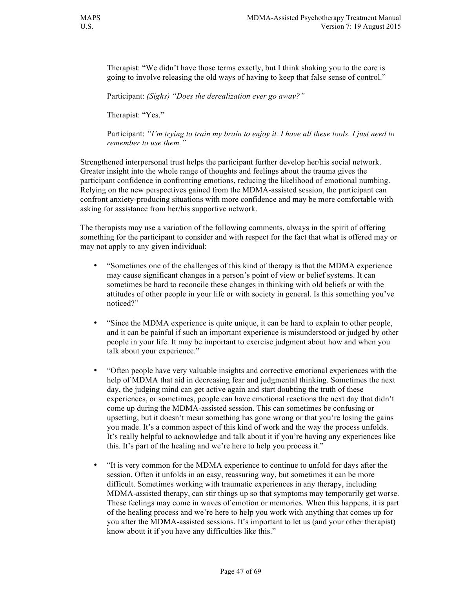Therapist: "We didn't have those terms exactly, but I think shaking you to the core is going to involve releasing the old ways of having to keep that false sense of control."

Participant: *(Sighs) "Does the derealization ever go away?"*

Therapist: "Yes."

Participant: *"I'm trying to train my brain to enjoy it. I have all these tools. I just need to remember to use them."*

Strengthened interpersonal trust helps the participant further develop her/his social network. Greater insight into the whole range of thoughts and feelings about the trauma gives the participant confidence in confronting emotions, reducing the likelihood of emotional numbing. Relying on the new perspectives gained from the MDMA-assisted session, the participant can confront anxiety-producing situations with more confidence and may be more comfortable with asking for assistance from her/his supportive network.

The therapists may use a variation of the following comments, always in the spirit of offering something for the participant to consider and with respect for the fact that what is offered may or may not apply to any given individual:

- "Sometimes one of the challenges of this kind of therapy is that the MDMA experience may cause significant changes in a person's point of view or belief systems. It can sometimes be hard to reconcile these changes in thinking with old beliefs or with the attitudes of other people in your life or with society in general. Is this something you've noticed?"
- "Since the MDMA experience is quite unique, it can be hard to explain to other people, and it can be painful if such an important experience is misunderstood or judged by other people in your life. It may be important to exercise judgment about how and when you talk about your experience."
- "Often people have very valuable insights and corrective emotional experiences with the help of MDMA that aid in decreasing fear and judgmental thinking. Sometimes the next day, the judging mind can get active again and start doubting the truth of these experiences, or sometimes, people can have emotional reactions the next day that didn't come up during the MDMA-assisted session. This can sometimes be confusing or upsetting, but it doesn't mean something has gone wrong or that you're losing the gains you made. It's a common aspect of this kind of work and the way the process unfolds. It's really helpful to acknowledge and talk about it if you're having any experiences like this. It's part of the healing and we're here to help you process it."
- "It is very common for the MDMA experience to continue to unfold for days after the session. Often it unfolds in an easy, reassuring way, but sometimes it can be more difficult. Sometimes working with traumatic experiences in any therapy, including MDMA-assisted therapy, can stir things up so that symptoms may temporarily get worse. These feelings may come in waves of emotion or memories. When this happens, it is part of the healing process and we're here to help you work with anything that comes up for you after the MDMA-assisted sessions. It's important to let us (and your other therapist) know about it if you have any difficulties like this."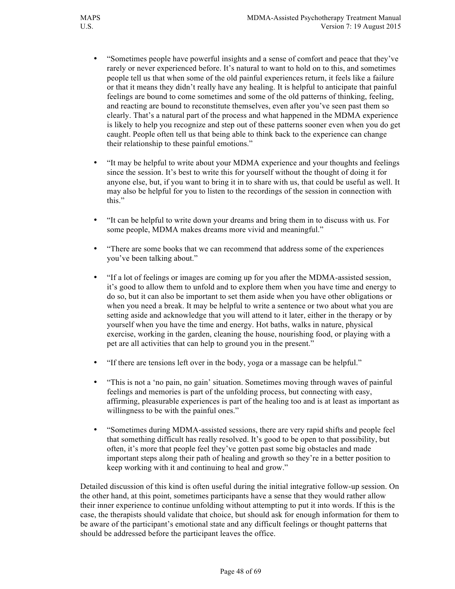- "Sometimes people have powerful insights and a sense of comfort and peace that they've rarely or never experienced before. It's natural to want to hold on to this, and sometimes people tell us that when some of the old painful experiences return, it feels like a failure or that it means they didn't really have any healing. It is helpful to anticipate that painful feelings are bound to come sometimes and some of the old patterns of thinking, feeling, and reacting are bound to reconstitute themselves, even after you've seen past them so clearly. That's a natural part of the process and what happened in the MDMA experience is likely to help you recognize and step out of these patterns sooner even when you do get caught. People often tell us that being able to think back to the experience can change their relationship to these painful emotions."
- "It may be helpful to write about your MDMA experience and your thoughts and feelings since the session. It's best to write this for yourself without the thought of doing it for anyone else, but, if you want to bring it in to share with us, that could be useful as well. It may also be helpful for you to listen to the recordings of the session in connection with this."
- "It can be helpful to write down your dreams and bring them in to discuss with us. For some people, MDMA makes dreams more vivid and meaningful."
- "There are some books that we can recommend that address some of the experiences you've been talking about."
- "If a lot of feelings or images are coming up for you after the MDMA-assisted session, it's good to allow them to unfold and to explore them when you have time and energy to do so, but it can also be important to set them aside when you have other obligations or when you need a break. It may be helpful to write a sentence or two about what you are setting aside and acknowledge that you will attend to it later, either in the therapy or by yourself when you have the time and energy. Hot baths, walks in nature, physical exercise, working in the garden, cleaning the house, nourishing food, or playing with a pet are all activities that can help to ground you in the present."
- "If there are tensions left over in the body, yoga or a massage can be helpful."
- "This is not a 'no pain, no gain' situation. Sometimes moving through waves of painful feelings and memories is part of the unfolding process, but connecting with easy, affirming, pleasurable experiences is part of the healing too and is at least as important as willingness to be with the painful ones."
- "Sometimes during MDMA-assisted sessions, there are very rapid shifts and people feel that something difficult has really resolved. It's good to be open to that possibility, but often, it's more that people feel they've gotten past some big obstacles and made important steps along their path of healing and growth so they're in a better position to keep working with it and continuing to heal and grow."

Detailed discussion of this kind is often useful during the initial integrative follow-up session. On the other hand, at this point, sometimes participants have a sense that they would rather allow their inner experience to continue unfolding without attempting to put it into words. If this is the case, the therapists should validate that choice, but should ask for enough information for them to be aware of the participant's emotional state and any difficult feelings or thought patterns that should be addressed before the participant leaves the office.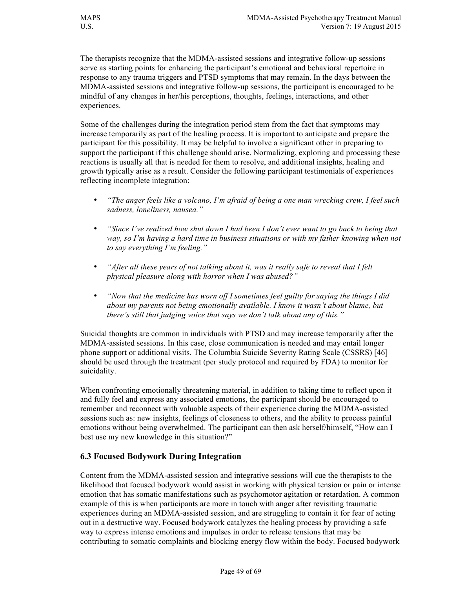The therapists recognize that the MDMA-assisted sessions and integrative follow-up sessions serve as starting points for enhancing the participant's emotional and behavioral repertoire in response to any trauma triggers and PTSD symptoms that may remain. In the days between the MDMA-assisted sessions and integrative follow-up sessions, the participant is encouraged to be mindful of any changes in her/his perceptions, thoughts, feelings, interactions, and other experiences.

Some of the challenges during the integration period stem from the fact that symptoms may increase temporarily as part of the healing process. It is important to anticipate and prepare the participant for this possibility. It may be helpful to involve a significant other in preparing to support the participant if this challenge should arise. Normalizing, exploring and processing these reactions is usually all that is needed for them to resolve, and additional insights, healing and growth typically arise as a result. Consider the following participant testimonials of experiences reflecting incomplete integration:

- *"The anger feels like a volcano, I'm afraid of being a one man wrecking crew, I feel such sadness, loneliness, nausea."*
- *"Since I've realized how shut down I had been I don't ever want to go back to being that way, so I'm having a hard time in business situations or with my father knowing when not to say everything I'm feeling."*
- *"After all these years of not talking about it, was it really safe to reveal that I felt physical pleasure along with horror when I was abused?"*
- *"Now that the medicine has worn off I sometimes feel guilty for saying the things I did about my parents not being emotionally available. I know it wasn't about blame, but there's still that judging voice that says we don't talk about any of this."*

Suicidal thoughts are common in individuals with PTSD and may increase temporarily after the MDMA-assisted sessions. In this case, close communication is needed and may entail longer phone support or additional visits. The Columbia Suicide Severity Rating Scale (CSSRS) [46] should be used through the treatment (per study protocol and required by FDA) to monitor for suicidality.

When confronting emotionally threatening material, in addition to taking time to reflect upon it and fully feel and express any associated emotions, the participant should be encouraged to remember and reconnect with valuable aspects of their experience during the MDMA-assisted sessions such as: new insights, feelings of closeness to others, and the ability to process painful emotions without being overwhelmed. The participant can then ask herself/himself, "How can I best use my new knowledge in this situation?"

## **6.3 Focused Bodywork During Integration**

Content from the MDMA-assisted session and integrative sessions will cue the therapists to the likelihood that focused bodywork would assist in working with physical tension or pain or intense emotion that has somatic manifestations such as psychomotor agitation or retardation. A common example of this is when participants are more in touch with anger after revisiting traumatic experiences during an MDMA-assisted session, and are struggling to contain it for fear of acting out in a destructive way. Focused bodywork catalyzes the healing process by providing a safe way to express intense emotions and impulses in order to release tensions that may be contributing to somatic complaints and blocking energy flow within the body. Focused bodywork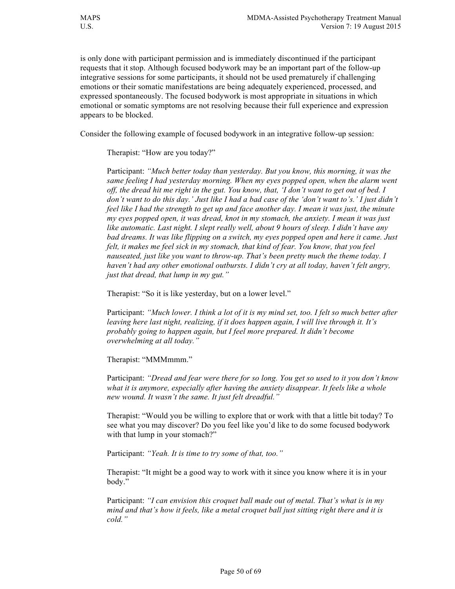is only done with participant permission and is immediately discontinued if the participant requests that it stop. Although focused bodywork may be an important part of the follow-up integrative sessions for some participants, it should not be used prematurely if challenging emotions or their somatic manifestations are being adequately experienced, processed, and expressed spontaneously. The focused bodywork is most appropriate in situations in which emotional or somatic symptoms are not resolving because their full experience and expression appears to be blocked.

Consider the following example of focused bodywork in an integrative follow-up session:

Therapist: "How are you today?"

Participant: *"Much better today than yesterday. But you know, this morning, it was the same feeling I had yesterday morning. When my eyes popped open, when the alarm went off, the dread hit me right in the gut. You know, that, 'I don't want to get out of bed. I don't want to do this day.' Just like I had a bad case of the 'don't want to's.' I just didn't feel like I had the strength to get up and face another day. I mean it was just, the minute my eyes popped open, it was dread, knot in my stomach, the anxiety. I mean it was just like automatic. Last night. I slept really well, about 9 hours of sleep. I didn't have any bad dreams. It was like flipping on a switch, my eyes popped open and here it came. Just felt, it makes me feel sick in my stomach, that kind of fear. You know, that you feel nauseated, just like you want to throw-up. That's been pretty much the theme today. I haven't had any other emotional outbursts. I didn't cry at all today, haven't felt angry, just that dread, that lump in my gut."*

Therapist: "So it is like yesterday, but on a lower level."

Participant: *"Much lower. I think a lot of it is my mind set, too. I felt so much better after leaving here last night, realizing, if it does happen again, I will live through it. It's probably going to happen again, but I feel more prepared. It didn't become overwhelming at all today."*

Therapist: "MMMmmm."

Participant: *"Dread and fear were there for so long. You get so used to it you don't know what it is anymore, especially after having the anxiety disappear. It feels like a whole new wound. It wasn't the same. It just felt dreadful."*

Therapist: "Would you be willing to explore that or work with that a little bit today? To see what you may discover? Do you feel like you'd like to do some focused bodywork with that lump in your stomach?"

Participant: *"Yeah. It is time to try some of that, too."*

Therapist: "It might be a good way to work with it since you know where it is in your body."

Participant: *"I can envision this croquet ball made out of metal. That's what is in my mind and that's how it feels, like a metal croquet ball just sitting right there and it is cold."*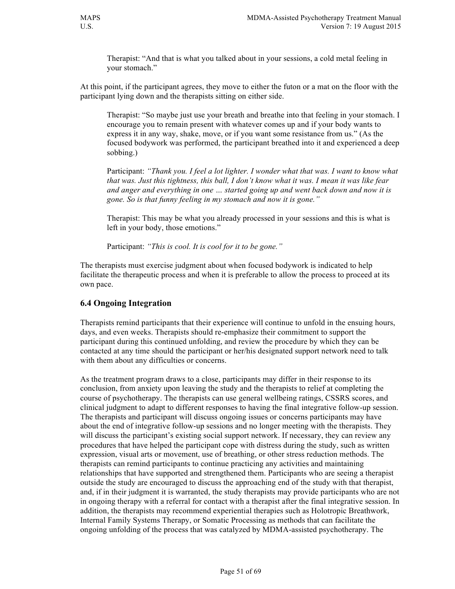Therapist: "And that is what you talked about in your sessions, a cold metal feeling in your stomach."

At this point, if the participant agrees, they move to either the futon or a mat on the floor with the participant lying down and the therapists sitting on either side.

Therapist: "So maybe just use your breath and breathe into that feeling in your stomach. I encourage you to remain present with whatever comes up and if your body wants to express it in any way, shake, move, or if you want some resistance from us." (As the focused bodywork was performed, the participant breathed into it and experienced a deep sobbing.)

Participant: *"Thank you. I feel a lot lighter. I wonder what that was. I want to know what that was. Just this tightness, this ball, I don't know what it was. I mean it was like fear and anger and everything in one … started going up and went back down and now it is gone. So is that funny feeling in my stomach and now it is gone."*

Therapist: This may be what you already processed in your sessions and this is what is left in your body, those emotions."

Participant: *"This is cool. It is cool for it to be gone."*

The therapists must exercise judgment about when focused bodywork is indicated to help facilitate the therapeutic process and when it is preferable to allow the process to proceed at its own pace.

#### **6.4 Ongoing Integration**

Therapists remind participants that their experience will continue to unfold in the ensuing hours, days, and even weeks. Therapists should re-emphasize their commitment to support the participant during this continued unfolding, and review the procedure by which they can be contacted at any time should the participant or her/his designated support network need to talk with them about any difficulties or concerns.

As the treatment program draws to a close, participants may differ in their response to its conclusion, from anxiety upon leaving the study and the therapists to relief at completing the course of psychotherapy. The therapists can use general wellbeing ratings, CSSRS scores, and clinical judgment to adapt to different responses to having the final integrative follow-up session. The therapists and participant will discuss ongoing issues or concerns participants may have about the end of integrative follow-up sessions and no longer meeting with the therapists. They will discuss the participant's existing social support network. If necessary, they can review any procedures that have helped the participant cope with distress during the study, such as written expression, visual arts or movement, use of breathing, or other stress reduction methods. The therapists can remind participants to continue practicing any activities and maintaining relationships that have supported and strengthened them. Participants who are seeing a therapist outside the study are encouraged to discuss the approaching end of the study with that therapist, and, if in their judgment it is warranted, the study therapists may provide participants who are not in ongoing therapy with a referral for contact with a therapist after the final integrative session. In addition, the therapists may recommend experiential therapies such as Holotropic Breathwork, Internal Family Systems Therapy, or Somatic Processing as methods that can facilitate the ongoing unfolding of the process that was catalyzed by MDMA-assisted psychotherapy. The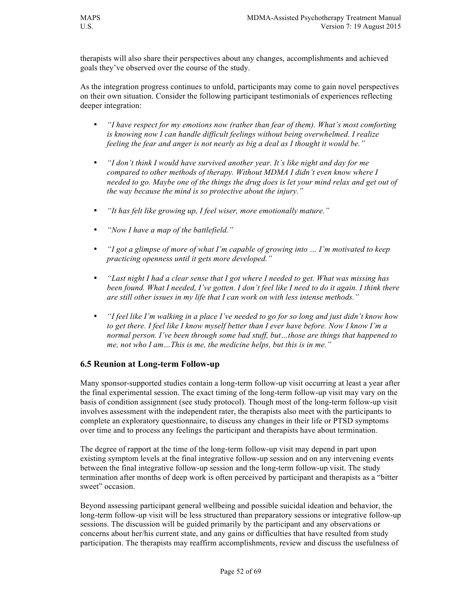therapists will also share their perspectives about any changes, accomplishments and achieved goals they've observed over the course of the study.

As the integration progress continues to unfold, participants may come to gain novel perspectives on their own situation. Consider the following participant testimonials of experiences reflecting deeper integration:

- *"I have respect for my emotions now (rather than fear of them). What's most comforting is knowing now I can handle difficult feelings without being overwhelmed. I realize feeling the fear and anger is not nearly as big a deal as I thought it would be."*
- *"I don't think I would have survived another year. It's like night and day for me compared to other methods of therapy. Without MDMA I didn't even know where I needed to go. Maybe one of the things the drug does is let your mind relax and get out of the way because the mind is so protective about the injury."*
- *"It has felt like growing up, I feel wiser, more emotionally mature."*
- *"Now I have a map of the battlefield."*
- *"I got a glimpse of more of what I'm capable of growing into … I'm motivated to keep practicing openness until it gets more developed."*
- *"Last night I had a clear sense that I got where I needed to get. What was missing has been found. What I needed, I've gotten. I don't feel like I need to do it again. I think there are still other issues in my life that I can work on with less intense methods."*
- *"I feel like I'm walking in a place I've needed to go for so long and just didn't know how to get there. I feel like I know myself better than I ever have before. Now I know I'm a normal person. I've been through some bad stuff, but…those are things that happened to me, not who I am…This is me, the medicine helps, but this is in me."*

## **6.5 Reunion at Long-term Follow-up**

Many sponsor-supported studies contain a long-term follow-up visit occurring at least a year after the final experimental session. The exact timing of the long-term follow-up visit may vary on the basis of condition assignment (see study protocol). Though most of the long-term follow-up visit involves assessment with the independent rater, the therapists also meet with the participants to complete an exploratory questionnaire, to discuss any changes in their life or PTSD symptoms over time and to process any feelings the participant and therapists have about termination.

The degree of rapport at the time of the long-term follow-up visit may depend in part upon existing symptom levels at the final integrative follow-up session and on any intervening events between the final integrative follow-up session and the long-term follow-up visit. The study termination after months of deep work is often perceived by participant and therapists as a "bitter sweet" occasion.

Beyond assessing participant general wellbeing and possible suicidal ideation and behavior, the long-term follow-up visit will be less structured than preparatory sessions or integrative follow-up sessions. The discussion will be guided primarily by the participant and any observations or concerns about her/his current state, and any gains or difficulties that have resulted from study participation. The therapists may reaffirm accomplishments, review and discuss the usefulness of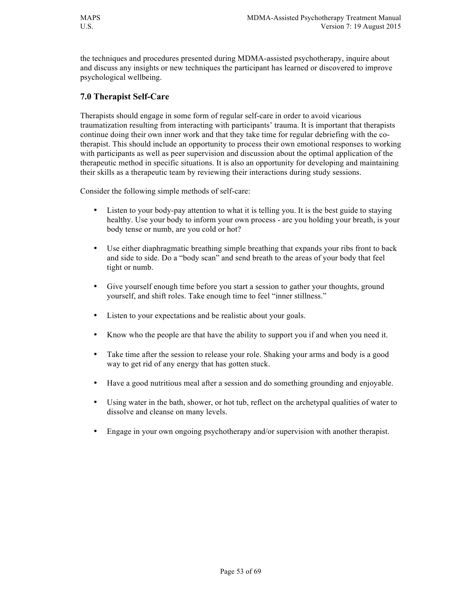the techniques and procedures presented during MDMA-assisted psychotherapy, inquire about and discuss any insights or new techniques the participant has learned or discovered to improve psychological wellbeing.

### **7.0 Therapist Self-Care**

Therapists should engage in some form of regular self-care in order to avoid vicarious traumatization resulting from interacting with participants' trauma. It is important that therapists continue doing their own inner work and that they take time for regular debriefing with the cotherapist. This should include an opportunity to process their own emotional responses to working with participants as well as peer supervision and discussion about the optimal application of the therapeutic method in specific situations. It is also an opportunity for developing and maintaining their skills as a therapeutic team by reviewing their interactions during study sessions.

Consider the following simple methods of self-care:

- Listen to your body-pay attention to what it is telling you. It is the best guide to staying healthy. Use your body to inform your own process - are you holding your breath, is your body tense or numb, are you cold or hot?
- Use either diaphragmatic breathing simple breathing that expands your ribs front to back and side to side. Do a "body scan" and send breath to the areas of your body that feel tight or numb.
- Give yourself enough time before you start a session to gather your thoughts, ground yourself, and shift roles. Take enough time to feel "inner stillness."
- Listen to your expectations and be realistic about your goals.
- Know who the people are that have the ability to support you if and when you need it.
- Take time after the session to release your role. Shaking your arms and body is a good way to get rid of any energy that has gotten stuck.
- Have a good nutritious meal after a session and do something grounding and enjoyable.
- Using water in the bath, shower, or hot tub, reflect on the archetypal qualities of water to dissolve and cleanse on many levels.
- Engage in your own ongoing psychotherapy and/or supervision with another therapist.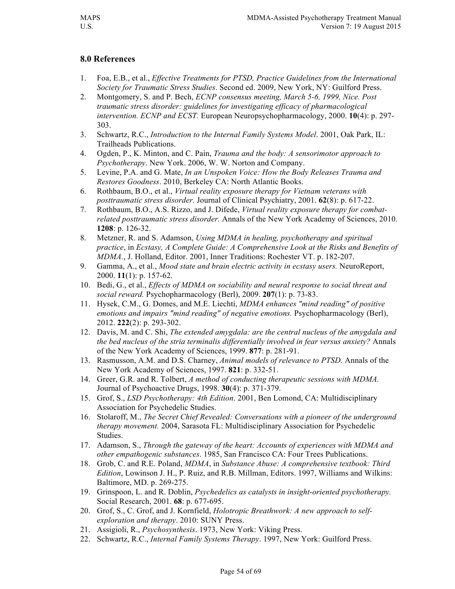## **8.0 References**

- 1. Foa, E.B., et al., *Effective Treatments for PTSD, Practice Guidelines from the International Society for Traumatic Stress Studies*. Second ed. 2009, New York, NY: Guilford Press.
- 2. Montgomery, S. and P. Bech, *ECNP consensus meeting, March 5-6, 1999, Nice. Post traumatic stress disorder: guidelines for investigating efficacy of pharmacological intervention. ECNP and ECST.* European Neuropsychopharmacology, 2000. **10**(4): p. 297- 303.
- 3. Schwartz, R.C., *Introduction to the Internal Family Systems Model*. 2001, Oak Park, IL: Trailheads Publications.
- 4. Ogden, P., K. Minton, and C. Pain, *Trauma and the body: A sensorimotor approach to Psychotherapy*. New York. 2006, W. W. Norton and Company.
- 5. Levine, P.A. and G. Mate, *In an Unspoken Voice: How the Body Releases Trauma and Restores Goodness*. 2010, Berkeley CA: North Atlantic Books.
- 6. Rothbaum, B.O., et al., *Virtual reality exposure therapy for Vietnam veterans with posttraumatic stress disorder.* Journal of Clinical Psychiatry, 2001. **62**(8): p. 617-22.
- 7. Rothbaum, B.O., A.S. Rizzo, and J. Difede, *Virtual reality exposure therapy for combatrelated posttraumatic stress disorder.* Annals of the New York Academy of Sciences, 2010. **1208**: p. 126-32.
- 8. Metzner, R. and S. Adamson, *Using MDMA in healing, psychotherapy and spiritual practice*, in *Ecstasy, A Complete Guide: A Comprehensive Look at the Risks and Benefits of MDMA.*, J. Holland, Editor. 2001, Inner Traditions: Rochester VT. p. 182-207.
- 9. Gamma, A., et al., *Mood state and brain electric activity in ecstasy users.* NeuroReport, 2000. **11**(1): p. 157-62.
- 10. Bedi, G., et al., *Effects of MDMA on sociability and neural response to social threat and social reward.* Psychopharmacology (Berl), 2009. **207**(1): p. 73-83.
- 11. Hysek, C.M., G. Domes, and M.E. Liechti, *MDMA enhances "mind reading" of positive emotions and impairs "mind reading" of negative emotions.* Psychopharmacology (Berl), 2012. **222**(2): p. 293-302.
- 12. Davis, M. and C. Shi, *The extended amygdala: are the central nucleus of the amygdala and the bed nucleus of the stria terminalis differentially involved in fear versus anxiety?* Annals of the New York Academy of Sciences, 1999. **877**: p. 281-91.
- 13. Rasmusson, A.M. and D.S. Charney, *Animal models of relevance to PTSD.* Annals of the New York Academy of Sciences, 1997. **821**: p. 332-51.
- 14. Greer, G.R. and R. Tolbert, *A method of conducting therapeutic sessions with MDMA.*  Journal of Psychoactive Drugs, 1998. **30**(4): p. 371-379.
- 15. Grof, S., *LSD Psychotherapy: 4th Edition*. 2001, Ben Lomond, CA: Multidisciplinary Association for Psychedelic Studies.
- 16. Stolaroff, M., *The Secret Chief Revealed: Conversations with a pioneer of the underground therapy movement.* 2004, Sarasota FL: Multidisciplinary Association for Psychedelic Studies.
- 17. Adamson, S., *Through the gateway of the heart: Accounts of experiences with MDMA and other empathogenic substances*. 1985, San Francisco CA: Four Trees Publications.
- 18. Grob, C. and R.E. Poland, *MDMA*, in *Substance Abuse: A comprehensive textbook: Third Edition*, Lowinson J. H., P. Ruiz, and R.B. Millman, Editors. 1997, Williams and Wilkins: Baltimore, MD. p. 269-275.
- 19. Grinspoon, L. and R. Doblin, *Psychedelics as catalysts in insight-oriented psychotherapy.*  Social Research, 2001. **68**: p. 677-695.
- 20. Grof, S., C. Grof, and J. Kornfield, *Holotropic Breathwork: A new approach to selfexploration and therapy*. 2010: SUNY Press.
- 21. Assigioli, R., *Psychosynthesis*. 1973, New York: Viking Press.
- 22. Schwartz, R.C., *Internal Family Systems Therapy*. 1997, New York: Guilford Press.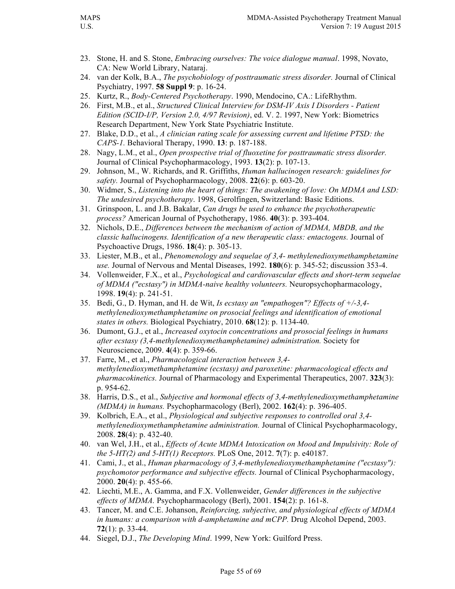- 23. Stone, H. and S. Stone, *Embracing ourselves: The voice dialogue manual*. 1998, Novato, CA: New World Library, Nataraj.
- 24. van der Kolk, B.A., *The psychobiology of posttraumatic stress disorder.* Journal of Clinical Psychiatry, 1997. **58 Suppl 9**: p. 16-24.
- 25. Kurtz, R., *Body-Centered Psychotherapy*. 1990, Mendocino, CA.: LifeRhythm.
- 26. First, M.B., et al., *Structured Clinical Interview for DSM-IV Axis I Disorders - Patient Edition (SCID-I/P, Version 2.0, 4/97 Revision)*, ed. V. 2. 1997, New York: Biometrics Research Department, New York State Psychiatric Institute.
- 27. Blake, D.D., et al., *A clinician rating scale for assessing current and lifetime PTSD: the CAPS-1.* Behavioral Therapy, 1990. **13**: p. 187-188.
- 28. Nagy, L.M., et al., *Open prospective trial of fluoxetine for posttraumatic stress disorder.*  Journal of Clinical Psychopharmacology, 1993. **13**(2): p. 107-13.
- 29. Johnson, M., W. Richards, and R. Griffiths, *Human hallucinogen research: guidelines for safety.* Journal of Psychopharmacology, 2008. **22**(6): p. 603-20.
- 30. Widmer, S., *Listening into the heart of things: The awakening of love: On MDMA and LSD: The undesired psychotherapy*. 1998, Gerolfingen, Switzerland: Basic Editions.
- 31. Grinspoon, L. and J.B. Bakalar, *Can drugs be used to enhance the psychotherapeutic process?* American Journal of Psychotherapy, 1986. **40**(3): p. 393-404.
- 32. Nichols, D.E., *Differences between the mechanism of action of MDMA, MBDB, and the classic hallucinogens. Identification of a new therapeutic class: entactogens.* Journal of Psychoactive Drugs, 1986. **18**(4): p. 305-13.
- 33. Liester, M.B., et al., *Phenomenology and sequelae of 3,4- methylenedioxymethamphetamine use.* Journal of Nervous and Mental Diseases, 1992. **180**(6): p. 345-52; discussion 353-4.
- 34. Vollenweider, F.X., et al., *Psychological and cardiovascular effects and short-term sequelae of MDMA ("ecstasy") in MDMA-naive healthy volunteers.* Neuropsychopharmacology, 1998. **19**(4): p. 241-51.
- 35. Bedi, G., D. Hyman, and H. de Wit, *Is ecstasy an "empathogen"? Effects of +/-3,4 methylenedioxymethamphetamine on prosocial feelings and identification of emotional states in others.* Biological Psychiatry, 2010. **68**(12): p. 1134-40.
- 36. Dumont, G.J., et al., *Increased oxytocin concentrations and prosocial feelings in humans after ecstasy (3,4-methylenedioxymethamphetamine) administration.* Society for Neuroscience, 2009. **4**(4): p. 359-66.
- 37. Farre, M., et al., *Pharmacological interaction between 3,4 methylenedioxymethamphetamine (ecstasy) and paroxetine: pharmacological effects and pharmacokinetics.* Journal of Pharmacology and Experimental Therapeutics, 2007. **323**(3): p. 954-62.
- 38. Harris, D.S., et al., *Subjective and hormonal effects of 3,4-methylenedioxymethamphetamine (MDMA) in humans.* Psychopharmacology (Berl), 2002. **162**(4): p. 396-405.
- 39. Kolbrich, E.A., et al., *Physiological and subjective responses to controlled oral 3,4 methylenedioxymethamphetamine administration.* Journal of Clinical Psychopharmacology, 2008. **28**(4): p. 432-40.
- 40. van Wel, J.H., et al., *Effects of Acute MDMA Intoxication on Mood and Impulsivity: Role of the 5-HT(2) and 5-HT(1) Receptors.* PLoS One, 2012. **7**(7): p. e40187.
- 41. Cami, J., et al., *Human pharmacology of 3,4-methylenedioxymethamphetamine ("ecstasy"): psychomotor performance and subjective effects.* Journal of Clinical Psychopharmacology, 2000. **20**(4): p. 455-66.
- 42. Liechti, M.E., A. Gamma, and F.X. Vollenweider, *Gender differences in the subjective effects of MDMA.* Psychopharmacology (Berl), 2001. **154**(2): p. 161-8.
- 43. Tancer, M. and C.E. Johanson, *Reinforcing, subjective, and physiological effects of MDMA in humans: a comparison with d-amphetamine and mCPP.* Drug Alcohol Depend, 2003. **72**(1): p. 33-44.
- 44. Siegel, D.J., *The Developing Mind*. 1999, New York: Guilford Press.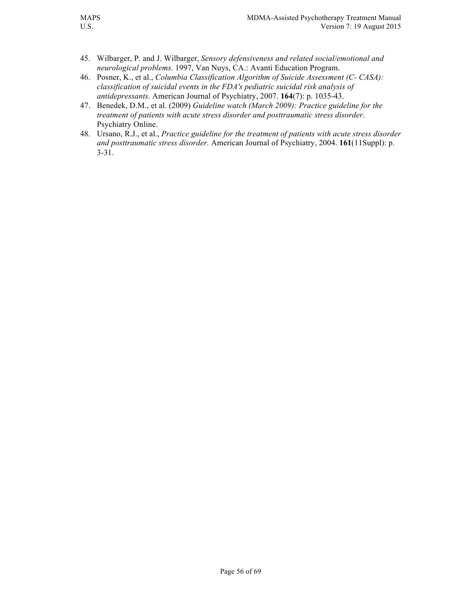- 45. Wilbarger, P. and J. Wilbarger, *Sensory defensiveness and related social/emotional and neurological problems*. 1997, Van Nuys, CA.: Avanti Education Program.
- 46. Posner, K., et al., *Columbia Classification Algorithm of Suicide Assessment (C- CASA): classification of suicidal events in the FDA's pediatric suicidal risk analysis of antidepressants.* American Journal of Psychiatry, 2007. **164**(7): p. 1035-43.
- 47. Benedek, D.M., et al. (2009) *Guideline watch (March 2009): Practice guideline for the treatment of patients with acute stress disorder and posttraumatic stress disorder*. Psychiatry Online.
- 48. Ursano, R.J., et al., *Practice guideline for the treatment of patients with acute stress disorder and posttraumatic stress disorder.* American Journal of Psychiatry, 2004. **161**(11Suppl): p. 3-31.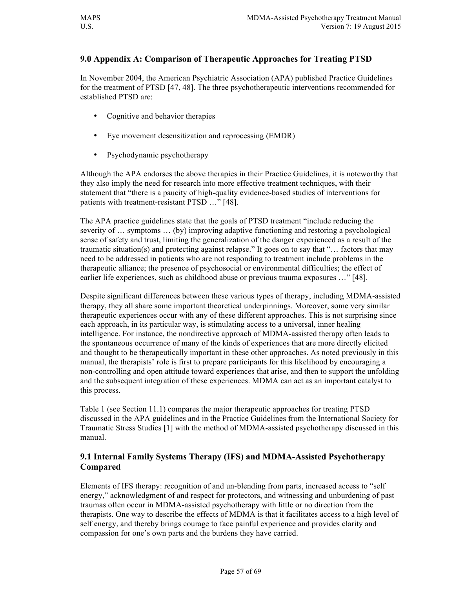## **9.0 Appendix A: Comparison of Therapeutic Approaches for Treating PTSD**

In November 2004, the American Psychiatric Association (APA) published Practice Guidelines for the treatment of PTSD [47, 48]. The three psychotherapeutic interventions recommended for established PTSD are:

- Cognitive and behavior therapies
- Eye movement desensitization and reprocessing (EMDR)
- Psychodynamic psychotherapy

Although the APA endorses the above therapies in their Practice Guidelines, it is noteworthy that they also imply the need for research into more effective treatment techniques, with their statement that "there is a paucity of high-quality evidence-based studies of interventions for patients with treatment-resistant PTSD …" [48].

The APA practice guidelines state that the goals of PTSD treatment "include reducing the severity of … symptoms … (by) improving adaptive functioning and restoring a psychological sense of safety and trust, limiting the generalization of the danger experienced as a result of the traumatic situation(s) and protecting against relapse." It goes on to say that "… factors that may need to be addressed in patients who are not responding to treatment include problems in the therapeutic alliance; the presence of psychosocial or environmental difficulties; the effect of earlier life experiences, such as childhood abuse or previous trauma exposures …" [48].

Despite significant differences between these various types of therapy, including MDMA-assisted therapy, they all share some important theoretical underpinnings. Moreover, some very similar therapeutic experiences occur with any of these different approaches. This is not surprising since each approach, in its particular way, is stimulating access to a universal, inner healing intelligence. For instance, the nondirective approach of MDMA-assisted therapy often leads to the spontaneous occurrence of many of the kinds of experiences that are more directly elicited and thought to be therapeutically important in these other approaches. As noted previously in this manual, the therapists' role is first to prepare participants for this likelihood by encouraging a non-controlling and open attitude toward experiences that arise, and then to support the unfolding and the subsequent integration of these experiences. MDMA can act as an important catalyst to this process.

Table 1 (see Section 11.1) compares the major therapeutic approaches for treating PTSD discussed in the APA guidelines and in the Practice Guidelines from the International Society for Traumatic Stress Studies [1] with the method of MDMA-assisted psychotherapy discussed in this manual.

#### **9.1 Internal Family Systems Therapy (IFS) and MDMA-Assisted Psychotherapy Compared**

Elements of IFS therapy: recognition of and un-blending from parts, increased access to "self energy," acknowledgment of and respect for protectors, and witnessing and unburdening of past traumas often occur in MDMA-assisted psychotherapy with little or no direction from the therapists. One way to describe the effects of MDMA is that it facilitates access to a high level of self energy, and thereby brings courage to face painful experience and provides clarity and compassion for one's own parts and the burdens they have carried.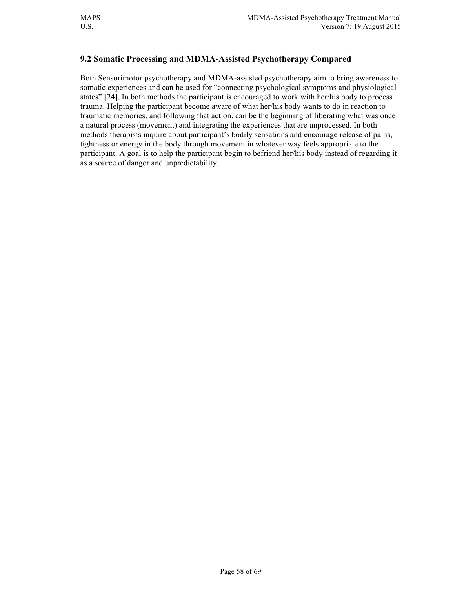## **9.2 Somatic Processing and MDMA-Assisted Psychotherapy Compared**

Both Sensorimotor psychotherapy and MDMA-assisted psychotherapy aim to bring awareness to somatic experiences and can be used for "connecting psychological symptoms and physiological states" [24]. In both methods the participant is encouraged to work with her/his body to process trauma. Helping the participant become aware of what her/his body wants to do in reaction to traumatic memories, and following that action, can be the beginning of liberating what was once a natural process (movement) and integrating the experiences that are unprocessed. In both methods therapists inquire about participant's bodily sensations and encourage release of pains, tightness or energy in the body through movement in whatever way feels appropriate to the participant. A goal is to help the participant begin to befriend her/his body instead of regarding it as a source of danger and unpredictability.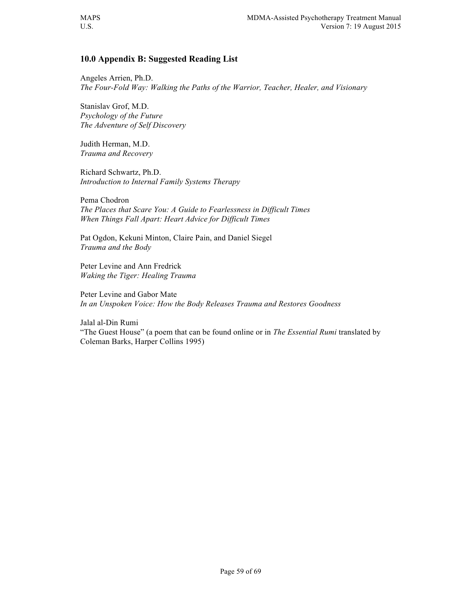## **10.0 Appendix B: Suggested Reading List**

Angeles Arrien, Ph.D. *The Four-Fold Way: Walking the Paths of the Warrior, Teacher, Healer, and Visionary*

Stanislav Grof, M.D. *Psychology of the Future The Adventure of Self Discovery*

Judith Herman, M.D. *Trauma and Recovery*

Richard Schwartz, Ph.D. *Introduction to Internal Family Systems Therapy*

Pema Chodron *The Places that Scare You: A Guide to Fearlessness in Difficult Times When Things Fall Apart: Heart Advice for Difficult Times*

Pat Ogdon, Kekuni Minton, Claire Pain, and Daniel Siegel *Trauma and the Body*

Peter Levine and Ann Fredrick *Waking the Tiger: Healing Trauma*

Peter Levine and Gabor Mate *In an Unspoken Voice: How the Body Releases Trauma and Restores Goodness*

Jalal al-Din Rumi "The Guest House" (a poem that can be found online or in *The Essential Rumi* translated by Coleman Barks, Harper Collins 1995)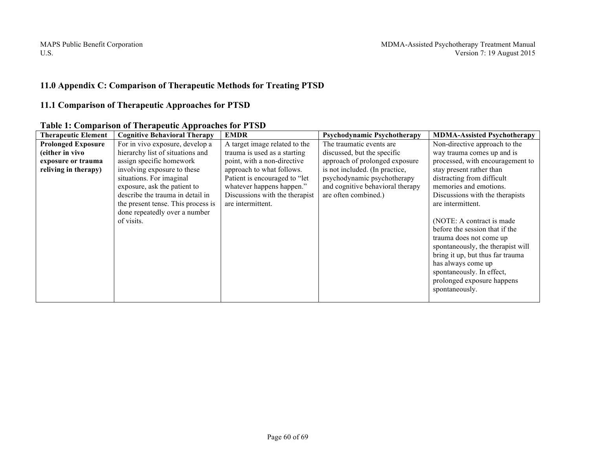## **11.0 Appendix C: Comparison of Therapeutic Methods for Treating PTSD**

## **11.1 Comparison of Therapeutic Approaches for PTSD**

| <b>Therapeutic Element</b> | <b>Cognitive Behavioral Therapy</b> | <b>EMDR</b>                    | <b>Psychodynamic Psychotherapy</b> | <b>MDMA-Assisted Psychotherapy</b> |
|----------------------------|-------------------------------------|--------------------------------|------------------------------------|------------------------------------|
| <b>Prolonged Exposure</b>  | For in vivo exposure, develop a     | A target image related to the  | The traumatic events are           | Non-directive approach to the      |
| (either in vivo            | hierarchy list of situations and    | trauma is used as a starting   | discussed, but the specific        | way trauma comes up and is         |
| exposure or trauma         | assign specific homework            | point, with a non-directive    | approach of prolonged exposure     | processed, with encouragement to   |
| reliving in therapy)       | involving exposure to these         | approach to what follows.      | is not included. (In practice,     | stay present rather than           |
|                            | situations. For imaginal            | Patient is encouraged to "let  | psychodynamic psychotherapy        | distracting from difficult         |
|                            | exposure, ask the patient to        | whatever happens happen."      | and cognitive behavioral therapy   | memories and emotions.             |
|                            | describe the trauma in detail in    | Discussions with the therapist | are often combined.)               | Discussions with the therapists    |
|                            | the present tense. This process is  | are intermittent.              |                                    | are intermittent.                  |
|                            | done repeatedly over a number       |                                |                                    |                                    |
|                            | of visits.                          |                                |                                    | (NOTE: A contract is made)         |
|                            |                                     |                                |                                    | before the session that if the     |
|                            |                                     |                                |                                    | trauma does not come up            |
|                            |                                     |                                |                                    | spontaneously, the therapist will  |
|                            |                                     |                                |                                    | bring it up, but thus far trauma   |
|                            |                                     |                                |                                    | has always come up                 |
|                            |                                     |                                |                                    | spontaneously. In effect,          |
|                            |                                     |                                |                                    | prolonged exposure happens         |
|                            |                                     |                                |                                    | spontaneously.                     |
|                            |                                     |                                |                                    |                                    |

**Table 1: Comparison of Therapeutic Approaches for PTSD**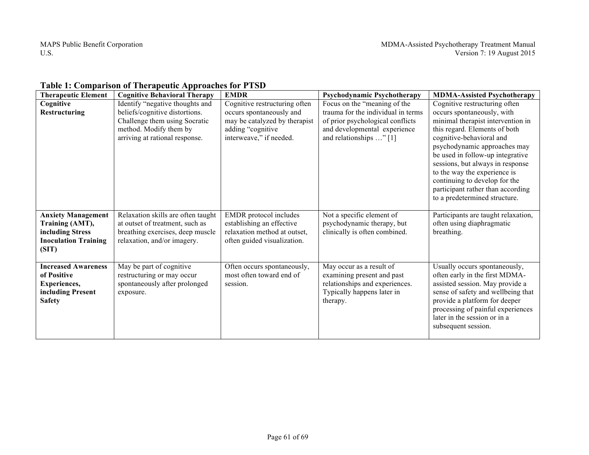| <b>Therapeutic Element</b>                                                                               | <b>Cognitive Behavioral Therapy</b>                                                                                                      | <b>EMDR</b>                                                                                                               | <b>Psychodynamic Psychotherapy</b>                                                                                                 | <b>MDMA-Assisted Psychotherapy</b>                                                                                                                                                                                                                                                                                                                                          |
|----------------------------------------------------------------------------------------------------------|------------------------------------------------------------------------------------------------------------------------------------------|---------------------------------------------------------------------------------------------------------------------------|------------------------------------------------------------------------------------------------------------------------------------|-----------------------------------------------------------------------------------------------------------------------------------------------------------------------------------------------------------------------------------------------------------------------------------------------------------------------------------------------------------------------------|
| Cognitive                                                                                                | Identify "negative thoughts and                                                                                                          | Cognitive restructuring often                                                                                             | Focus on the "meaning of the                                                                                                       | Cognitive restructuring often                                                                                                                                                                                                                                                                                                                                               |
| <b>Restructuring</b>                                                                                     | beliefs/cognitive distortions.<br>Challenge them using Socratic<br>method. Modify them by<br>arriving at rational response.              | occurs spontaneously and<br>may be catalyzed by therapist<br>adding "cognitive<br>interweave," if needed.                 | trauma for the individual in terms<br>of prior psychological conflicts<br>and developmental experience<br>and relationships " [1]  | occurs spontaneously, with<br>minimal therapist intervention in<br>this regard. Elements of both<br>cognitive-behavioral and<br>psychodynamic approaches may<br>be used in follow-up integrative<br>sessions, but always in response<br>to the way the experience is<br>continuing to develop for the<br>participant rather than according<br>to a predetermined structure. |
| <b>Anxiety Management</b><br>Training (AMT),<br>including Stress<br><b>Inoculation Training</b><br>(SIT) | Relaxation skills are often taught<br>at outset of treatment, such as<br>breathing exercises, deep muscle<br>relaxation, and/or imagery. | <b>EMDR</b> protocol includes<br>establishing an effective<br>relaxation method at outset,<br>often guided visualization. | Not a specific element of<br>psychodynamic therapy, but<br>clinically is often combined.                                           | Participants are taught relaxation,<br>often using diaphragmatic<br>breathing.                                                                                                                                                                                                                                                                                              |
| <b>Increased Awareness</b><br>of Positive<br><b>Experiences,</b><br>including Present<br><b>Safety</b>   | May be part of cognitive<br>restructuring or may occur<br>spontaneously after prolonged<br>exposure.                                     | Often occurs spontaneously,<br>most often toward end of<br>session.                                                       | May occur as a result of<br>examining present and past<br>relationships and experiences.<br>Typically happens later in<br>therapy. | Usually occurs spontaneously,<br>often early in the first MDMA-<br>assisted session. May provide a<br>sense of safety and wellbeing that<br>provide a platform for deeper<br>processing of painful experiences<br>later in the session or in a<br>subsequent session.                                                                                                       |

# **Table 1: Comparison of Therapeutic Approaches for PTSD**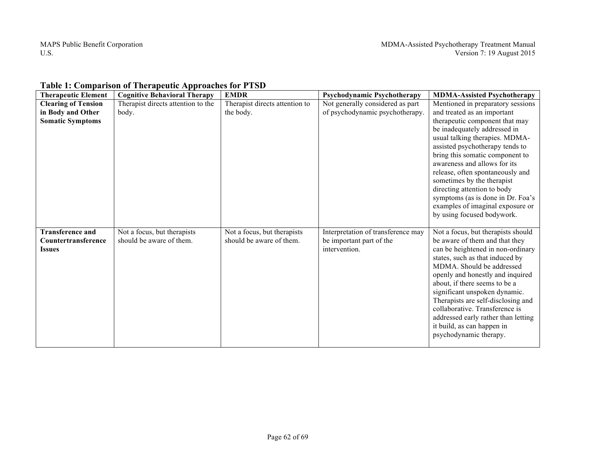| <b>Therapeutic Element</b>                                             | <b>Cognitive Behavioral Therapy</b>                     | <b>EMDR</b>                                             | <b>Psychodynamic Psychotherapy</b>                                              | <b>MDMA-Assisted Psychotherapy</b>                                                                                                                                                                                                                                                                                                                                                                                                                     |
|------------------------------------------------------------------------|---------------------------------------------------------|---------------------------------------------------------|---------------------------------------------------------------------------------|--------------------------------------------------------------------------------------------------------------------------------------------------------------------------------------------------------------------------------------------------------------------------------------------------------------------------------------------------------------------------------------------------------------------------------------------------------|
| <b>Clearing of Tension</b>                                             | Therapist directs attention to the                      | Therapist directs attention to                          | Not generally considered as part                                                | Mentioned in preparatory sessions                                                                                                                                                                                                                                                                                                                                                                                                                      |
| in Body and Other<br><b>Somatic Symptoms</b>                           | body.                                                   | the body.                                               | of psychodynamic psychotherapy.                                                 | and treated as an important<br>therapeutic component that may<br>be inadequately addressed in<br>usual talking therapies. MDMA-<br>assisted psychotherapy tends to<br>bring this somatic component to<br>awareness and allows for its<br>release, often spontaneously and<br>sometimes by the therapist<br>directing attention to body<br>symptoms (as is done in Dr. Foa's<br>examples of imaginal exposure or<br>by using focused bodywork.          |
| <b>Transference and</b><br><b>Countertransference</b><br><b>Issues</b> | Not a focus, but therapists<br>should be aware of them. | Not a focus, but therapists<br>should be aware of them. | Interpretation of transference may<br>be important part of the<br>intervention. | Not a focus, but therapists should<br>be aware of them and that they<br>can be heightened in non-ordinary<br>states, such as that induced by<br>MDMA. Should be addressed<br>openly and honestly and inquired<br>about, if there seems to be a<br>significant unspoken dynamic.<br>Therapists are self-disclosing and<br>collaborative. Transference is<br>addressed early rather than letting<br>it build, as can happen in<br>psychodynamic therapy. |

# **Table 1: Comparison of Therapeutic Approaches for PTSD**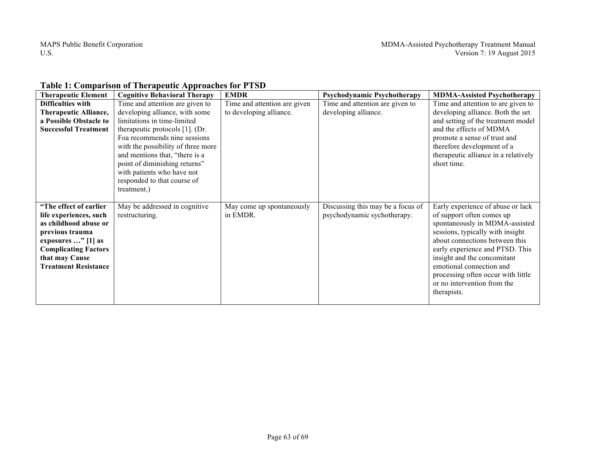| <b>Therapeutic Element</b>                                                                                                                                                                          | <b>Cognitive Behavioral Therapy</b>                                                                                                                                                                                                                                                                                                                      | <b>EMDR</b>                                             | Psychodynamic Psychotherapy                                      | <b>MDMA-Assisted Psychotherapy</b>                                                                                                                                                                                                                                                                                                                       |
|-----------------------------------------------------------------------------------------------------------------------------------------------------------------------------------------------------|----------------------------------------------------------------------------------------------------------------------------------------------------------------------------------------------------------------------------------------------------------------------------------------------------------------------------------------------------------|---------------------------------------------------------|------------------------------------------------------------------|----------------------------------------------------------------------------------------------------------------------------------------------------------------------------------------------------------------------------------------------------------------------------------------------------------------------------------------------------------|
| <b>Difficulties with</b><br>Therapeutic Alliance,<br>a Possible Obstacle to<br><b>Successful Treatment</b>                                                                                          | Time and attention are given to<br>developing alliance, with some<br>limitations in time-limited<br>therapeutic protocols [1]. (Dr.<br>Foa recommends nine sessions<br>with the possibility of three more<br>and mentions that, "there is a<br>point of diminishing returns"<br>with patients who have not<br>responded to that course of<br>treatment.) | Time and attention are given<br>to developing alliance. | Time and attention are given to<br>developing alliance.          | Time and attention to are given to<br>developing alliance. Both the set<br>and setting of the treatment model<br>and the effects of MDMA<br>promote a sense of trust and<br>therefore development of a<br>therapeutic alliance in a relatively<br>short time.                                                                                            |
| "The effect of earlier"<br>life experiences, such<br>as childhood abuse or<br>previous trauma<br>exposures " [1] as<br><b>Complicating Factors</b><br>that may Cause<br><b>Treatment Resistance</b> | May be addressed in cognitive<br>restructuring.                                                                                                                                                                                                                                                                                                          | May come up spontaneously<br>in EMDR.                   | Discussing this may be a focus of<br>psychodynamic sychotherapy. | Early experience of abuse or lack<br>of support often comes up<br>spontaneously in MDMA-assisted<br>sessions, typically with insight<br>about connections between this<br>early experience and PTSD. This<br>insight and the concomitant<br>emotional connection and<br>processing often occur with little<br>or no intervention from the<br>therapists. |

# **Table 1: Comparison of Therapeutic Approaches for PTSD**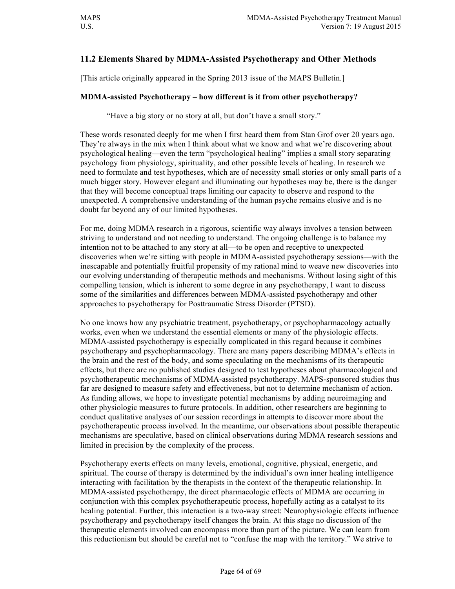## **11.2 Elements Shared by MDMA-Assisted Psychotherapy and Other Methods**

[This article originally appeared in the Spring 2013 issue of the MAPS Bulletin.]

#### **MDMA-assisted Psychotherapy – how different is it from other psychotherapy?**

"Have a big story or no story at all, but don't have a small story."

These words resonated deeply for me when I first heard them from Stan Grof over 20 years ago. They're always in the mix when I think about what we know and what we're discovering about psychological healing—even the term "psychological healing" implies a small story separating psychology from physiology, spirituality, and other possible levels of healing. In research we need to formulate and test hypotheses, which are of necessity small stories or only small parts of a much bigger story. However elegant and illuminating our hypotheses may be, there is the danger that they will become conceptual traps limiting our capacity to observe and respond to the unexpected. A comprehensive understanding of the human psyche remains elusive and is no doubt far beyond any of our limited hypotheses.

For me, doing MDMA research in a rigorous, scientific way always involves a tension between striving to understand and not needing to understand. The ongoing challenge is to balance my intention not to be attached to any story at all—to be open and receptive to unexpected discoveries when we're sitting with people in MDMA-assisted psychotherapy sessions—with the inescapable and potentially fruitful propensity of my rational mind to weave new discoveries into our evolving understanding of therapeutic methods and mechanisms. Without losing sight of this compelling tension, which is inherent to some degree in any psychotherapy, I want to discuss some of the similarities and differences between MDMA-assisted psychotherapy and other approaches to psychotherapy for Posttraumatic Stress Disorder (PTSD).

No one knows how any psychiatric treatment, psychotherapy, or psychopharmacology actually works, even when we understand the essential elements or many of the physiologic effects. MDMA-assisted psychotherapy is especially complicated in this regard because it combines psychotherapy and psychopharmacology. There are many papers describing MDMA's effects in the brain and the rest of the body, and some speculating on the mechanisms of its therapeutic effects, but there are no published studies designed to test hypotheses about pharmacological and psychotherapeutic mechanisms of MDMA-assisted psychotherapy. MAPS-sponsored studies thus far are designed to measure safety and effectiveness, but not to determine mechanism of action. As funding allows, we hope to investigate potential mechanisms by adding neuroimaging and other physiologic measures to future protocols. In addition, other researchers are beginning to conduct qualitative analyses of our session recordings in attempts to discover more about the psychotherapeutic process involved. In the meantime, our observations about possible therapeutic mechanisms are speculative, based on clinical observations during MDMA research sessions and limited in precision by the complexity of the process.

Psychotherapy exerts effects on many levels, emotional, cognitive, physical, energetic, and spiritual. The course of therapy is determined by the individual's own inner healing intelligence interacting with facilitation by the therapists in the context of the therapeutic relationship. In MDMA-assisted psychotherapy, the direct pharmacologic effects of MDMA are occurring in conjunction with this complex psychotherapeutic process, hopefully acting as a catalyst to its healing potential. Further, this interaction is a two-way street: Neurophysiologic effects influence psychotherapy and psychotherapy itself changes the brain. At this stage no discussion of the therapeutic elements involved can encompass more than part of the picture. We can learn from this reductionism but should be careful not to "confuse the map with the territory." We strive to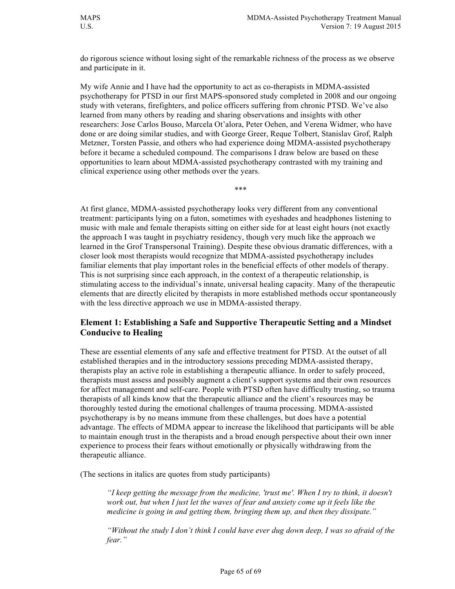do rigorous science without losing sight of the remarkable richness of the process as we observe and participate in it.

My wife Annie and I have had the opportunity to act as co-therapists in MDMA-assisted psychotherapy for PTSD in our first MAPS-sponsored study completed in 2008 and our ongoing study with veterans, firefighters, and police officers suffering from chronic PTSD. We've also learned from many others by reading and sharing observations and insights with other researchers: Jose Carlos Bouso, Marcela Ot'alora, Peter Oehen, and Verena Widmer, who have done or are doing similar studies, and with George Greer, Reque Tolbert, Stanislav Grof, Ralph Metzner, Torsten Passie, and others who had experience doing MDMA-assisted psychotherapy before it became a scheduled compound. The comparisons I draw below are based on these opportunities to learn about MDMA-assisted psychotherapy contrasted with my training and clinical experience using other methods over the years.

\*\*\*

At first glance, MDMA-assisted psychotherapy looks very different from any conventional treatment: participants lying on a futon, sometimes with eyeshades and headphones listening to music with male and female therapists sitting on either side for at least eight hours (not exactly the approach I was taught in psychiatry residency, though very much like the approach we learned in the Grof Transpersonal Training). Despite these obvious dramatic differences, with a closer look most therapists would recognize that MDMA-assisted psychotherapy includes familiar elements that play important roles in the beneficial effects of other models of therapy. This is not surprising since each approach, in the context of a therapeutic relationship, is stimulating access to the individual's innate, universal healing capacity. Many of the therapeutic elements that are directly elicited by therapists in more established methods occur spontaneously with the less directive approach we use in MDMA-assisted therapy.

## **Element 1: Establishing a Safe and Supportive Therapeutic Setting and a Mindset Conducive to Healing**

These are essential elements of any safe and effective treatment for PTSD. At the outset of all established therapies and in the introductory sessions preceding MDMA-assisted therapy, therapists play an active role in establishing a therapeutic alliance. In order to safely proceed, therapists must assess and possibly augment a client's support systems and their own resources for affect management and self-care. People with PTSD often have difficulty trusting, so trauma therapists of all kinds know that the therapeutic alliance and the client's resources may be thoroughly tested during the emotional challenges of trauma processing. MDMA-assisted psychotherapy is by no means immune from these challenges, but does have a potential advantage. The effects of MDMA appear to increase the likelihood that participants will be able to maintain enough trust in the therapists and a broad enough perspective about their own inner experience to process their fears without emotionally or physically withdrawing from the therapeutic alliance.

(The sections in italics are quotes from study participants)

*"I keep getting the message from the medicine, 'trust me'. When I try to think, it doesn't work out, but when I just let the waves of fear and anxiety come up it feels like the medicine is going in and getting them, bringing them up, and then they dissipate."*

*"Without the study I don't think I could have ever dug down deep, I was so afraid of the fear."*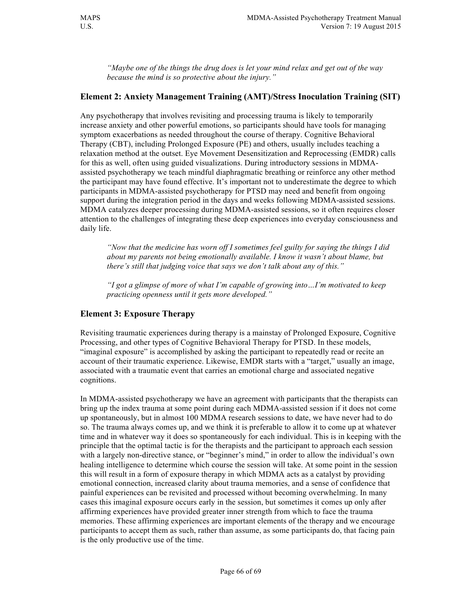*"Maybe one of the things the drug does is let your mind relax and get out of the way because the mind is so protective about the injury."*

### **Element 2: Anxiety Management Training (AMT)/Stress Inoculation Training (SIT)**

Any psychotherapy that involves revisiting and processing trauma is likely to temporarily increase anxiety and other powerful emotions, so participants should have tools for managing symptom exacerbations as needed throughout the course of therapy. Cognitive Behavioral Therapy (CBT), including Prolonged Exposure (PE) and others, usually includes teaching a relaxation method at the outset. Eye Movement Desensitization and Reprocessing (EMDR) calls for this as well, often using guided visualizations. During introductory sessions in MDMAassisted psychotherapy we teach mindful diaphragmatic breathing or reinforce any other method the participant may have found effective. It's important not to underestimate the degree to which participants in MDMA-assisted psychotherapy for PTSD may need and benefit from ongoing support during the integration period in the days and weeks following MDMA-assisted sessions. MDMA catalyzes deeper processing during MDMA-assisted sessions, so it often requires closer attention to the challenges of integrating these deep experiences into everyday consciousness and daily life.

*"Now that the medicine has worn off I sometimes feel guilty for saying the things I did about my parents not being emotionally available. I know it wasn't about blame, but there's still that judging voice that says we don't talk about any of this."*

*"I got a glimpse of more of what I'm capable of growing into…I'm motivated to keep practicing openness until it gets more developed."* 

#### **Element 3: Exposure Therapy**

Revisiting traumatic experiences during therapy is a mainstay of Prolonged Exposure, Cognitive Processing, and other types of Cognitive Behavioral Therapy for PTSD. In these models, "imaginal exposure" is accomplished by asking the participant to repeatedly read or recite an account of their traumatic experience. Likewise, EMDR starts with a "target," usually an image, associated with a traumatic event that carries an emotional charge and associated negative cognitions.

In MDMA-assisted psychotherapy we have an agreement with participants that the therapists can bring up the index trauma at some point during each MDMA-assisted session if it does not come up spontaneously, but in almost 100 MDMA research sessions to date, we have never had to do so. The trauma always comes up, and we think it is preferable to allow it to come up at whatever time and in whatever way it does so spontaneously for each individual. This is in keeping with the principle that the optimal tactic is for the therapists and the participant to approach each session with a largely non-directive stance, or "beginner's mind," in order to allow the individual's own healing intelligence to determine which course the session will take. At some point in the session this will result in a form of exposure therapy in which MDMA acts as a catalyst by providing emotional connection, increased clarity about trauma memories, and a sense of confidence that painful experiences can be revisited and processed without becoming overwhelming. In many cases this imaginal exposure occurs early in the session, but sometimes it comes up only after affirming experiences have provided greater inner strength from which to face the trauma memories. These affirming experiences are important elements of the therapy and we encourage participants to accept them as such, rather than assume, as some participants do, that facing pain is the only productive use of the time.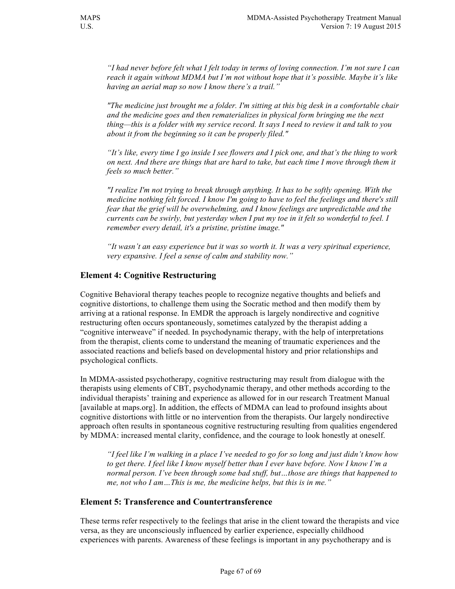*"I had never before felt what I felt today in terms of loving connection. I'm not sure I can reach it again without MDMA but I'm not without hope that it's possible. Maybe it's like having an aerial map so now I know there's a trail."*

*"The medicine just brought me a folder. I'm sitting at this big desk in a comfortable chair and the medicine goes and then rematerializes in physical form bringing me the next thing—this is a folder with my service record. It says I need to review it and talk to you about it from the beginning so it can be properly filed."*

*"It's like, every time I go inside I see flowers and I pick one, and that's the thing to work on next. And there are things that are hard to take, but each time I move through them it feels so much better."*

*"I realize I'm not trying to break through anything. It has to be softly opening. With the medicine nothing felt forced. I know I'm going to have to feel the feelings and there's still fear that the grief will be overwhelming, and I know feelings are unpredictable and the currents can be swirly, but yesterday when I put my toe in it felt so wonderful to feel. I remember every detail, it's a pristine, pristine image."*

*"It wasn't an easy experience but it was so worth it. It was a very spiritual experience, very expansive. I feel a sense of calm and stability now."*

## **Element 4: Cognitive Restructuring**

Cognitive Behavioral therapy teaches people to recognize negative thoughts and beliefs and cognitive distortions, to challenge them using the Socratic method and then modify them by arriving at a rational response. In EMDR the approach is largely nondirective and cognitive restructuring often occurs spontaneously, sometimes catalyzed by the therapist adding a "cognitive interweave" if needed. In psychodynamic therapy, with the help of interpretations from the therapist, clients come to understand the meaning of traumatic experiences and the associated reactions and beliefs based on developmental history and prior relationships and psychological conflicts.

In MDMA-assisted psychotherapy, cognitive restructuring may result from dialogue with the therapists using elements of CBT, psychodynamic therapy, and other methods according to the individual therapists' training and experience as allowed for in our research Treatment Manual [available at maps.org]. In addition, the effects of MDMA can lead to profound insights about cognitive distortions with little or no intervention from the therapists. Our largely nondirective approach often results in spontaneous cognitive restructuring resulting from qualities engendered by MDMA: increased mental clarity, confidence, and the courage to look honestly at oneself.

*"I feel like I'm walking in a place I've needed to go for so long and just didn't know how to get there. I feel like I know myself better than I ever have before. Now I know I'm a normal person. I've been through some bad stuff, but…those are things that happened to me, not who I am…This is me, the medicine helps, but this is in me."*

#### **Element 5: Transference and Countertransference**

These terms refer respectively to the feelings that arise in the client toward the therapists and vice versa, as they are unconsciously influenced by earlier experience, especially childhood experiences with parents. Awareness of these feelings is important in any psychotherapy and is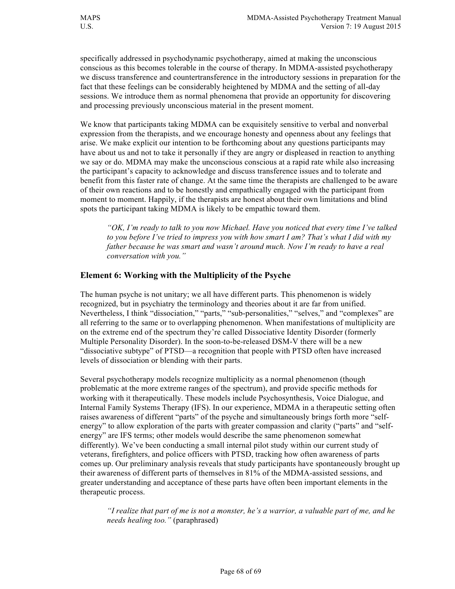specifically addressed in psychodynamic psychotherapy, aimed at making the unconscious conscious as this becomes tolerable in the course of therapy. In MDMA-assisted psychotherapy we discuss transference and countertransference in the introductory sessions in preparation for the

fact that these feelings can be considerably heightened by MDMA and the setting of all-day sessions. We introduce them as normal phenomena that provide an opportunity for discovering and processing previously unconscious material in the present moment.

We know that participants taking MDMA can be exquisitely sensitive to verbal and nonverbal expression from the therapists, and we encourage honesty and openness about any feelings that arise. We make explicit our intention to be forthcoming about any questions participants may have about us and not to take it personally if they are angry or displeased in reaction to anything we say or do. MDMA may make the unconscious conscious at a rapid rate while also increasing the participant's capacity to acknowledge and discuss transference issues and to tolerate and benefit from this faster rate of change. At the same time the therapists are challenged to be aware of their own reactions and to be honestly and empathically engaged with the participant from moment to moment. Happily, if the therapists are honest about their own limitations and blind spots the participant taking MDMA is likely to be empathic toward them.

*"OK, I'm ready to talk to you now Michael. Have you noticed that every time I've talked to you before I've tried to impress you with how smart I am? That's what I did with my father because he was smart and wasn't around much. Now I'm ready to have a real conversation with you."*

#### **Element 6: Working with the Multiplicity of the Psyche**

The human psyche is not unitary; we all have different parts. This phenomenon is widely recognized, but in psychiatry the terminology and theories about it are far from unified. Nevertheless, I think "dissociation," "parts," "sub-personalities," "selves," and "complexes" are all referring to the same or to overlapping phenomenon. When manifestations of multiplicity are on the extreme end of the spectrum they're called Dissociative Identity Disorder (formerly Multiple Personality Disorder). In the soon-to-be-released DSM-V there will be a new "dissociative subtype" of PTSD—a recognition that people with PTSD often have increased levels of dissociation or blending with their parts.

Several psychotherapy models recognize multiplicity as a normal phenomenon (though problematic at the more extreme ranges of the spectrum), and provide specific methods for working with it therapeutically. These models include Psychosynthesis, Voice Dialogue, and Internal Family Systems Therapy (IFS). In our experience, MDMA in a therapeutic setting often raises awareness of different "parts" of the psyche and simultaneously brings forth more "selfenergy" to allow exploration of the parts with greater compassion and clarity ("parts" and "selfenergy" are IFS terms; other models would describe the same phenomenon somewhat differently). We've been conducting a small internal pilot study within our current study of veterans, firefighters, and police officers with PTSD, tracking how often awareness of parts comes up. Our preliminary analysis reveals that study participants have spontaneously brought up their awareness of different parts of themselves in 81% of the MDMA-assisted sessions, and greater understanding and acceptance of these parts have often been important elements in the therapeutic process.

*"I realize that part of me is not a monster, he's a warrior, a valuable part of me, and he needs healing too."* (paraphrased)